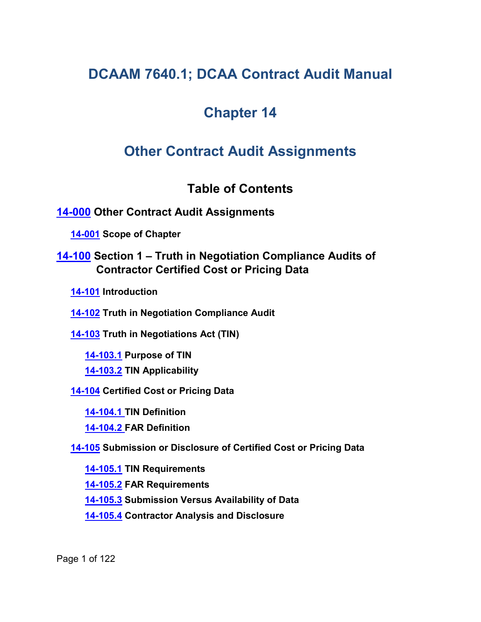# **DCAAM 7640.1; DCAA Contract Audit Manual**

# **Chapter 14**

# **Other Contract Audit Assignments**

# <span id="page-0-4"></span><span id="page-0-2"></span><span id="page-0-1"></span><span id="page-0-0"></span>**Table of Contents**

# **[14-000](#page-8-0) Other Contract Audit Assignments**

**[14-001](#page-8-1) Scope of Chapter**

# **[14-100](#page-8-2) Section 1 – Truth in Negotiation Compliance Audits of Contractor Certified Cost or Pricing Data**

<span id="page-0-3"></span>**[14-101](#page-8-3) Introduction**

**[14-102](#page-9-0) Truth in Negotiation Compliance Audit**

**[14-103](#page-10-0) Truth in Negotiations Act (TIN)**

<span id="page-0-6"></span><span id="page-0-5"></span>**[14-103.1](#page-10-1) Purpose of TIN**

<span id="page-0-7"></span>**[14-103.2](#page-10-2) TIN Applicability**

**[14-104](#page-11-0) Certified Cost or Pricing Data**

<span id="page-0-9"></span>**[14-104.1](#page-11-1) TIN Definition**

<span id="page-0-10"></span><span id="page-0-8"></span>**[14-104.2](#page-11-2) FAR Definition**

**[14-105](#page-12-0) Submission or Disclosure of Certified Cost or Pricing Data**

<span id="page-0-11"></span>**[14-105.1](#page-12-1) TIN Requirements**

<span id="page-0-12"></span>**[14-105.2](#page-12-2) FAR Requirements**

<span id="page-0-13"></span>**[14-105.3](#page-13-0) Submission Versus Availability of Data**

<span id="page-0-14"></span>**[14-105.4](#page-13-1) Contractor Analysis and Disclosure**

Page 1 of 122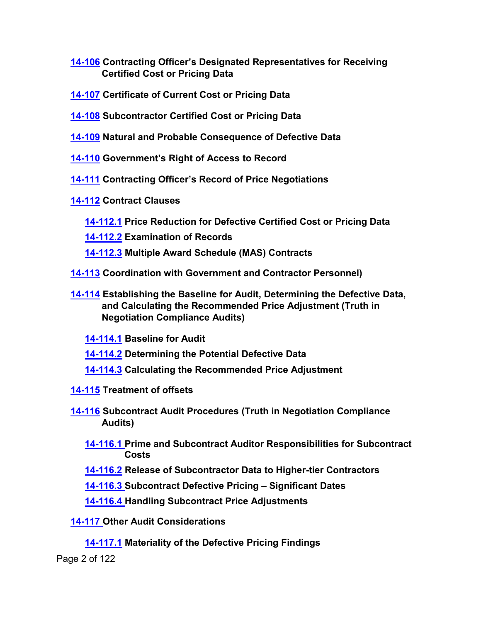- <span id="page-1-0"></span>**[14-106](#page-13-2) Contracting Officer's Designated Representatives for Receiving Certified Cost or Pricing Data**
- <span id="page-1-1"></span>**[14-107](#page-14-0) Certificate of Current Cost or Pricing Data**
- <span id="page-1-2"></span>**[14-108](#page-15-0) Subcontractor Certified Cost or Pricing Data**
- <span id="page-1-3"></span>**[14-109](#page-17-0) Natural and Probable Consequence of Defective Data**
- <span id="page-1-4"></span>**[14-110](#page-17-1) Government's Right of Access to Record**
- <span id="page-1-5"></span>**[14-111](#page-18-0) Contracting Officer's Record of Price Negotiations**
- <span id="page-1-7"></span><span id="page-1-6"></span>**[14-112](#page-19-0) Contract Clauses**
	- **[14-112.1](#page-19-1) Price Reduction for Defective Certified Cost or Pricing Data**
	- **[14-112.2](#page-19-2) Examination of Records**
	- **[14-112.3](#page-20-0) Multiple Award Schedule (MAS) Contracts**
- <span id="page-1-9"></span><span id="page-1-8"></span>**[14-113](#page-20-1) Coordination with Government and Contractor Personnel)**
- <span id="page-1-11"></span><span id="page-1-10"></span>**[14-114](#page-21-0) Establishing the Baseline for Audit, Determining the Defective Data, and Calculating the Recommended Price Adjustment (Truth in Negotiation Compliance Audits)**
	- **[14-114.1](#page-21-1) Baseline for Audit**
	- **[14-114.2](#page-22-0) Determining the Potential Defective Data**
	- **[14-114.3](#page-23-0) Calculating the Recommended Price Adjustment**
- <span id="page-1-14"></span><span id="page-1-13"></span><span id="page-1-12"></span>**[14-115](#page-24-0) Treatment of offsets**
- <span id="page-1-16"></span><span id="page-1-15"></span>**[14-116](#page-26-0) Subcontract Audit Procedures (Truth in Negotiation Compliance Audits)**
	- **[14-116.1](#page-26-1) Prime and Subcontract Auditor Responsibilities for Subcontract Costs**
	- **[14-116.2](#page-27-0) Release of Subcontractor Data to Higher-tier Contractors**
	- **[14-116.3](#page-27-1) Subcontract Defective Pricing – Significant Dates**
	- **[14-116.4](#page-28-0) Handling Subcontract Price Adjustments**
- <span id="page-1-21"></span><span id="page-1-20"></span><span id="page-1-19"></span><span id="page-1-18"></span><span id="page-1-17"></span>**[14-117](#page-30-0) Other Audit Considerations** 
	- **[14-117.1](#page-30-1) Materiality of the Defective Pricing Findings**

Page 2 of 122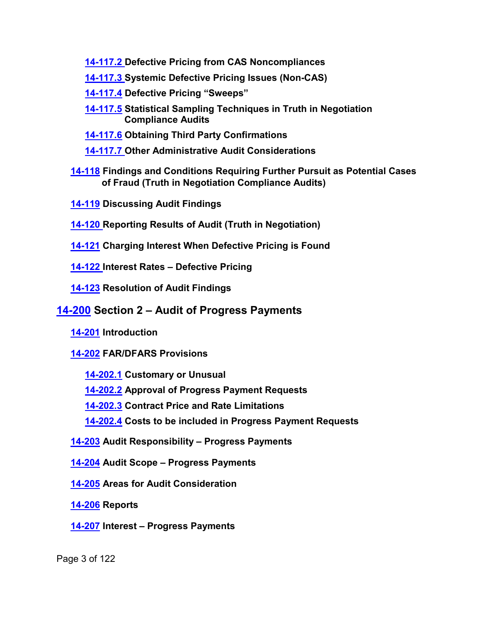<span id="page-2-0"></span>**[14-117.2](#page-30-2) Defective Pricing from CAS Noncompliances**

<span id="page-2-1"></span>**[14-117.3](#page-31-0) Systemic Defective Pricing Issues (Non-CAS)**

- <span id="page-2-2"></span>**[14-117.4](#page-32-0) Defective Pricing "Sweeps"**
- <span id="page-2-3"></span>**[14-117.5](#page-33-0) Statistical Sampling Techniques in Truth in Negotiation Compliance Audits**
- **[14-117.6](#page-34-0) Obtaining Third Party Confirmations**
- <span id="page-2-7"></span><span id="page-2-6"></span><span id="page-2-5"></span><span id="page-2-4"></span>**[14-117.7](#page-34-1) Other Administrative Audit Considerations**
- **[14-118](#page-34-2) Findings and Conditions Requiring Further Pursuit as Potential Cases of Fraud (Truth in Negotiation Compliance Audits)**
- **[14-119](#page-35-0) Discussing Audit Findings**
- **[14-120](#page-37-0) Reporting Results of Audit (Truth in Negotiation)**
- **[14-121](#page-38-0) Charging Interest When Defective Pricing is Found**
- **[14-122](#page-40-0) Interest Rates – Defective Pricing**
- **[14-123](#page-41-0) Resolution of Audit Findings**

# **[14-200](#page-42-0) Section 2 – Audit of Progress Payments**

**[14-201](#page-42-1) Introduction**

# **[14-202](#page-42-2) FAR/DFARS Provisions**

- **[14-202.1](#page-42-3) Customary or Unusual**
- **[14-202.2](#page-44-0) Approval of Progress Payment Requests**
- **[14-202.3](#page-44-1) Contract Price and Rate Limitations**
- **[14-202.4](#page-46-0) Costs to be included in Progress Payment Requests**
- **[14-203](#page-47-0) Audit Responsibility – Progress Payments**
- **[14-204](#page-47-1) Audit Scope – Progress Payments**
- **[14-205](#page-48-0) Areas for Audit Consideration**
- **[14-206](#page-56-0) Reports**
- **[14-207](#page-57-0) Interest – Progress Payments**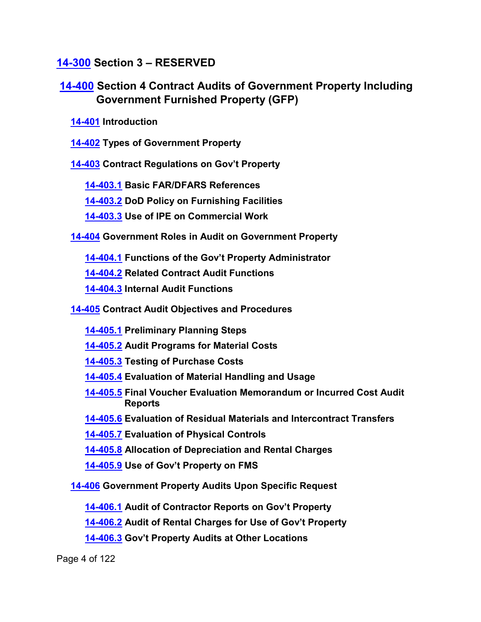# **[14-300](#page-57-1) Section 3 – RESERVED**

**[14-400](#page-57-2) Section 4 Contract Audits of Government Property Including Government Furnished Property (GFP)**

**[14-401](#page-57-3) Introduction**

**[14-402](#page-57-4) Types of Government Property**

**[14-403](#page-58-0) Contract Regulations on Gov't Property**

**[14-403.1](#page-58-1) Basic FAR/DFARS References**

**[14-403.2](#page-58-2) DoD Policy on Furnishing Facilities**

**[14-403.3](#page-59-0) Use of IPE on Commercial Work**

**[14-404](#page-59-1) Government Roles in Audit on Government Property**

**[14-404.1](#page-59-2) Functions of the Gov't Property Administrator**

**[14-404.2](#page-60-0) Related Contract Audit Functions**

**[14-404.3](#page-60-1) Internal Audit Functions**

**[14-405](#page-60-2) Contract Audit Objectives and Procedures**

- **[14-405.1](#page-61-0) Preliminary Planning Steps**
- **[14-405.2](#page-61-1) Audit Programs for Material Costs**
- **[14-405.3](#page-61-2) Testing of Purchase Costs**
- **[14-405.4](#page-62-0) Evaluation of Material Handling and Usage**
- **[14-405.5](#page-62-1) Final Voucher Evaluation Memorandum or Incurred Cost Audit Reports**
- **[14-405.6](#page-62-2) Evaluation of Residual Materials and Intercontract Transfers**
- **[14-405.7](#page-62-3) Evaluation of Physical Controls**
- **[14-405.8](#page-63-0) Allocation of Depreciation and Rental Charges**
- **[14-405.9](#page-63-1) Use of Gov't Property on FMS**

**[14-406](#page-63-2) Government Property Audits Upon Specific Request** 

**[14-406.1](#page-63-3) Audit of Contractor Reports on Gov't Property**

**[14-406.2](#page-64-0) Audit of Rental Charges for Use of Gov't Property**

**[14-406.3](#page-65-0) Gov't Property Audits at Other Locations**

Page 4 of 122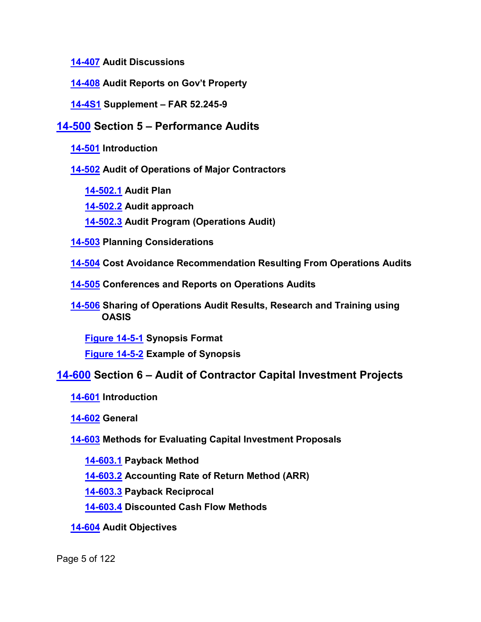**[14-407](#page-65-1) Audit Discussions**

**[14-408](#page-65-2) Audit Reports on Gov't Property**

**[14-4S1](#page-66-0) Supplement – FAR 52.245-9**

# **[14-500](#page-66-1) Section 5 – Performance Audits**

**[14-501](#page-66-2) Introduction**

**[14-502](#page-67-0) Audit of Operations of Major Contractors**

**[14-502.1](#page-67-1) Audit Plan**

**[14-502.2](#page-67-2) Audit approach**

**[14-502.3](#page-67-3) Audit Program (Operations Audit)**

**[14-503](#page-68-0) Planning Considerations**

**[14-504](#page-69-0) Cost Avoidance Recommendation Resulting From Operations Audits**

**[14-505](#page-72-0) Conferences and Reports on Operations Audits**

**[14-506](#page-72-1) Sharing of Operations Audit Results, Research and Training using OASIS**

**[Figure 14-5-1](#page-73-0) Synopsis Format [Figure 14-5-2](#page-73-1) Example of Synopsis**

# **[14-600](#page-74-0) Section 6 – Audit of Contractor Capital Investment Projects**

**[14-601](#page-74-1) Introduction**

**[14-602](#page-74-2) General**

**[14-603](#page-76-0) Methods for Evaluating Capital Investment Proposals**

**[14-603.1](#page-76-1) Payback Method**

**[14-603.2](#page-77-0) Accounting Rate of Return Method (ARR)**

**[14-603.3](#page-77-1) Payback Reciprocal** 

**[14-603.4](#page-77-2) Discounted Cash Flow Methods**

**[14-604](#page-78-0) Audit Objectives**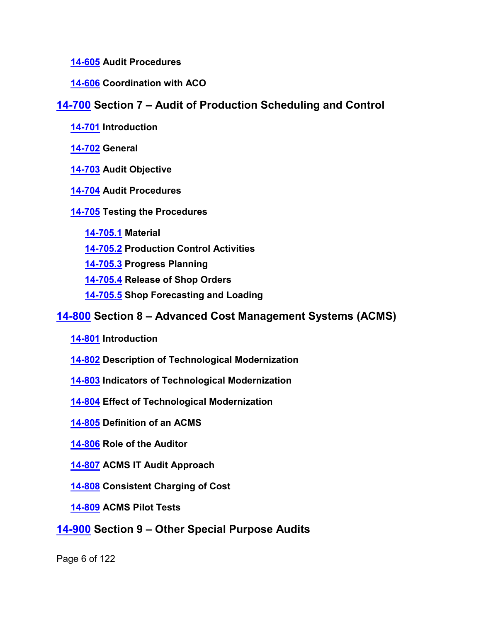### **[14-605](#page-79-0) Audit Procedures**

## **[14-606](#page-80-0) Coordination with ACO**

# **[14-700](#page-81-0) Section 7 – Audit of Production Scheduling and Control**

- **[14-701](#page-81-1) Introduction**
- **[14-702](#page-81-2) General**
- **[14-703](#page-81-3) Audit Objective**
- **[14-704](#page-81-4) Audit Procedures**

# **[14-705](#page-82-0) Testing the Procedures**

- **[14-705.1](#page-82-1) Material**
- **[14-705.2](#page-83-0) Production Control Activities**
- **[14-705.3](#page-83-1) Progress Planning**
- **[14-705.4](#page-84-0) Release of Shop Orders**
- **[14-705.5](#page-85-0) Shop Forecasting and Loading**

# **[14-800](#page-86-0) Section 8 – Advanced Cost Management Systems (ACMS)**

- **[14-801](#page-86-1) Introduction**
- **[14-802](#page-86-2) Description of Technological Modernization**
- **[14-803](#page-86-3) Indicators of Technological Modernization**
- **[14-804](#page-87-0) Effect of Technological Modernization**
- **[14-805](#page-87-1) Definition of an ACMS**
- **[14-806](#page-88-0) Role of the Auditor**
- **[14-807](#page-89-0) ACMS IT Audit Approach**
- **[14-808](#page-90-0) Consistent Charging of Cost**
- **[14-809](#page-90-1) ACMS Pilot Tests**
- **[14-900](#page-92-0) Section 9 – Other Special Purpose Audits**

Page 6 of 122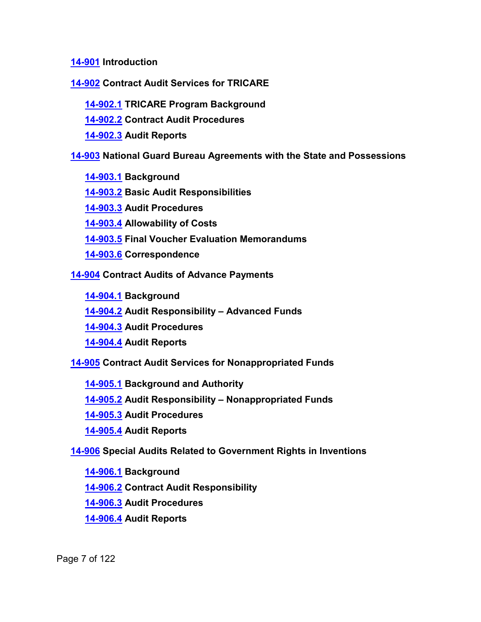**[14-901](#page-92-1) Introduction**

**[14-902](#page-92-2) Contract Audit Services for TRICARE**

**[14-902.1](#page-92-3) TRICARE Program Background**

**[14-902.2](#page-93-0) Contract Audit Procedures**

**[14-902.3](#page-93-1) Audit Reports**

**[14-903](#page-93-2) National Guard Bureau Agreements with the State and Possessions**

**[14-903.1](#page-93-3) Background**

**[14-903.2](#page-94-0) Basic Audit Responsibilities**

**[14-903.3](#page-94-1) Audit Procedures**

**[14-903.4](#page-94-2) Allowability of Costs**

**[14-903.5](#page-95-0) Final Voucher Evaluation Memorandums**

**[14-903.6](#page-95-1) Correspondence**

**[14-904](#page-95-2) Contract Audits of Advance Payments**

**[14-904.1](#page-95-3) Background**

**[14-904.2](#page-95-4) Audit Responsibility – Advanced Funds**

**[14-904.3](#page-95-5) Audit Procedures**

**[14-904.4](#page-96-0) Audit Reports**

**[14-905](#page-96-1) Contract Audit Services for Nonappropriated Funds**

**[14-905.1](#page-96-2) Background and Authority**

**[14-905.2](#page-97-0) Audit Responsibility – Nonappropriated Funds**

**[14-905.3](#page-97-1) Audit Procedures**

**[14-905.4](#page-97-2) Audit Reports**

**[14-906](#page-97-3) Special Audits Related to Government Rights in Inventions**

**[14-906.1](#page-97-4) Background**

**[14-906.2](#page-97-5) Contract Audit Responsibility**

**[14-906.3](#page-98-0) Audit Procedures**

**[14-906.4](#page-98-1) Audit Reports**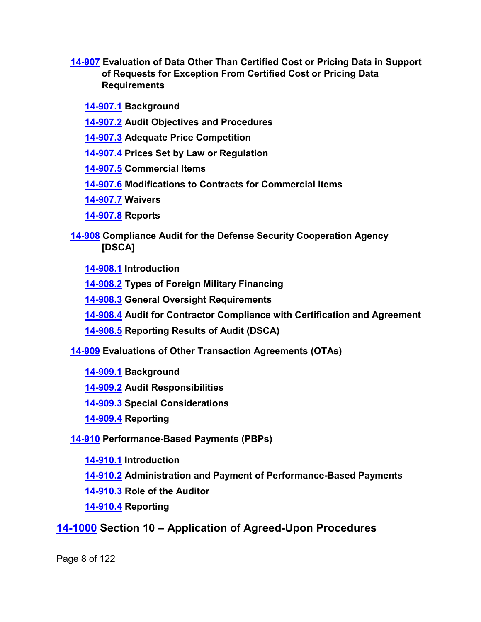**[14-907](#page-98-2) Evaluation of Data Other Than Certified Cost or Pricing Data in Support of Requests for Exception From Certified Cost or Pricing Data Requirements**

**[14-907.1](#page-98-3) Background**

- **[14-907.2](#page-99-0) Audit Objectives and Procedures**
- **[14-907.3](#page-99-1) Adequate Price Competition**
- **[14-907.4](#page-100-0) Prices Set by Law or Regulation**
- **[14-907.5](#page-100-1) Commercial Items**
- **[14-907.6](#page-102-0) Modifications to Contracts for Commercial Items**
- **[14-907.7](#page-102-1) Waivers**
- **[14-907.8](#page-103-0) Reports**
- **[14-908](#page-104-0) Compliance Audit for the Defense Security Cooperation Agency [DSCA]**
	- **[14-908.1](#page-104-1) Introduction**
	- **[14-908.2](#page-104-2) Types of Foreign Military Financing**
	- **[14-908.3](#page-105-0) General Oversight Requirements**
	- **[14-908.4](#page-105-1) Audit for Contractor Compliance with Certification and Agreement**
	- **[14-908.5](#page-106-0) Reporting Results of Audit (DSCA)**
- **[14-909](#page-106-1) Evaluations of Other Transaction Agreements (OTAs)**
	- **[14-909.1](#page-106-2) Background**
	- **[14-909.2](#page-108-0) Audit Responsibilities**
	- **[14-909.3](#page-108-1) Special Considerations**
	- **[14-909.4](#page-111-0) Reporting**
- **[14-910](#page-111-1) Performance-Based Payments (PBPs)**
	- **[14-910.1](#page-111-2) Introduction**
	- **[14-910.2](#page-111-3) Administration and Payment of Performance-Based Payments**
	- **[14-910.3](#page-112-0) Role of the Auditor**
	- **[14-910.4](#page-113-0) Reporting**

# **[14-1000](#page-113-1) Section 10 – Application of Agreed-Upon Procedures**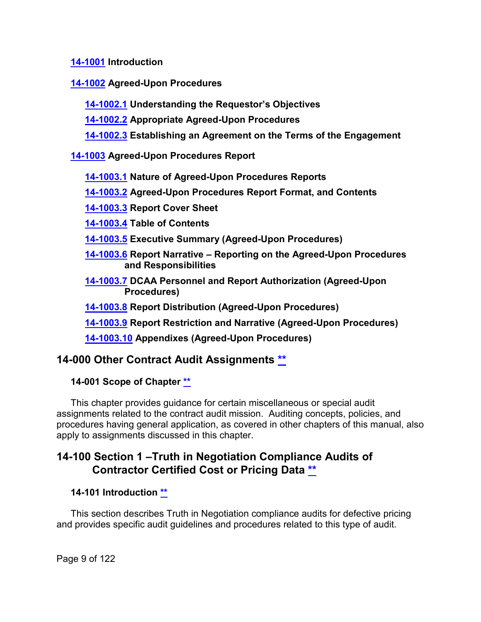**[14-1001](#page-113-2) Introduction**

**[14-1002](#page-114-0) Agreed-Upon Procedures**

**[14-1002.1](#page-114-1) Understanding the Requestor's Objectives**

**[14-1002.2](#page-114-2) Appropriate Agreed-Upon Procedures**

**[14-1002.3](#page-115-0) Establishing an Agreement on the Terms of the Engagement**

**[14-1003](#page-116-0) Agreed-Upon Procedures Report**

**[14-1003.1](#page-116-1) Nature of Agreed-Upon Procedures Reports**

**[14-1003.2](#page-116-2) Agreed-Upon Procedures Report Format, and Contents**

**[14-1003.3](#page-117-0) Report Cover Sheet**

**[14-1003.4](#page-117-1) Table of Contents**

**[14-1003.5](#page-117-2) Executive Summary (Agreed-Upon Procedures)**

- **[14-1003.6](#page-118-0) Report Narrative – Reporting on the Agreed-Upon Procedures and Responsibilities**
- **[14-1003.7](#page-118-1) DCAA Personnel and Report Authorization (Agreed-Upon Procedures)**

**[14-1003.8](#page-121-0) Report Distribution (Agreed-Upon Procedures)**

**[14-1003.9](#page-121-1) Report Restriction and Narrative (Agreed-Upon Procedures)**

**[14-1003.10](#page-121-2) Appendixes (Agreed-Upon Procedures)**

# <span id="page-8-0"></span>**14-000 Other Contract Audit Assignments [\\*\\*](#page-0-0)**

<span id="page-8-1"></span>**14-001 Scope of Chapter [\\*\\*](#page-0-1)**

This chapter provides guidance for certain miscellaneous or special audit assignments related to the contract audit mission. Auditing concepts, policies, and procedures having general application, as covered in other chapters of this manual, also apply to assignments discussed in this chapter.

# <span id="page-8-2"></span>**14-100 Section 1 –Truth in Negotiation Compliance Audits of Contractor Certified Cost or Pricing Data [\\*\\*](#page-0-2)**

# <span id="page-8-3"></span>**14-101 Introduction [\\*\\*](#page-0-3)**

This section describes Truth in Negotiation compliance audits for defective pricing and provides specific audit guidelines and procedures related to this type of audit.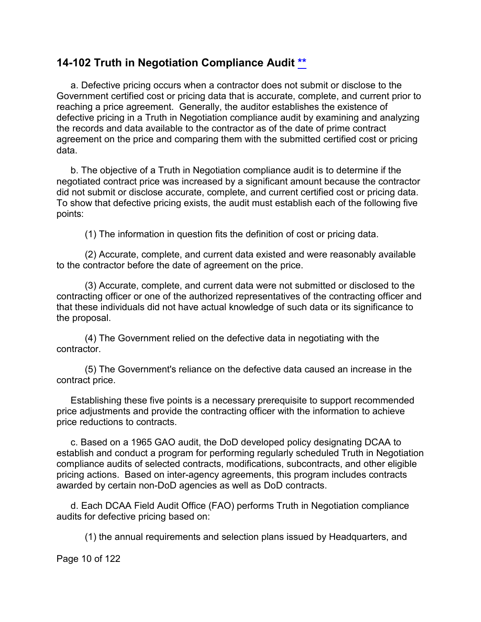# <span id="page-9-0"></span>**14-102 Truth in Negotiation Compliance Audit [\\*\\*](#page-0-4)**

a. Defective pricing occurs when a contractor does not submit or disclose to the Government certified cost or pricing data that is accurate, complete, and current prior to reaching a price agreement. Generally, the auditor establishes the existence of defective pricing in a Truth in Negotiation compliance audit by examining and analyzing the records and data available to the contractor as of the date of prime contract agreement on the price and comparing them with the submitted certified cost or pricing data.

b. The objective of a Truth in Negotiation compliance audit is to determine if the negotiated contract price was increased by a significant amount because the contractor did not submit or disclose accurate, complete, and current certified cost or pricing data. To show that defective pricing exists, the audit must establish each of the following five points:

(1) The information in question fits the definition of cost or pricing data.

(2) Accurate, complete, and current data existed and were reasonably available to the contractor before the date of agreement on the price.

(3) Accurate, complete, and current data were not submitted or disclosed to the contracting officer or one of the authorized representatives of the contracting officer and that these individuals did not have actual knowledge of such data or its significance to the proposal.

(4) The Government relied on the defective data in negotiating with the contractor.

(5) The Government's reliance on the defective data caused an increase in the contract price.

Establishing these five points is a necessary prerequisite to support recommended price adjustments and provide the contracting officer with the information to achieve price reductions to contracts.

c. Based on a 1965 GAO audit, the DoD developed policy designating DCAA to establish and conduct a program for performing regularly scheduled Truth in Negotiation compliance audits of selected contracts, modifications, subcontracts, and other eligible pricing actions. Based on inter-agency agreements, this program includes contracts awarded by certain non-DoD agencies as well as DoD contracts.

d. Each DCAA Field Audit Office (FAO) performs Truth in Negotiation compliance audits for defective pricing based on:

(1) the annual requirements and selection plans issued by Headquarters, and

Page 10 of 122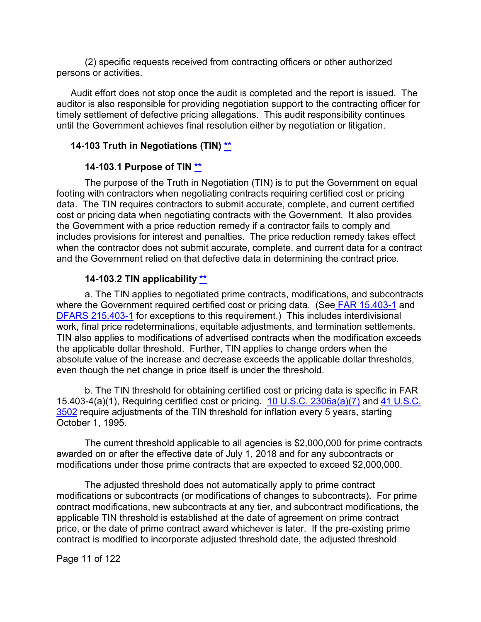(2) specific requests received from contracting officers or other authorized persons or activities.

Audit effort does not stop once the audit is completed and the report is issued. The auditor is also responsible for providing negotiation support to the contracting officer for timely settlement of defective pricing allegations. This audit responsibility continues until the Government achieves final resolution either by negotiation or litigation.

#### <span id="page-10-0"></span>**14-103 Truth in Negotiations (TIN) [\\*\\*](#page-0-5)**

#### **14-103.1 Purpose of TIN [\\*\\*](#page-0-6)**

<span id="page-10-1"></span>The purpose of the Truth in Negotiation (TIN) is to put the Government on equal footing with contractors when negotiating contracts requiring certified cost or pricing data. The TIN requires contractors to submit accurate, complete, and current certified cost or pricing data when negotiating contracts with the Government. It also provides the Government with a price reduction remedy if a contractor fails to comply and includes provisions for interest and penalties. The price reduction remedy takes effect when the contractor does not submit accurate, complete, and current data for a contract and the Government relied on that defective data in determining the contract price.

#### **14-103.2 TIN applicability [\\*\\*](#page-0-7)**

<span id="page-10-2"></span>a. The TIN applies to negotiated prime contracts, modifications, and subcontracts where the Government required certified cost or pricing data. (See [FAR 15.403-1](http://www.ecfr.gov/cgi-bin/text-idx?SID=6cfa747dbc5f561470488a2636d3758b&mc=true&node=se48.1.15_1403_61&rgn=div8) and [DFARS 215.403-1](http://www.ecfr.gov/cgi-bin/text-idx?SID=44dd680460fa3cb8ba065ef84a6ad8ab&mc=true&node=se48.3.215_1403_61&rgn=div8) for exceptions to this requirement.) This includes interdivisional work, final price redeterminations, equitable adjustments, and termination settlements. TIN also applies to modifications of advertised contracts when the modification exceeds the applicable dollar threshold. Further, TIN applies to change orders when the absolute value of the increase and decrease exceeds the applicable dollar thresholds, even though the net change in price itself is under the threshold.

b. The TIN threshold for obtaining certified cost or pricing data is specific in FAR 15.403-4(a)(1), Requiring certified cost or pricing. [10 U.S.C. 2306a\(a\)\(7\)](http://uscode.house.gov/view.xhtml?req=granuleid:USC-prelim-title10-section2306a&num=0&edition=prelim) and [41 U.S.C.](http://uscode.house.gov/view.xhtml?hl=false&edition=prelim&req=granuleid%3AUSC-prelim-title41-section3502&f=treesort&num=0&saved=%7CKHRpdGxlOjQxIHNlY3Rpb246MzUwMSBlZGl0aW9uOnByZWxpbSkgT1IgKGdyYW51bGVpZDpVU0MtcHJlbGltLXRpdGxlNDEtc2VjdGlvbjM1MDEp%7CdHJlZXNvcnQ%3D%7C%7C0%7Cfalse%7Cprelim)  [3502](http://uscode.house.gov/view.xhtml?hl=false&edition=prelim&req=granuleid%3AUSC-prelim-title41-section3502&f=treesort&num=0&saved=%7CKHRpdGxlOjQxIHNlY3Rpb246MzUwMSBlZGl0aW9uOnByZWxpbSkgT1IgKGdyYW51bGVpZDpVU0MtcHJlbGltLXRpdGxlNDEtc2VjdGlvbjM1MDEp%7CdHJlZXNvcnQ%3D%7C%7C0%7Cfalse%7Cprelim) require adjustments of the TIN threshold for inflation every 5 years, starting October 1, 1995.

The current threshold applicable to all agencies is \$2,000,000 for prime contracts awarded on or after the effective date of July 1, 2018 and for any subcontracts or modifications under those prime contracts that are expected to exceed \$2,000,000.

The adjusted threshold does not automatically apply to prime contract modifications or subcontracts (or modifications of changes to subcontracts). For prime contract modifications, new subcontracts at any tier, and subcontract modifications, the applicable TIN threshold is established at the date of agreement on prime contract price, or the date of prime contract award whichever is later. If the pre-existing prime contract is modified to incorporate adjusted threshold date, the adjusted threshold

Page 11 of 122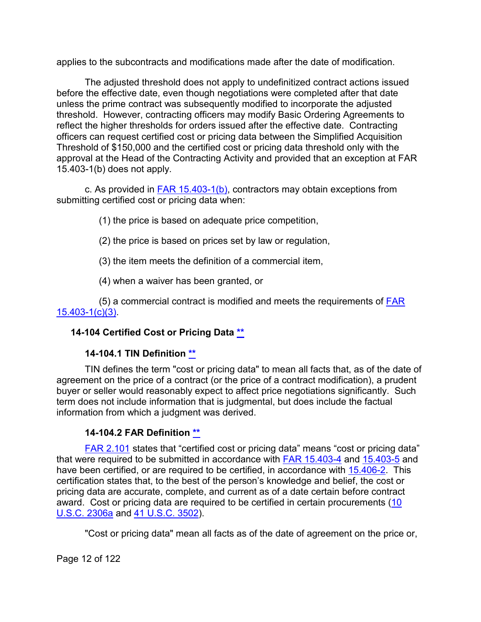applies to the subcontracts and modifications made after the date of modification.

The adjusted threshold does not apply to undefinitized contract actions issued before the effective date, even though negotiations were completed after that date unless the prime contract was subsequently modified to incorporate the adjusted threshold. However, contracting officers may modify Basic Ordering Agreements to reflect the higher thresholds for orders issued after the effective date. Contracting officers can request certified cost or pricing data between the Simplified Acquisition Threshold of \$150,000 and the certified cost or pricing data threshold only with the approval at the Head of the Contracting Activity and provided that an exception at FAR 15.403-1(b) does not apply.

c. As provided in  $FAR$  15.403-1(b), contractors may obtain exceptions from submitting certified cost or pricing data when:

- (1) the price is based on adequate price competition,
- (2) the price is based on prices set by law or regulation,
- (3) the item meets the definition of a commercial item,
- (4) when a waiver has been granted, or

(5) a commercial contract is modified and meets the requirements of [FAR](https://www.ecfr.gov/cgi-bin/text-idx?SID=6539f097c47de0790aa8bafd335208b7&mc=true&node=se48.1.15_1403_61&rgn=div8)  [15.403-1\(c\)\(3\).](https://www.ecfr.gov/cgi-bin/text-idx?SID=6539f097c47de0790aa8bafd335208b7&mc=true&node=se48.1.15_1403_61&rgn=div8)

# <span id="page-11-0"></span>**14-104 Certified Cost or Pricing Data [\\*\\*](#page-0-8)**

# **14-104.1 TIN Definition [\\*\\*](#page-0-9)**

<span id="page-11-1"></span>TIN defines the term "cost or pricing data" to mean all facts that, as of the date of agreement on the price of a contract (or the price of a contract modification), a prudent buyer or seller would reasonably expect to affect price negotiations significantly. Such term does not include information that is judgmental, but does include the factual information from which a judgment was derived.

# **14-104.2 FAR Definition [\\*\\*](#page-0-8)**

<span id="page-11-2"></span>[FAR 2.101](http://www.ecfr.gov/cgi-bin/text-idx?SID=6cfa747dbc5f561470488a2636d3758b&mc=true&node=se48.1.2_1101&rgn=div8) states that "certified cost or pricing data" means "cost or pricing data" that were required to be submitted in accordance with FAR [15.403-4](http://www.ecfr.gov/cgi-bin/text-idx?SID=6cfa747dbc5f561470488a2636d3758b&mc=true&node=se48.1.15_1403_64&rgn=div8) and [15.403-5](http://www.ecfr.gov/cgi-bin/text-idx?SID=6cfa747dbc5f561470488a2636d3758b&mc=true&node=se48.1.15_1403_65&rgn=div8) and have been certified, or are required to be certified, in accordance with [15.406-2.](http://www.ecfr.gov/cgi-bin/text-idx?SID=6cfa747dbc5f561470488a2636d3758b&mc=true&node=se48.1.15_1406_62&rgn=div8) This certification states that, to the best of the person's knowledge and belief, the cost or pricing data are accurate, complete, and current as of a date certain before contract award. Cost or pricing data are required to be certified in certain procurements [\(10](http://uscode.house.gov/view.xhtml?req=granuleid:USC-prelim-title10-section2306a&num=0&edition=prelim)  [U.S.C. 2306a](http://uscode.house.gov/view.xhtml?req=granuleid:USC-prelim-title10-section2306a&num=0&edition=prelim) and [41 U.S.C. 3502\)](http://uscode.house.gov/view.xhtml?hl=false&edition=prelim&req=granuleid%3AUSC-prelim-title41-section3502&f=treesort&num=0&saved=%7CKHRpdGxlOjQxIHNlY3Rpb246MzUwMSBlZGl0aW9uOnByZWxpbSkgT1IgKGdyYW51bGVpZDpVU0MtcHJlbGltLXRpdGxlNDEtc2VjdGlvbjM1MDEp%7CdHJlZXNvcnQ%3D%7C%7C0%7Cfalse%7Cprelim).

"Cost or pricing data" mean all facts as of the date of agreement on the price or,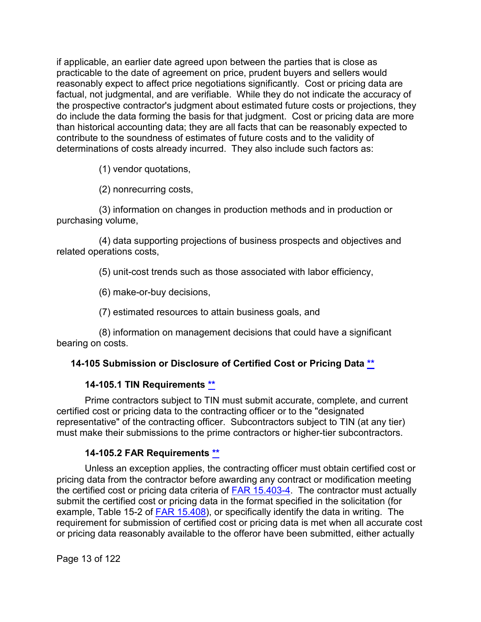if applicable, an earlier date agreed upon between the parties that is close as practicable to the date of agreement on price, prudent buyers and sellers would reasonably expect to affect price negotiations significantly. Cost or pricing data are factual, not judgmental, and are verifiable. While they do not indicate the accuracy of the prospective contractor's judgment about estimated future costs or projections, they do include the data forming the basis for that judgment. Cost or pricing data are more than historical accounting data; they are all facts that can be reasonably expected to contribute to the soundness of estimates of future costs and to the validity of determinations of costs already incurred. They also include such factors as:

(1) vendor quotations,

(2) nonrecurring costs,

(3) information on changes in production methods and in production or purchasing volume,

(4) data supporting projections of business prospects and objectives and related operations costs,

(5) unit-cost trends such as those associated with labor efficiency,

(6) make-or-buy decisions,

(7) estimated resources to attain business goals, and

(8) information on management decisions that could have a significant bearing on costs.

## <span id="page-12-0"></span>**14-105 Submission or Disclosure of Certified Cost or Pricing Data [\\*\\*](#page-0-10)**

#### **14-105.1 TIN Requirements [\\*\\*](#page-0-11)**

<span id="page-12-1"></span>Prime contractors subject to TIN must submit accurate, complete, and current certified cost or pricing data to the contracting officer or to the "designated representative" of the contracting officer. Subcontractors subject to TIN (at any tier) must make their submissions to the prime contractors or higher-tier subcontractors.

## **14-105.2 FAR Requirements [\\*\\*](#page-0-12)**

<span id="page-12-2"></span>Unless an exception applies, the contracting officer must obtain certified cost or pricing data from the contractor before awarding any contract or modification meeting the certified cost or pricing data criteria of [FAR 15.403-4.](http://www.ecfr.gov/cgi-bin/text-idx?SID=6cfa747dbc5f561470488a2636d3758b&mc=true&node=se48.1.15_1403_64&rgn=div8) The contractor must actually submit the certified cost or pricing data in the format specified in the solicitation (for example, Table 15-2 of [FAR 15.408\)](http://www.ecfr.gov/cgi-bin/text-idx?SID=6cfa747dbc5f561470488a2636d3758b&mc=true&node=se48.1.15_1408&rgn=div8), or specifically identify the data in writing. The requirement for submission of certified cost or pricing data is met when all accurate cost or pricing data reasonably available to the offeror have been submitted, either actually

Page 13 of 122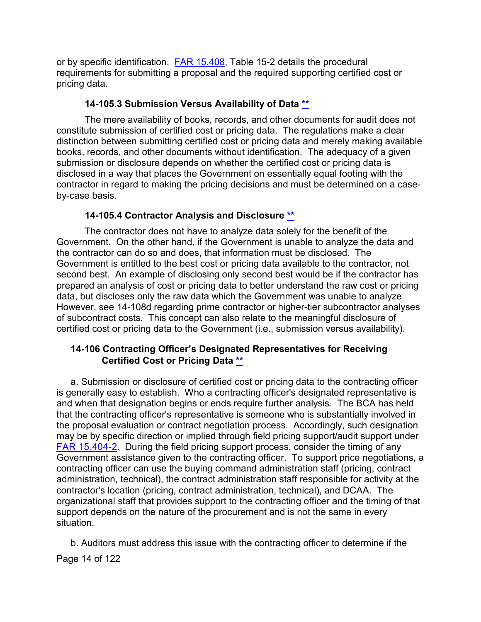or by specific identification. **FAR 15.408**, Table 15-2 details the procedural requirements for submitting a proposal and the required supporting certified cost or pricing data.

### **14-105.3 Submission Versus Availability of Data [\\*\\*](#page-0-13)**

<span id="page-13-0"></span>The mere availability of books, records, and other documents for audit does not constitute submission of certified cost or pricing data. The regulations make a clear distinction between submitting certified cost or pricing data and merely making available books, records, and other documents without identification. The adequacy of a given submission or disclosure depends on whether the certified cost or pricing data is disclosed in a way that places the Government on essentially equal footing with the contractor in regard to making the pricing decisions and must be determined on a caseby-case basis.

## **14-105.4 Contractor Analysis and Disclosure [\\*\\*](#page-0-14)**

<span id="page-13-1"></span>The contractor does not have to analyze data solely for the benefit of the Government. On the other hand, if the Government is unable to analyze the data and the contractor can do so and does, that information must be disclosed. The Government is entitled to the best cost or pricing data available to the contractor, not second best. An example of disclosing only second best would be if the contractor has prepared an analysis of cost or pricing data to better understand the raw cost or pricing data, but discloses only the raw data which the Government was unable to analyze. However, see 14-108d regarding prime contractor or higher-tier subcontractor analyses of subcontract costs. This concept can also relate to the meaningful disclosure of certified cost or pricing data to the Government (i.e., submission versus availability).

#### <span id="page-13-2"></span>**14-106 Contracting Officer's Designated Representatives for Receiving Certified Cost or Pricing Data [\\*\\*](#page-1-0)**

a. Submission or disclosure of certified cost or pricing data to the contracting officer is generally easy to establish. Who a contracting officer's designated representative is and when that designation begins or ends require further analysis. The BCA has held that the contracting officer's representative is someone who is substantially involved in the proposal evaluation or contract negotiation process. Accordingly, such designation may be by specific direction or implied through field pricing support/audit support under [FAR 15.404-2.](http://www.ecfr.gov/cgi-bin/text-idx?SID=6cfa747dbc5f561470488a2636d3758b&mc=true&node=se48.1.15_1404_62&rgn=div8) During the field pricing support process, consider the timing of any Government assistance given to the contracting officer. To support price negotiations, a contracting officer can use the buying command administration staff (pricing, contract administration, technical), the contract administration staff responsible for activity at the contractor's location (pricing, contract administration, technical), and DCAA. The organizational staff that provides support to the contracting officer and the timing of that support depends on the nature of the procurement and is not the same in every situation.

Page 14 of 122 b. Auditors must address this issue with the contracting officer to determine if the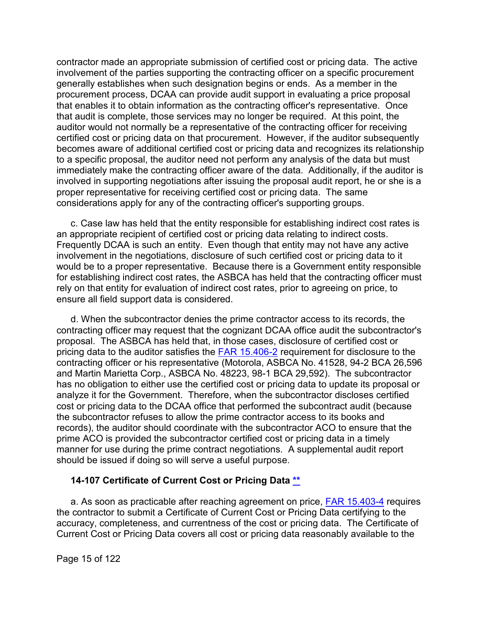contractor made an appropriate submission of certified cost or pricing data. The active involvement of the parties supporting the contracting officer on a specific procurement generally establishes when such designation begins or ends. As a member in the procurement process, DCAA can provide audit support in evaluating a price proposal that enables it to obtain information as the contracting officer's representative. Once that audit is complete, those services may no longer be required. At this point, the auditor would not normally be a representative of the contracting officer for receiving certified cost or pricing data on that procurement. However, if the auditor subsequently becomes aware of additional certified cost or pricing data and recognizes its relationship to a specific proposal, the auditor need not perform any analysis of the data but must immediately make the contracting officer aware of the data. Additionally, if the auditor is involved in supporting negotiations after issuing the proposal audit report, he or she is a proper representative for receiving certified cost or pricing data. The same considerations apply for any of the contracting officer's supporting groups.

c. Case law has held that the entity responsible for establishing indirect cost rates is an appropriate recipient of certified cost or pricing data relating to indirect costs. Frequently DCAA is such an entity. Even though that entity may not have any active involvement in the negotiations, disclosure of such certified cost or pricing data to it would be to a proper representative. Because there is a Government entity responsible for establishing indirect cost rates, the ASBCA has held that the contracting officer must rely on that entity for evaluation of indirect cost rates, prior to agreeing on price, to ensure all field support data is considered.

d. When the subcontractor denies the prime contractor access to its records, the contracting officer may request that the cognizant DCAA office audit the subcontractor's proposal. The ASBCA has held that, in those cases, disclosure of certified cost or pricing data to the auditor satisfies the [FAR 15.406-2](http://www.ecfr.gov/cgi-bin/text-idx?SID=6cfa747dbc5f561470488a2636d3758b&mc=true&node=se48.1.15_1406_62&rgn=div8) requirement for disclosure to the contracting officer or his representative (Motorola, ASBCA No. 41528, 94-2 BCA 26,596 and Martin Marietta Corp., ASBCA No. 48223, 98-1 BCA 29,592). The subcontractor has no obligation to either use the certified cost or pricing data to update its proposal or analyze it for the Government. Therefore, when the subcontractor discloses certified cost or pricing data to the DCAA office that performed the subcontract audit (because the subcontractor refuses to allow the prime contractor access to its books and records), the auditor should coordinate with the subcontractor ACO to ensure that the prime ACO is provided the subcontractor certified cost or pricing data in a timely manner for use during the prime contract negotiations. A supplemental audit report should be issued if doing so will serve a useful purpose.

#### <span id="page-14-0"></span>**14-107 Certificate of Current Cost or Pricing Data [\\*\\*](#page-1-1)**

a. As soon as practicable after reaching agreement on price, [FAR 15.403-4](http://www.ecfr.gov/cgi-bin/text-idx?SID=6cfa747dbc5f561470488a2636d3758b&mc=true&node=se48.1.15_1403_64&rgn=div8) requires the contractor to submit a Certificate of Current Cost or Pricing Data certifying to the accuracy, completeness, and currentness of the cost or pricing data. The Certificate of Current Cost or Pricing Data covers all cost or pricing data reasonably available to the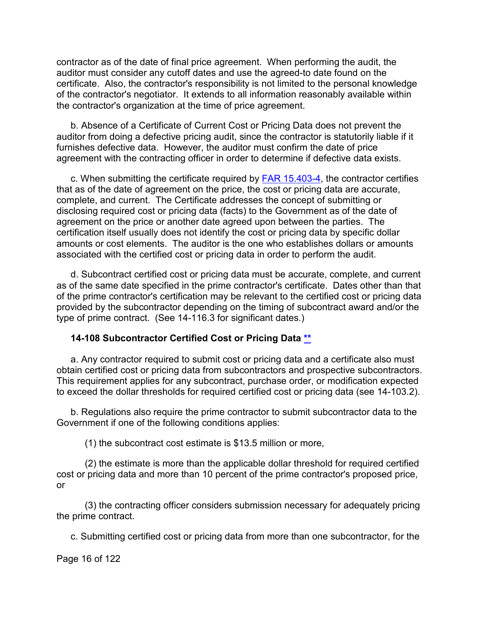contractor as of the date of final price agreement. When performing the audit, the auditor must consider any cutoff dates and use the agreed-to date found on the certificate. Also, the contractor's responsibility is not limited to the personal knowledge of the contractor's negotiator. It extends to all information reasonably available within the contractor's organization at the time of price agreement.

b. Absence of a Certificate of Current Cost or Pricing Data does not prevent the auditor from doing a defective pricing audit, since the contractor is statutorily liable if it furnishes defective data. However, the auditor must confirm the date of price agreement with the contracting officer in order to determine if defective data exists.

c. When submitting the certificate required by [FAR 15.403-4,](http://www.ecfr.gov/cgi-bin/text-idx?SID=6cfa747dbc5f561470488a2636d3758b&mc=true&node=se48.1.15_1403_64&rgn=div8) the contractor certifies that as of the date of agreement on the price, the cost or pricing data are accurate, complete, and current. The Certificate addresses the concept of submitting or disclosing required cost or pricing data (facts) to the Government as of the date of agreement on the price or another date agreed upon between the parties. The certification itself usually does not identify the cost or pricing data by specific dollar amounts or cost elements. The auditor is the one who establishes dollars or amounts associated with the certified cost or pricing data in order to perform the audit.

d. Subcontract certified cost or pricing data must be accurate, complete, and current as of the same date specified in the prime contractor's certificate. Dates other than that of the prime contractor's certification may be relevant to the certified cost or pricing data provided by the subcontractor depending on the timing of subcontract award and/or the type of prime contract. (See 14-116.3 for significant dates.)

#### <span id="page-15-0"></span>**14-108 Subcontractor Certified Cost or Pricing Data [\\*\\*](#page-1-2)**

a. Any contractor required to submit cost or pricing data and a certificate also must obtain certified cost or pricing data from subcontractors and prospective subcontractors. This requirement applies for any subcontract, purchase order, or modification expected to exceed the dollar thresholds for required certified cost or pricing data (see 14-103.2).

b. Regulations also require the prime contractor to submit subcontractor data to the Government if one of the following conditions applies:

(1) the subcontract cost estimate is \$13.5 million or more,

(2) the estimate is more than the applicable dollar threshold for required certified cost or pricing data and more than 10 percent of the prime contractor's proposed price, or

(3) the contracting officer considers submission necessary for adequately pricing the prime contract.

c. Submitting certified cost or pricing data from more than one subcontractor, for the

Page 16 of 122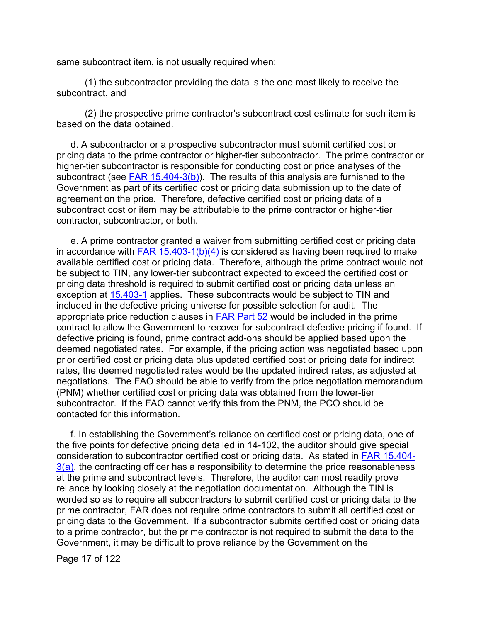same subcontract item, is not usually required when:

(1) the subcontractor providing the data is the one most likely to receive the subcontract, and

(2) the prospective prime contractor's subcontract cost estimate for such item is based on the data obtained.

d. A subcontractor or a prospective subcontractor must submit certified cost or pricing data to the prime contractor or higher-tier subcontractor. The prime contractor or higher-tier subcontractor is responsible for conducting cost or price analyses of the subcontract (see FAR  $15.404-3(b)$ ). The results of this analysis are furnished to the Government as part of its certified cost or pricing data submission up to the date of agreement on the price. Therefore, defective certified cost or pricing data of a subcontract cost or item may be attributable to the prime contractor or higher-tier contractor, subcontractor, or both.

e. A prime contractor granted a waiver from submitting certified cost or pricing data in accordance with  $FAR$  15.403-1(b)(4) is considered as having been required to make available certified cost or pricing data. Therefore, although the prime contract would not be subject to TIN, any lower-tier subcontract expected to exceed the certified cost or pricing data threshold is required to submit certified cost or pricing data unless an exception at [15.403-1](http://www.ecfr.gov/cgi-bin/text-idx?SID=6cfa747dbc5f561470488a2636d3758b&mc=true&node=se48.1.15_1403_61&rgn=div8) applies. These subcontracts would be subject to TIN and included in the defective pricing universe for possible selection for audit. The appropriate price reduction clauses in [FAR Part 52](http://www.ecfr.gov/cgi-bin/text-idx?SID=ffeb850b0d8268066b07f18ad64fcf9b&mc=true&node=se48.2.52_1215_610&rgn=div8) would be included in the prime contract to allow the Government to recover for subcontract defective pricing if found. If defective pricing is found, prime contract add-ons should be applied based upon the deemed negotiated rates. For example, if the pricing action was negotiated based upon prior certified cost or pricing data plus updated certified cost or pricing data for indirect rates, the deemed negotiated rates would be the updated indirect rates, as adjusted at negotiations. The FAO should be able to verify from the price negotiation memorandum (PNM) whether certified cost or pricing data was obtained from the lower-tier subcontractor. If the FAO cannot verify this from the PNM, the PCO should be contacted for this information.

f. In establishing the Government's reliance on certified cost or pricing data, one of the five points for defective pricing detailed in 14-102, the auditor should give special consideration to subcontractor certified cost or pricing data. As stated in [FAR 15.404-](http://www.ecfr.gov/cgi-bin/text-idx?SID=eaf84c74761060c3f04e18d2ae031fd2&mc=true&node=se48.1.15_1404_63&rgn=div8)  $3(a)$ , the contracting officer has a responsibility to determine the price reasonableness at the prime and subcontract levels. Therefore, the auditor can most readily prove reliance by looking closely at the negotiation documentation. Although the TIN is worded so as to require all subcontractors to submit certified cost or pricing data to the prime contractor, FAR does not require prime contractors to submit all certified cost or pricing data to the Government. If a subcontractor submits certified cost or pricing data to a prime contractor, but the prime contractor is not required to submit the data to the Government, it may be difficult to prove reliance by the Government on the

Page 17 of 122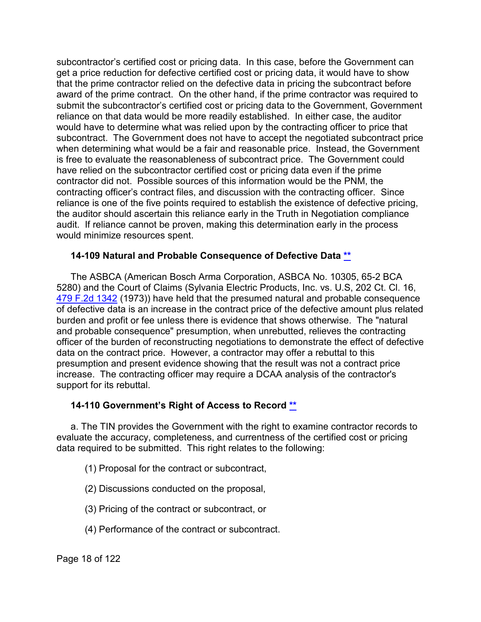subcontractor's certified cost or pricing data. In this case, before the Government can get a price reduction for defective certified cost or pricing data, it would have to show that the prime contractor relied on the defective data in pricing the subcontract before award of the prime contract. On the other hand, if the prime contractor was required to submit the subcontractor's certified cost or pricing data to the Government, Government reliance on that data would be more readily established. In either case, the auditor would have to determine what was relied upon by the contracting officer to price that subcontract. The Government does not have to accept the negotiated subcontract price when determining what would be a fair and reasonable price. Instead, the Government is free to evaluate the reasonableness of subcontract price. The Government could have relied on the subcontractor certified cost or pricing data even if the prime contractor did not. Possible sources of this information would be the PNM, the contracting officer's contract files, and discussion with the contracting officer. Since reliance is one of the five points required to establish the existence of defective pricing, the auditor should ascertain this reliance early in the Truth in Negotiation compliance audit. If reliance cannot be proven, making this determination early in the process would minimize resources spent.

#### <span id="page-17-0"></span>**14-109 Natural and Probable Consequence of Defective Data [\\*\\*](#page-1-3)**

The ASBCA (American Bosch Arma Corporation, ASBCA No. 10305, 65-2 BCA 5280) and the Court of Claims (Sylvania Electric Products, Inc. vs. U.S, 202 Ct. Cl. 16, [479 F.2d 1342](https://casetext.com/case/sylvania-electric-products-v-united-states) (1973)) have held that the presumed natural and probable consequence of defective data is an increase in the contract price of the defective amount plus related burden and profit or fee unless there is evidence that shows otherwise. The "natural and probable consequence" presumption, when unrebutted, relieves the contracting officer of the burden of reconstructing negotiations to demonstrate the effect of defective data on the contract price. However, a contractor may offer a rebuttal to this presumption and present evidence showing that the result was not a contract price increase. The contracting officer may require a DCAA analysis of the contractor's support for its rebuttal.

## <span id="page-17-1"></span>**14-110 Government's Right of Access to Record [\\*\\*](#page-1-4)**

a. The TIN provides the Government with the right to examine contractor records to evaluate the accuracy, completeness, and currentness of the certified cost or pricing data required to be submitted. This right relates to the following:

(1) Proposal for the contract or subcontract,

- (2) Discussions conducted on the proposal,
- (3) Pricing of the contract or subcontract, or
- (4) Performance of the contract or subcontract.

Page 18 of 122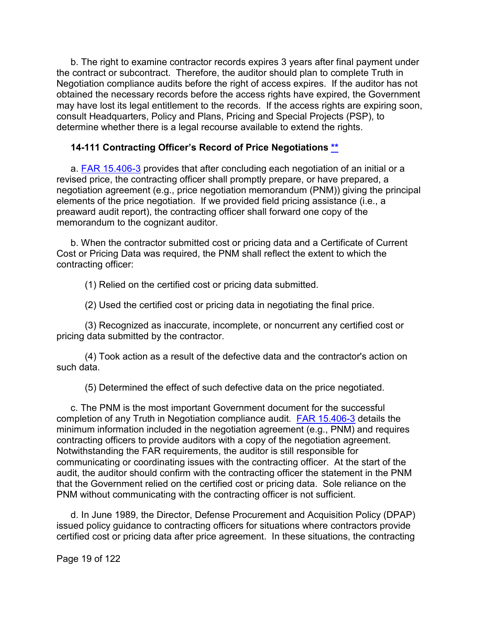b. The right to examine contractor records expires 3 years after final payment under the contract or subcontract. Therefore, the auditor should plan to complete Truth in Negotiation compliance audits before the right of access expires. If the auditor has not obtained the necessary records before the access rights have expired, the Government may have lost its legal entitlement to the records. If the access rights are expiring soon, consult Headquarters, Policy and Plans, Pricing and Special Projects (PSP), to determine whether there is a legal recourse available to extend the rights.

#### <span id="page-18-0"></span>**14-111 Contracting Officer's Record of Price Negotiations [\\*\\*](#page-1-5)**

a. [FAR 15.406-3](http://www.ecfr.gov/cgi-bin/text-idx?SID=eaf84c74761060c3f04e18d2ae031fd2&mc=true&node=se48.1.15_1406_63&rgn=div8) provides that after concluding each negotiation of an initial or a revised price, the contracting officer shall promptly prepare, or have prepared, a negotiation agreement (e.g., price negotiation memorandum (PNM)) giving the principal elements of the price negotiation. If we provided field pricing assistance (i.e., a preaward audit report), the contracting officer shall forward one copy of the memorandum to the cognizant auditor.

b. When the contractor submitted cost or pricing data and a Certificate of Current Cost or Pricing Data was required, the PNM shall reflect the extent to which the contracting officer:

(1) Relied on the certified cost or pricing data submitted.

(2) Used the certified cost or pricing data in negotiating the final price.

(3) Recognized as inaccurate, incomplete, or noncurrent any certified cost or pricing data submitted by the contractor.

(4) Took action as a result of the defective data and the contractor's action on such data.

(5) Determined the effect of such defective data on the price negotiated.

c. The PNM is the most important Government document for the successful completion of any Truth in Negotiation compliance audit. [FAR 15.406-3](http://www.ecfr.gov/cgi-bin/text-idx?SID=4c80d0d60a83184df38d145a117ca154&mc=true&node=se48.1.15_1406_63&rgn=div8) details the minimum information included in the negotiation agreement (e.g., PNM) and requires contracting officers to provide auditors with a copy of the negotiation agreement. Notwithstanding the FAR requirements, the auditor is still responsible for communicating or coordinating issues with the contracting officer. At the start of the audit, the auditor should confirm with the contracting officer the statement in the PNM that the Government relied on the certified cost or pricing data. Sole reliance on the PNM without communicating with the contracting officer is not sufficient.

d. In June 1989, the Director, Defense Procurement and Acquisition Policy (DPAP) issued policy guidance to contracting officers for situations where contractors provide certified cost or pricing data after price agreement. In these situations, the contracting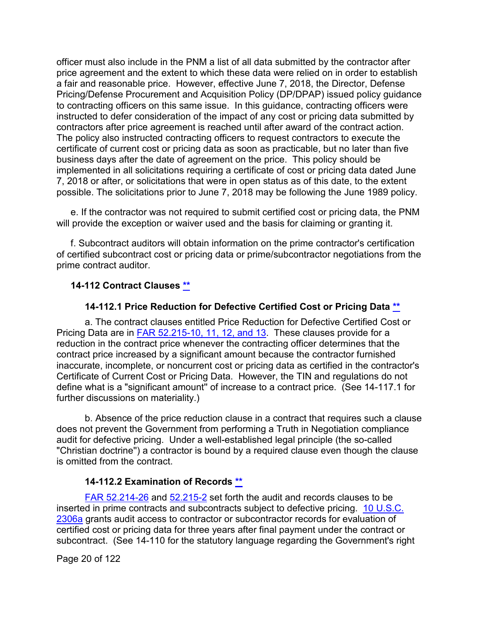officer must also include in the PNM a list of all data submitted by the contractor after price agreement and the extent to which these data were relied on in order to establish a fair and reasonable price. However, effective June 7, 2018, the Director, Defense Pricing/Defense Procurement and Acquisition Policy (DP/DPAP) issued policy guidance to contracting officers on this same issue. In this guidance, contracting officers were instructed to defer consideration of the impact of any cost or pricing data submitted by contractors after price agreement is reached until after award of the contract action. The policy also instructed contracting officers to request contractors to execute the certificate of current cost or pricing data as soon as practicable, but no later than five business days after the date of agreement on the price. This policy should be implemented in all solicitations requiring a certificate of cost or pricing data dated June 7, 2018 or after, or solicitations that were in open status as of this date, to the extent possible. The solicitations prior to June 7, 2018 may be following the June 1989 policy.

e. If the contractor was not required to submit certified cost or pricing data, the PNM will provide the exception or waiver used and the basis for claiming or granting it.

f. Subcontract auditors will obtain information on the prime contractor's certification of certified subcontract cost or pricing data or prime/subcontractor negotiations from the prime contract auditor.

#### <span id="page-19-0"></span>**14-112 Contract Clauses [\\*\\*](#page-1-6)**

#### **14-112.1 Price Reduction for Defective Certified Cost or Pricing Data [\\*\\*](#page-1-7)**

<span id="page-19-1"></span>a. The contract clauses entitled Price Reduction for Defective Certified Cost or Pricing Data are in [FAR 52.215-10,](http://www.ecfr.gov/cgi-bin/text-idx?SID=63b2c0b6669978c5454b31e6b45877cd&mc=true&node=se48.2.52_1215_610&rgn=div8) [11,](http://www.ecfr.gov/cgi-bin/text-idx?SID=63b2c0b6669978c5454b31e6b45877cd&mc=true&node=se48.2.52_1215_611&rgn=div8) [12,](http://www.ecfr.gov/cgi-bin/text-idx?SID=63b2c0b6669978c5454b31e6b45877cd&mc=true&node=se48.2.52_1215_612&rgn=div8) and [13.](http://www.ecfr.gov/cgi-bin/text-idx?SID=63b2c0b6669978c5454b31e6b45877cd&mc=true&node=se48.2.52_1215_613&rgn=div8) These clauses provide for a reduction in the contract price whenever the contracting officer determines that the contract price increased by a significant amount because the contractor furnished inaccurate, incomplete, or noncurrent cost or pricing data as certified in the contractor's Certificate of Current Cost or Pricing Data. However, the TIN and regulations do not define what is a "significant amount'' of increase to a contract price. (See 14-117.1 for further discussions on materiality.)

b. Absence of the price reduction clause in a contract that requires such a clause does not prevent the Government from performing a Truth in Negotiation compliance audit for defective pricing. Under a well-established legal principle (the so-called "Christian doctrine'') a contractor is bound by a required clause even though the clause is omitted from the contract.

#### **14-112.2 Examination of Records [\\*\\*](#page-1-8)**

<span id="page-19-2"></span>[FAR 52.214-26](http://www.ecfr.gov/cgi-bin/text-idx?SID=63b2c0b6669978c5454b31e6b45877cd&mc=true&node=se48.2.52_1214_626&rgn=div8) and [52.215-2](http://www.ecfr.gov/cgi-bin/text-idx?SID=63b2c0b6669978c5454b31e6b45877cd&mc=true&node=se48.2.52_1215_62&rgn=div8) set forth the audit and records clauses to be inserted in prime contracts and subcontracts subject to defective pricing. [10 U.S.C.](http://uscode.house.gov/view.xhtml?req=granuleid:USC-prelim-title10-section2306a&num=0&edition=prelim)  [2306a](http://uscode.house.gov/view.xhtml?req=granuleid:USC-prelim-title10-section2306a&num=0&edition=prelim) grants audit access to contractor or subcontractor records for evaluation of certified cost or pricing data for three years after final payment under the contract or subcontract. (See 14-110 for the statutory language regarding the Government's right

Page 20 of 122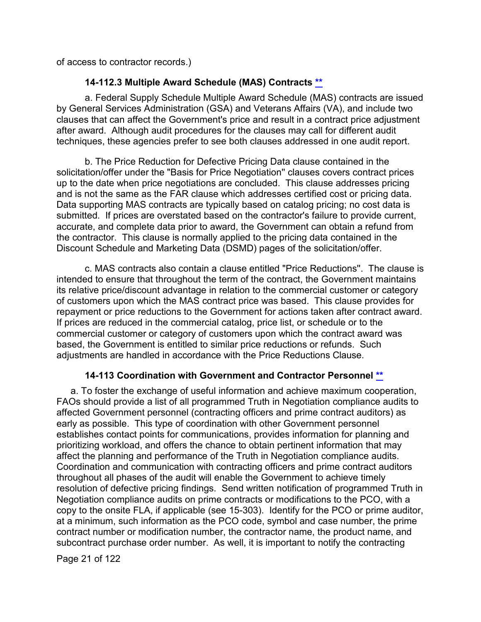of access to contractor records.)

# **14-112.3 Multiple Award Schedule (MAS) Contracts [\\*\\*](#page-1-8)**

<span id="page-20-0"></span>a. Federal Supply Schedule Multiple Award Schedule (MAS) contracts are issued by General Services Administration (GSA) and Veterans Affairs (VA), and include two clauses that can affect the Government's price and result in a contract price adjustment after award. Although audit procedures for the clauses may call for different audit techniques, these agencies prefer to see both clauses addressed in one audit report.

b. The Price Reduction for Defective Pricing Data clause contained in the solicitation/offer under the "Basis for Price Negotiation'' clauses covers contract prices up to the date when price negotiations are concluded. This clause addresses pricing and is not the same as the FAR clause which addresses certified cost or pricing data. Data supporting MAS contracts are typically based on catalog pricing; no cost data is submitted. If prices are overstated based on the contractor's failure to provide current, accurate, and complete data prior to award, the Government can obtain a refund from the contractor. This clause is normally applied to the pricing data contained in the Discount Schedule and Marketing Data (DSMD) pages of the solicitation/offer.

c. MAS contracts also contain a clause entitled "Price Reductions''. The clause is intended to ensure that throughout the term of the contract, the Government maintains its relative price/discount advantage in relation to the commercial customer or category of customers upon which the MAS contract price was based. This clause provides for repayment or price reductions to the Government for actions taken after contract award. If prices are reduced in the commercial catalog, price list, or schedule or to the commercial customer or category of customers upon which the contract award was based, the Government is entitled to similar price reductions or refunds. Such adjustments are handled in accordance with the Price Reductions Clause.

## **14-113 Coordination with Government and Contractor Personnel [\\*\\*](#page-1-9)**

<span id="page-20-1"></span>a. To foster the exchange of useful information and achieve maximum cooperation, FAOs should provide a list of all programmed Truth in Negotiation compliance audits to affected Government personnel (contracting officers and prime contract auditors) as early as possible. This type of coordination with other Government personnel establishes contact points for communications, provides information for planning and prioritizing workload, and offers the chance to obtain pertinent information that may affect the planning and performance of the Truth in Negotiation compliance audits. Coordination and communication with contracting officers and prime contract auditors throughout all phases of the audit will enable the Government to achieve timely resolution of defective pricing findings. Send written notification of programmed Truth in Negotiation compliance audits on prime contracts or modifications to the PCO, with a copy to the onsite FLA, if applicable (see 15-303). Identify for the PCO or prime auditor, at a minimum, such information as the PCO code, symbol and case number, the prime contract number or modification number, the contractor name, the product name, and subcontract purchase order number. As well, it is important to notify the contracting

Page 21 of 122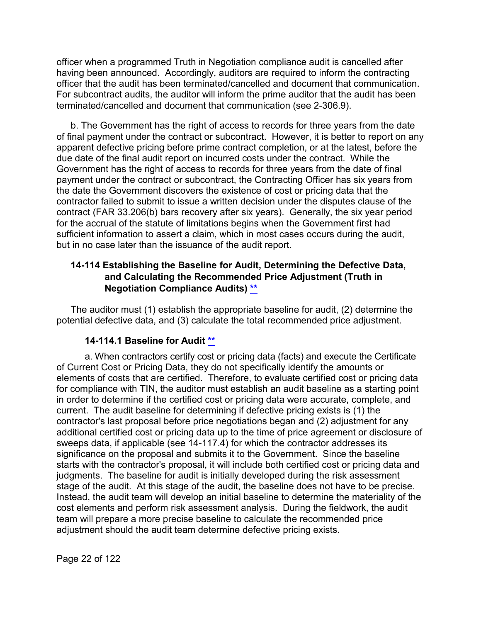officer when a programmed Truth in Negotiation compliance audit is cancelled after having been announced. Accordingly, auditors are required to inform the contracting officer that the audit has been terminated/cancelled and document that communication. For subcontract audits, the auditor will inform the prime auditor that the audit has been terminated/cancelled and document that communication (see 2-306.9).

b. The Government has the right of access to records for three years from the date of final payment under the contract or subcontract. However, it is better to report on any apparent defective pricing before prime contract completion, or at the latest, before the due date of the final audit report on incurred costs under the contract. While the Government has the right of access to records for three years from the date of final payment under the contract or subcontract, the Contracting Officer has six years from the date the Government discovers the existence of cost or pricing data that the contractor failed to submit to issue a written decision under the disputes clause of the contract (FAR 33.206(b) bars recovery after six years). Generally, the six year period for the accrual of the statute of limitations begins when the Government first had sufficient information to assert a claim, which in most cases occurs during the audit, but in no case later than the issuance of the audit report.

## <span id="page-21-0"></span>**14-114 Establishing the Baseline for Audit, Determining the Defective Data, and Calculating the Recommended Price Adjustment (Truth in Negotiation Compliance Audits) [\\*\\*](#page-1-10)**

The auditor must (1) establish the appropriate baseline for audit, (2) determine the potential defective data, and (3) calculate the total recommended price adjustment.

## **14-114.1 Baseline for Audit [\\*\\*](#page-1-11)**

<span id="page-21-1"></span>a. When contractors certify cost or pricing data (facts) and execute the Certificate of Current Cost or Pricing Data, they do not specifically identify the amounts or elements of costs that are certified. Therefore, to evaluate certified cost or pricing data for compliance with TIN, the auditor must establish an audit baseline as a starting point in order to determine if the certified cost or pricing data were accurate, complete, and current. The audit baseline for determining if defective pricing exists is (1) the contractor's last proposal before price negotiations began and (2) adjustment for any additional certified cost or pricing data up to the time of price agreement or disclosure of sweeps data, if applicable (see 14-117.4) for which the contractor addresses its significance on the proposal and submits it to the Government. Since the baseline starts with the contractor's proposal, it will include both certified cost or pricing data and judgments. The baseline for audit is initially developed during the risk assessment stage of the audit. At this stage of the audit, the baseline does not have to be precise. Instead, the audit team will develop an initial baseline to determine the materiality of the cost elements and perform risk assessment analysis. During the fieldwork, the audit team will prepare a more precise baseline to calculate the recommended price adjustment should the audit team determine defective pricing exists.

Page 22 of 122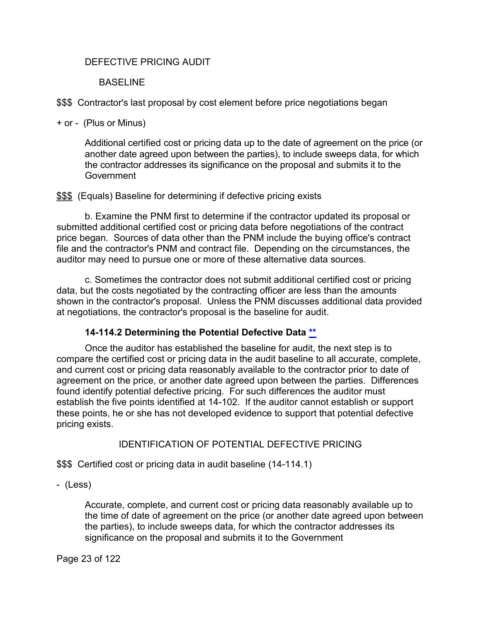#### DEFECTIVE PRICING AUDIT

#### BASELINE

\$\$\$ Contractor's last proposal by cost element before price negotiations began

+ or - (Plus or Minus)

Additional certified cost or pricing data up to the date of agreement on the price (or another date agreed upon between the parties), to include sweeps data, for which the contractor addresses its significance on the proposal and submits it to the **Government** 

**\$\$\$** (Equals) Baseline for determining if defective pricing exists

b. Examine the PNM first to determine if the contractor updated its proposal or submitted additional certified cost or pricing data before negotiations of the contract price began. Sources of data other than the PNM include the buying office's contract file and the contractor's PNM and contract file. Depending on the circumstances, the auditor may need to pursue one or more of these alternative data sources.

c. Sometimes the contractor does not submit additional certified cost or pricing data, but the costs negotiated by the contracting officer are less than the amounts shown in the contractor's proposal. Unless the PNM discusses additional data provided at negotiations, the contractor's proposal is the baseline for audit.

## **14-114.2 Determining the Potential Defective Data [\\*\\*](#page-1-12)**

<span id="page-22-0"></span>Once the auditor has established the baseline for audit, the next step is to compare the certified cost or pricing data in the audit baseline to all accurate, complete, and current cost or pricing data reasonably available to the contractor prior to date of agreement on the price, or another date agreed upon between the parties. Differences found identify potential defective pricing. For such differences the auditor must establish the five points identified at 14-102. If the auditor cannot establish or support these points, he or she has not developed evidence to support that potential defective pricing exists.

## IDENTIFICATION OF POTENTIAL DEFECTIVE PRICING

\$\$\$ Certified cost or pricing data in audit baseline (14-114.1)

- (Less)

Accurate, complete, and current cost or pricing data reasonably available up to the time of date of agreement on the price (or another date agreed upon between the parties), to include sweeps data, for which the contractor addresses its significance on the proposal and submits it to the Government

Page 23 of 122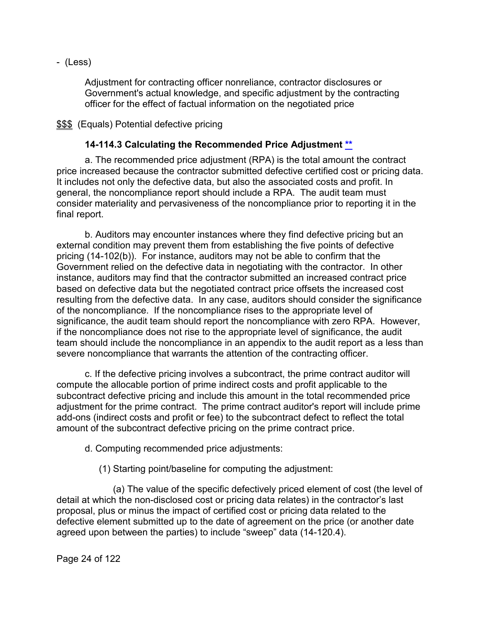- (Less)

Adjustment for contracting officer nonreliance, contractor disclosures or Government's actual knowledge, and specific adjustment by the contracting officer for the effect of factual information on the negotiated price

\$\$\$ (Equals) Potential defective pricing

#### **14-114.3 Calculating the Recommended Price Adjustment [\\*\\*](#page-1-13)**

<span id="page-23-0"></span>a. The recommended price adjustment (RPA) is the total amount the contract price increased because the contractor submitted defective certified cost or pricing data. It includes not only the defective data, but also the associated costs and profit. In general, the noncompliance report should include a RPA. The audit team must consider materiality and pervasiveness of the noncompliance prior to reporting it in the final report.

b. Auditors may encounter instances where they find defective pricing but an external condition may prevent them from establishing the five points of defective pricing (14-102(b)). For instance, auditors may not be able to confirm that the Government relied on the defective data in negotiating with the contractor. In other instance, auditors may find that the contractor submitted an increased contract price based on defective data but the negotiated contract price offsets the increased cost resulting from the defective data. In any case, auditors should consider the significance of the noncompliance. If the noncompliance rises to the appropriate level of significance, the audit team should report the noncompliance with zero RPA. However, if the noncompliance does not rise to the appropriate level of significance, the audit team should include the noncompliance in an appendix to the audit report as a less than severe noncompliance that warrants the attention of the contracting officer.

c. If the defective pricing involves a subcontract, the prime contract auditor will compute the allocable portion of prime indirect costs and profit applicable to the subcontract defective pricing and include this amount in the total recommended price adjustment for the prime contract. The prime contract auditor's report will include prime add-ons (indirect costs and profit or fee) to the subcontract defect to reflect the total amount of the subcontract defective pricing on the prime contract price.

d. Computing recommended price adjustments:

(1) Starting point/baseline for computing the adjustment:

(a) The value of the specific defectively priced element of cost (the level of detail at which the non-disclosed cost or pricing data relates) in the contractor's last proposal, plus or minus the impact of certified cost or pricing data related to the defective element submitted up to the date of agreement on the price (or another date agreed upon between the parties) to include "sweep" data (14-120.4).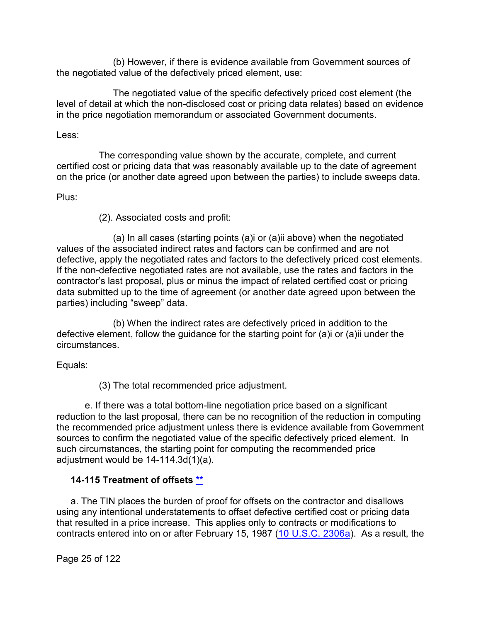(b) However, if there is evidence available from Government sources of the negotiated value of the defectively priced element, use:

The negotiated value of the specific defectively priced cost element (the level of detail at which the non-disclosed cost or pricing data relates) based on evidence in the price negotiation memorandum or associated Government documents.

#### Less:

The corresponding value shown by the accurate, complete, and current certified cost or pricing data that was reasonably available up to the date of agreement on the price (or another date agreed upon between the parties) to include sweeps data.

#### Plus:

(2). Associated costs and profit:

(a) In all cases (starting points (a)i or (a)ii above) when the negotiated values of the associated indirect rates and factors can be confirmed and are not defective, apply the negotiated rates and factors to the defectively priced cost elements. If the non-defective negotiated rates are not available, use the rates and factors in the contractor's last proposal, plus or minus the impact of related certified cost or pricing data submitted up to the time of agreement (or another date agreed upon between the parties) including "sweep" data.

(b) When the indirect rates are defectively priced in addition to the defective element, follow the guidance for the starting point for (a)i or (a)ii under the circumstances.

Equals:

(3) The total recommended price adjustment.

e. If there was a total bottom-line negotiation price based on a significant reduction to the last proposal, there can be no recognition of the reduction in computing the recommended price adjustment unless there is evidence available from Government sources to confirm the negotiated value of the specific defectively priced element. In such circumstances, the starting point for computing the recommended price adjustment would be 14-114.3d(1)(a).

## <span id="page-24-0"></span>**14-115 Treatment of offsets [\\*\\*](#page-1-14)**

a. The TIN places the burden of proof for offsets on the contractor and disallows using any intentional understatements to offset defective certified cost or pricing data that resulted in a price increase. This applies only to contracts or modifications to contracts entered into on or after February 15, 1987 [\(10 U.S.C. 2306a\)](http://uscode.house.gov/view.xhtml?req=(title:10%20section:2306a%20edition:prelim)%20OR%20(granuleid:USC-prelim-title10-section2306a)&f=treesort&edition=prelim&num=0&jumpTo=true). As a result, the

Page 25 of 122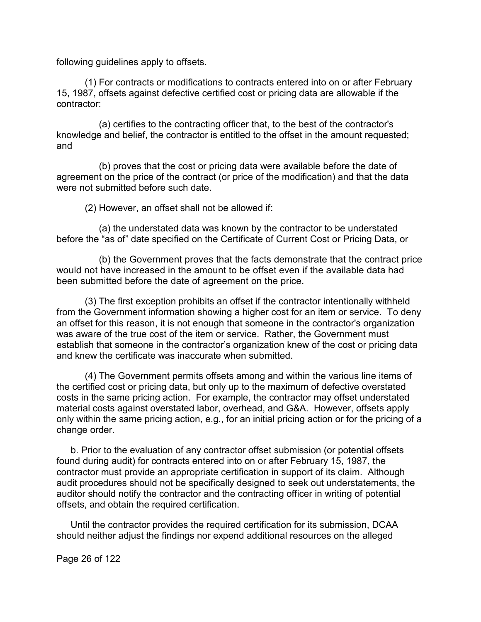following guidelines apply to offsets.

(1) For contracts or modifications to contracts entered into on or after February 15, 1987, offsets against defective certified cost or pricing data are allowable if the contractor:

(a) certifies to the contracting officer that, to the best of the contractor's knowledge and belief, the contractor is entitled to the offset in the amount requested; and

(b) proves that the cost or pricing data were available before the date of agreement on the price of the contract (or price of the modification) and that the data were not submitted before such date.

(2) However, an offset shall not be allowed if:

(a) the understated data was known by the contractor to be understated before the "as of" date specified on the Certificate of Current Cost or Pricing Data, or

(b) the Government proves that the facts demonstrate that the contract price would not have increased in the amount to be offset even if the available data had been submitted before the date of agreement on the price.

(3) The first exception prohibits an offset if the contractor intentionally withheld from the Government information showing a higher cost for an item or service. To deny an offset for this reason, it is not enough that someone in the contractor's organization was aware of the true cost of the item or service. Rather, the Government must establish that someone in the contractor's organization knew of the cost or pricing data and knew the certificate was inaccurate when submitted.

(4) The Government permits offsets among and within the various line items of the certified cost or pricing data, but only up to the maximum of defective overstated costs in the same pricing action. For example, the contractor may offset understated material costs against overstated labor, overhead, and G&A. However, offsets apply only within the same pricing action, e.g., for an initial pricing action or for the pricing of a change order.

b. Prior to the evaluation of any contractor offset submission (or potential offsets found during audit) for contracts entered into on or after February 15, 1987, the contractor must provide an appropriate certification in support of its claim. Although audit procedures should not be specifically designed to seek out understatements, the auditor should notify the contractor and the contracting officer in writing of potential offsets, and obtain the required certification.

Until the contractor provides the required certification for its submission, DCAA should neither adjust the findings nor expend additional resources on the alleged

Page 26 of 122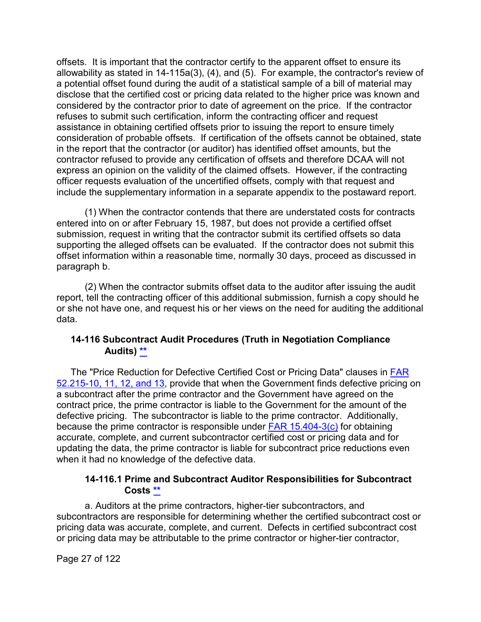offsets. It is important that the contractor certify to the apparent offset to ensure its allowability as stated in 14-115a(3), (4), and (5). For example, the contractor's review of a potential offset found during the audit of a statistical sample of a bill of material may disclose that the certified cost or pricing data related to the higher price was known and considered by the contractor prior to date of agreement on the price. If the contractor refuses to submit such certification, inform the contracting officer and request assistance in obtaining certified offsets prior to issuing the report to ensure timely consideration of probable offsets. If certification of the offsets cannot be obtained, state in the report that the contractor (or auditor) has identified offset amounts, but the contractor refused to provide any certification of offsets and therefore DCAA will not express an opinion on the validity of the claimed offsets. However, if the contracting officer requests evaluation of the uncertified offsets, comply with that request and include the supplementary information in a separate appendix to the postaward report.

(1) When the contractor contends that there are understated costs for contracts entered into on or after February 15, 1987, but does not provide a certified offset submission, request in writing that the contractor submit its certified offsets so data supporting the alleged offsets can be evaluated. If the contractor does not submit this offset information within a reasonable time, normally 30 days, proceed as discussed in paragraph b.

(2) When the contractor submits offset data to the auditor after issuing the audit report, tell the contracting officer of this additional submission, furnish a copy should he or she not have one, and request his or her views on the need for auditing the additional data.

## <span id="page-26-0"></span>**14-116 Subcontract Audit Procedures (Truth in Negotiation Compliance Audits) [\\*\\*](#page-1-15)**

The "Price Reduction for Defective Certified Cost or Pricing Data" clauses in [FAR](http://www.ecfr.gov/cgi-bin/text-idx?SID=63b2c0b6669978c5454b31e6b45877cd&mc=true&node=se48.2.52_1215_610&rgn=div8)  [52.215-10,](http://www.ecfr.gov/cgi-bin/text-idx?SID=63b2c0b6669978c5454b31e6b45877cd&mc=true&node=se48.2.52_1215_610&rgn=div8) [11,](http://www.ecfr.gov/cgi-bin/text-idx?SID=63b2c0b6669978c5454b31e6b45877cd&mc=true&node=se48.2.52_1215_611&rgn=div8) [12,](http://www.ecfr.gov/cgi-bin/text-idx?SID=63b2c0b6669978c5454b31e6b45877cd&mc=true&node=se48.2.52_1215_612&rgn=div8) and [13,](http://www.ecfr.gov/cgi-bin/text-idx?SID=63b2c0b6669978c5454b31e6b45877cd&mc=true&node=se48.2.52_1215_613&rgn=div8) provide that when the Government finds defective pricing on a subcontract after the prime contractor and the Government have agreed on the contract price, the prime contractor is liable to the Government for the amount of the defective pricing. The subcontractor is liable to the prime contractor. Additionally, because the prime contractor is responsible under [FAR 15.404-3\(c\)](http://www.ecfr.gov/cgi-bin/text-idx?SID=4c80d0d60a83184df38d145a117ca154&mc=true&node=se48.1.15_1404_63&rgn=div8) for obtaining accurate, complete, and current subcontractor certified cost or pricing data and for updating the data, the prime contractor is liable for subcontract price reductions even when it had no knowledge of the defective data.

## **14-116.1 Prime and Subcontract Auditor Responsibilities for Subcontract Costs [\\*\\*](#page-1-16)**

<span id="page-26-1"></span>a. Auditors at the prime contractors, higher-tier subcontractors, and subcontractors are responsible for determining whether the certified subcontract cost or pricing data was accurate, complete, and current. Defects in certified subcontract cost or pricing data may be attributable to the prime contractor or higher-tier contractor,

Page 27 of 122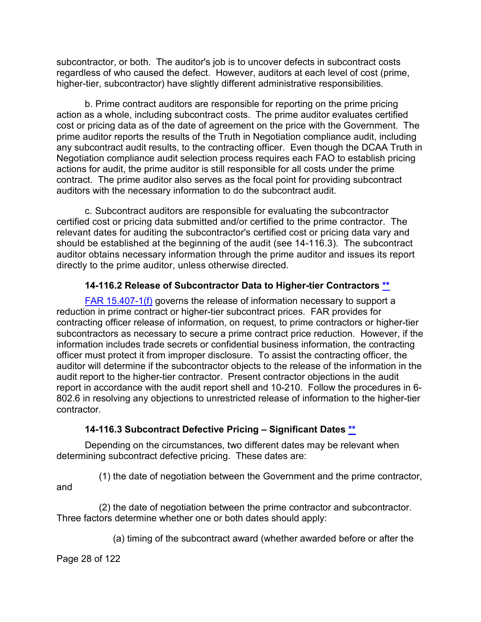subcontractor, or both. The auditor's job is to uncover defects in subcontract costs regardless of who caused the defect. However, auditors at each level of cost (prime, higher-tier, subcontractor) have slightly different administrative responsibilities.

b. Prime contract auditors are responsible for reporting on the prime pricing action as a whole, including subcontract costs. The prime auditor evaluates certified cost or pricing data as of the date of agreement on the price with the Government. The prime auditor reports the results of the Truth in Negotiation compliance audit, including any subcontract audit results, to the contracting officer. Even though the DCAA Truth in Negotiation compliance audit selection process requires each FAO to establish pricing actions for audit, the prime auditor is still responsible for all costs under the prime contract. The prime auditor also serves as the focal point for providing subcontract auditors with the necessary information to do the subcontract audit.

c. Subcontract auditors are responsible for evaluating the subcontractor certified cost or pricing data submitted and/or certified to the prime contractor. The relevant dates for auditing the subcontractor's certified cost or pricing data vary and should be established at the beginning of the audit (see 14-116.3). The subcontract auditor obtains necessary information through the prime auditor and issues its report directly to the prime auditor, unless otherwise directed.

#### **14-116.2 Release of Subcontractor Data to Higher-tier Contractors [\\*\\*](#page-1-17)**

<span id="page-27-0"></span>[FAR 15.407-1\(f\)](http://www.ecfr.gov/cgi-bin/text-idx?SID=4c80d0d60a83184df38d145a117ca154&mc=true&node=se48.1.15_1407_61&rgn=div8) governs the release of information necessary to support a reduction in prime contract or higher-tier subcontract prices. FAR provides for contracting officer release of information, on request, to prime contractors or higher-tier subcontractors as necessary to secure a prime contract price reduction. However, if the information includes trade secrets or confidential business information, the contracting officer must protect it from improper disclosure. To assist the contracting officer, the auditor will determine if the subcontractor objects to the release of the information in the audit report to the higher-tier contractor. Present contractor objections in the audit report in accordance with the audit report shell and 10-210. Follow the procedures in 6- 802.6 in resolving any objections to unrestricted release of information to the higher-tier contractor.

## **14-116.3 Subcontract Defective Pricing – Significant Dates [\\*\\*](#page-1-18)**

<span id="page-27-1"></span>Depending on the circumstances, two different dates may be relevant when determining subcontract defective pricing. These dates are:

(1) the date of negotiation between the Government and the prime contractor, and

(2) the date of negotiation between the prime contractor and subcontractor. Three factors determine whether one or both dates should apply:

(a) timing of the subcontract award (whether awarded before or after the

Page 28 of 122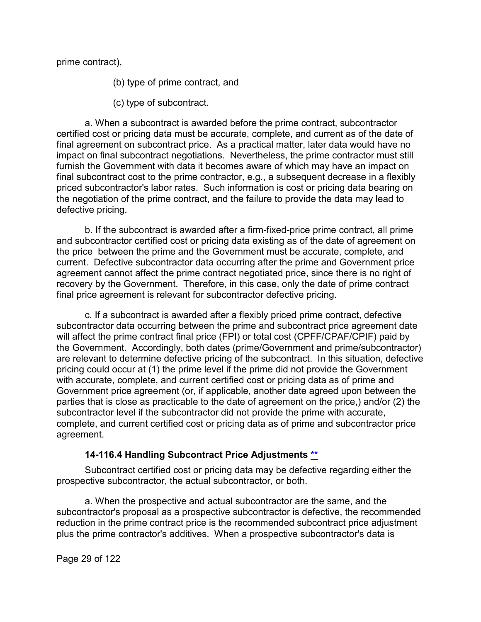prime contract),

(b) type of prime contract, and

(c) type of subcontract.

a. When a subcontract is awarded before the prime contract, subcontractor certified cost or pricing data must be accurate, complete, and current as of the date of final agreement on subcontract price. As a practical matter, later data would have no impact on final subcontract negotiations. Nevertheless, the prime contractor must still furnish the Government with data it becomes aware of which may have an impact on final subcontract cost to the prime contractor, e.g., a subsequent decrease in a flexibly priced subcontractor's labor rates. Such information is cost or pricing data bearing on the negotiation of the prime contract, and the failure to provide the data may lead to defective pricing.

b. If the subcontract is awarded after a firm-fixed-price prime contract, all prime and subcontractor certified cost or pricing data existing as of the date of agreement on the price between the prime and the Government must be accurate, complete, and current. Defective subcontractor data occurring after the prime and Government price agreement cannot affect the prime contract negotiated price, since there is no right of recovery by the Government. Therefore, in this case, only the date of prime contract final price agreement is relevant for subcontractor defective pricing.

c. If a subcontract is awarded after a flexibly priced prime contract, defective subcontractor data occurring between the prime and subcontract price agreement date will affect the prime contract final price (FPI) or total cost (CPFF/CPAF/CPIF) paid by the Government. Accordingly, both dates (prime/Government and prime/subcontractor) are relevant to determine defective pricing of the subcontract. In this situation, defective pricing could occur at (1) the prime level if the prime did not provide the Government with accurate, complete, and current certified cost or pricing data as of prime and Government price agreement (or, if applicable, another date agreed upon between the parties that is close as practicable to the date of agreement on the price,) and/or (2) the subcontractor level if the subcontractor did not provide the prime with accurate, complete, and current certified cost or pricing data as of prime and subcontractor price agreement.

## **14-116.4 Handling Subcontract Price Adjustments [\\*\\*](#page-1-19)**

<span id="page-28-0"></span>Subcontract certified cost or pricing data may be defective regarding either the prospective subcontractor, the actual subcontractor, or both.

a. When the prospective and actual subcontractor are the same, and the subcontractor's proposal as a prospective subcontractor is defective, the recommended reduction in the prime contract price is the recommended subcontract price adjustment plus the prime contractor's additives. When a prospective subcontractor's data is

Page 29 of 122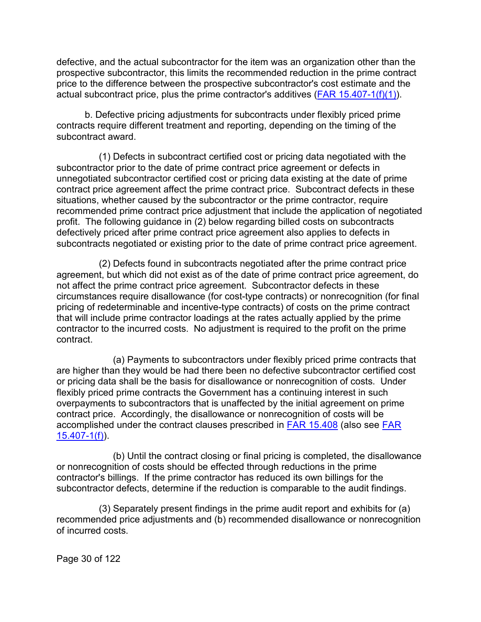defective, and the actual subcontractor for the item was an organization other than the prospective subcontractor, this limits the recommended reduction in the prime contract price to the difference between the prospective subcontractor's cost estimate and the actual subcontract price, plus the prime contractor's additives  $(FAR 15.407-1(f)(1))$ .

b. Defective pricing adjustments for subcontracts under flexibly priced prime contracts require different treatment and reporting, depending on the timing of the subcontract award.

(1) Defects in subcontract certified cost or pricing data negotiated with the subcontractor prior to the date of prime contract price agreement or defects in unnegotiated subcontractor certified cost or pricing data existing at the date of prime contract price agreement affect the prime contract price. Subcontract defects in these situations, whether caused by the subcontractor or the prime contractor, require recommended prime contract price adjustment that include the application of negotiated profit. The following guidance in (2) below regarding billed costs on subcontracts defectively priced after prime contract price agreement also applies to defects in subcontracts negotiated or existing prior to the date of prime contract price agreement.

(2) Defects found in subcontracts negotiated after the prime contract price agreement, but which did not exist as of the date of prime contract price agreement, do not affect the prime contract price agreement. Subcontractor defects in these circumstances require disallowance (for cost-type contracts) or nonrecognition (for final pricing of redeterminable and incentive-type contracts) of costs on the prime contract that will include prime contractor loadings at the rates actually applied by the prime contractor to the incurred costs. No adjustment is required to the profit on the prime contract.

(a) Payments to subcontractors under flexibly priced prime contracts that are higher than they would be had there been no defective subcontractor certified cost or pricing data shall be the basis for disallowance or nonrecognition of costs. Under flexibly priced prime contracts the Government has a continuing interest in such overpayments to subcontractors that is unaffected by the initial agreement on prime contract price. Accordingly, the disallowance or nonrecognition of costs will be accomplished under the contract clauses prescribed in [FAR 15.408](http://www.ecfr.gov/cgi-bin/text-idx?SID=4c80d0d60a83184df38d145a117ca154&mc=true&node=se48.1.15_1408&rgn=div8) (also see [FAR](http://www.ecfr.gov/cgi-bin/text-idx?SID=4c80d0d60a83184df38d145a117ca154&mc=true&node=se48.1.15_1407_61&rgn=div8)  [15.407-1\(f\)\)](http://www.ecfr.gov/cgi-bin/text-idx?SID=4c80d0d60a83184df38d145a117ca154&mc=true&node=se48.1.15_1407_61&rgn=div8).

(b) Until the contract closing or final pricing is completed, the disallowance or nonrecognition of costs should be effected through reductions in the prime contractor's billings. If the prime contractor has reduced its own billings for the subcontractor defects, determine if the reduction is comparable to the audit findings.

(3) Separately present findings in the prime audit report and exhibits for (a) recommended price adjustments and (b) recommended disallowance or nonrecognition of incurred costs.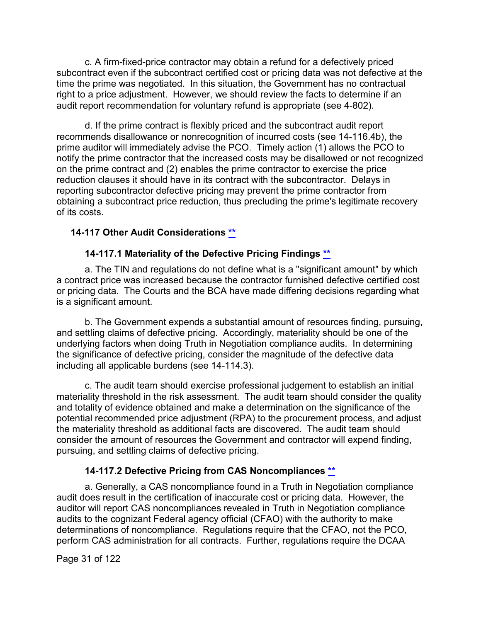c. A firm-fixed-price contractor may obtain a refund for a defectively priced subcontract even if the subcontract certified cost or pricing data was not defective at the time the prime was negotiated. In this situation, the Government has no contractual right to a price adjustment. However, we should review the facts to determine if an audit report recommendation for voluntary refund is appropriate (see 4-802).

d. If the prime contract is flexibly priced and the subcontract audit report recommends disallowance or nonrecognition of incurred costs (see 14-116.4b), the prime auditor will immediately advise the PCO. Timely action (1) allows the PCO to notify the prime contractor that the increased costs may be disallowed or not recognized on the prime contract and (2) enables the prime contractor to exercise the price reduction clauses it should have in its contract with the subcontractor. Delays in reporting subcontractor defective pricing may prevent the prime contractor from obtaining a subcontract price reduction, thus precluding the prime's legitimate recovery of its costs.

## <span id="page-30-0"></span>**14-117 Other Audit Considerations [\\*\\*](#page-1-20)**

#### **14-117.1 Materiality of the Defective Pricing Findings [\\*\\*](#page-1-21)**

<span id="page-30-1"></span>a. The TIN and regulations do not define what is a "significant amount" by which a contract price was increased because the contractor furnished defective certified cost or pricing data. The Courts and the BCA have made differing decisions regarding what is a significant amount.

b. The Government expends a substantial amount of resources finding, pursuing, and settling claims of defective pricing. Accordingly, materiality should be one of the underlying factors when doing Truth in Negotiation compliance audits. In determining the significance of defective pricing, consider the magnitude of the defective data including all applicable burdens (see 14-114.3).

c. The audit team should exercise professional judgement to establish an initial materiality threshold in the risk assessment. The audit team should consider the quality and totality of evidence obtained and make a determination on the significance of the potential recommended price adjustment (RPA) to the procurement process, and adjust the materiality threshold as additional facts are discovered. The audit team should consider the amount of resources the Government and contractor will expend finding, pursuing, and settling claims of defective pricing.

## **14-117.2 Defective Pricing from CAS Noncompliances [\\*\\*](#page-2-0)**

<span id="page-30-2"></span>a. Generally, a CAS noncompliance found in a Truth in Negotiation compliance audit does result in the certification of inaccurate cost or pricing data. However, the auditor will report CAS noncompliances revealed in Truth in Negotiation compliance audits to the cognizant Federal agency official (CFAO) with the authority to make determinations of noncompliance. Regulations require that the CFAO, not the PCO, perform CAS administration for all contracts. Further, regulations require the DCAA

Page 31 of 122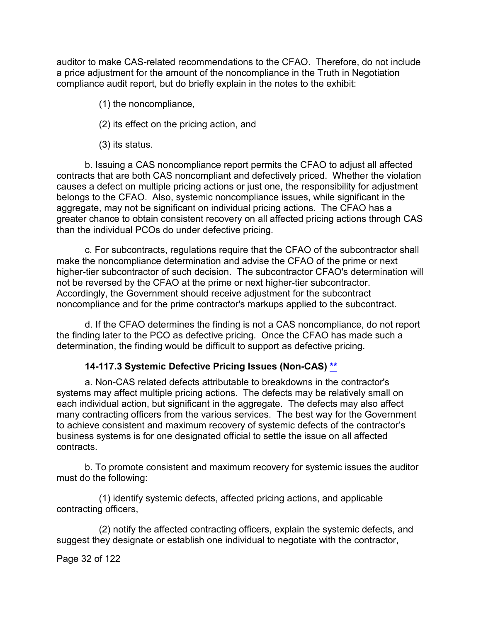auditor to make CAS-related recommendations to the CFAO. Therefore, do not include a price adjustment for the amount of the noncompliance in the Truth in Negotiation compliance audit report, but do briefly explain in the notes to the exhibit:

(1) the noncompliance,

(2) its effect on the pricing action, and

(3) its status.

b. Issuing a CAS noncompliance report permits the CFAO to adjust all affected contracts that are both CAS noncompliant and defectively priced. Whether the violation causes a defect on multiple pricing actions or just one, the responsibility for adjustment belongs to the CFAO. Also, systemic noncompliance issues, while significant in the aggregate, may not be significant on individual pricing actions. The CFAO has a greater chance to obtain consistent recovery on all affected pricing actions through CAS than the individual PCOs do under defective pricing.

c. For subcontracts, regulations require that the CFAO of the subcontractor shall make the noncompliance determination and advise the CFAO of the prime or next higher-tier subcontractor of such decision. The subcontractor CFAO's determination will not be reversed by the CFAO at the prime or next higher-tier subcontractor. Accordingly, the Government should receive adjustment for the subcontract noncompliance and for the prime contractor's markups applied to the subcontract.

d. If the CFAO determines the finding is not a CAS noncompliance, do not report the finding later to the PCO as defective pricing. Once the CFAO has made such a determination, the finding would be difficult to support as defective pricing.

## **14-117.3 Systemic Defective Pricing Issues (Non-CAS) [\\*\\*](#page-2-1)**

<span id="page-31-0"></span>a. Non-CAS related defects attributable to breakdowns in the contractor's systems may affect multiple pricing actions. The defects may be relatively small on each individual action, but significant in the aggregate. The defects may also affect many contracting officers from the various services. The best way for the Government to achieve consistent and maximum recovery of systemic defects of the contractor's business systems is for one designated official to settle the issue on all affected contracts.

b. To promote consistent and maximum recovery for systemic issues the auditor must do the following:

(1) identify systemic defects, affected pricing actions, and applicable contracting officers,

(2) notify the affected contracting officers, explain the systemic defects, and suggest they designate or establish one individual to negotiate with the contractor,

Page 32 of 122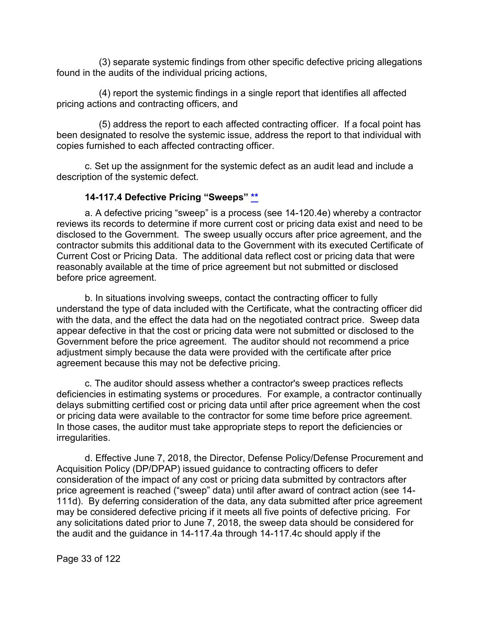(3) separate systemic findings from other specific defective pricing allegations found in the audits of the individual pricing actions,

(4) report the systemic findings in a single report that identifies all affected pricing actions and contracting officers, and

(5) address the report to each affected contracting officer. If a focal point has been designated to resolve the systemic issue, address the report to that individual with copies furnished to each affected contracting officer.

c. Set up the assignment for the systemic defect as an audit lead and include a description of the systemic defect.

#### **14-117.4 Defective Pricing "Sweeps" [\\*\\*](#page-2-2)**

<span id="page-32-0"></span>a. A defective pricing "sweep" is a process (see 14-120.4e) whereby a contractor reviews its records to determine if more current cost or pricing data exist and need to be disclosed to the Government. The sweep usually occurs after price agreement, and the contractor submits this additional data to the Government with its executed Certificate of Current Cost or Pricing Data. The additional data reflect cost or pricing data that were reasonably available at the time of price agreement but not submitted or disclosed before price agreement.

b. In situations involving sweeps, contact the contracting officer to fully understand the type of data included with the Certificate, what the contracting officer did with the data, and the effect the data had on the negotiated contract price. Sweep data appear defective in that the cost or pricing data were not submitted or disclosed to the Government before the price agreement. The auditor should not recommend a price adjustment simply because the data were provided with the certificate after price agreement because this may not be defective pricing.

c. The auditor should assess whether a contractor's sweep practices reflects deficiencies in estimating systems or procedures. For example, a contractor continually delays submitting certified cost or pricing data until after price agreement when the cost or pricing data were available to the contractor for some time before price agreement. In those cases, the auditor must take appropriate steps to report the deficiencies or irregularities.

d. Effective June 7, 2018, the Director, Defense Policy/Defense Procurement and Acquisition Policy (DP/DPAP) issued guidance to contracting officers to defer consideration of the impact of any cost or pricing data submitted by contractors after price agreement is reached ("sweep" data) until after award of contract action (see 14- 111d). By deferring consideration of the data, any data submitted after price agreement may be considered defective pricing if it meets all five points of defective pricing. For any solicitations dated prior to June 7, 2018, the sweep data should be considered for the audit and the guidance in 14-117.4a through 14-117.4c should apply if the

Page 33 of 122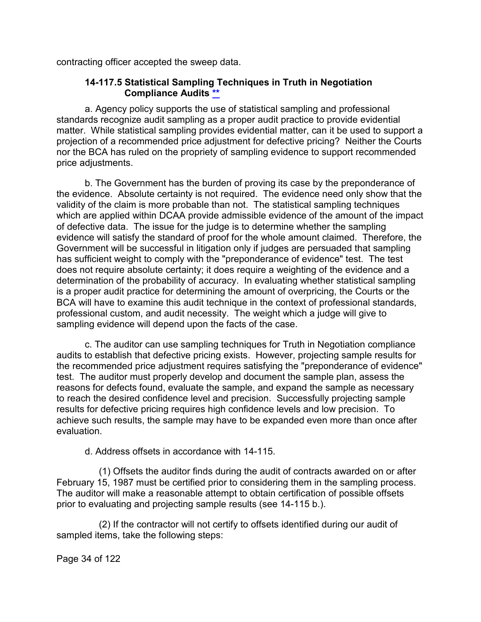<span id="page-33-0"></span>contracting officer accepted the sweep data.

#### **14-117.5 Statistical Sampling Techniques in Truth in Negotiation Compliance Audits [\\*\\*](#page-2-3)**

a. Agency policy supports the use of statistical sampling and professional standards recognize audit sampling as a proper audit practice to provide evidential matter. While statistical sampling provides evidential matter, can it be used to support a projection of a recommended price adjustment for defective pricing? Neither the Courts nor the BCA has ruled on the propriety of sampling evidence to support recommended price adjustments.

b. The Government has the burden of proving its case by the preponderance of the evidence. Absolute certainty is not required. The evidence need only show that the validity of the claim is more probable than not. The statistical sampling techniques which are applied within DCAA provide admissible evidence of the amount of the impact of defective data. The issue for the judge is to determine whether the sampling evidence will satisfy the standard of proof for the whole amount claimed. Therefore, the Government will be successful in litigation only if judges are persuaded that sampling has sufficient weight to comply with the "preponderance of evidence" test. The test does not require absolute certainty; it does require a weighting of the evidence and a determination of the probability of accuracy. In evaluating whether statistical sampling is a proper audit practice for determining the amount of overpricing, the Courts or the BCA will have to examine this audit technique in the context of professional standards, professional custom, and audit necessity. The weight which a judge will give to sampling evidence will depend upon the facts of the case.

c. The auditor can use sampling techniques for Truth in Negotiation compliance audits to establish that defective pricing exists. However, projecting sample results for the recommended price adjustment requires satisfying the "preponderance of evidence" test. The auditor must properly develop and document the sample plan, assess the reasons for defects found, evaluate the sample, and expand the sample as necessary to reach the desired confidence level and precision. Successfully projecting sample results for defective pricing requires high confidence levels and low precision. To achieve such results, the sample may have to be expanded even more than once after evaluation.

d. Address offsets in accordance with 14-115.

(1) Offsets the auditor finds during the audit of contracts awarded on or after February 15, 1987 must be certified prior to considering them in the sampling process. The auditor will make a reasonable attempt to obtain certification of possible offsets prior to evaluating and projecting sample results (see 14-115 b.).

(2) If the contractor will not certify to offsets identified during our audit of sampled items, take the following steps:

Page 34 of 122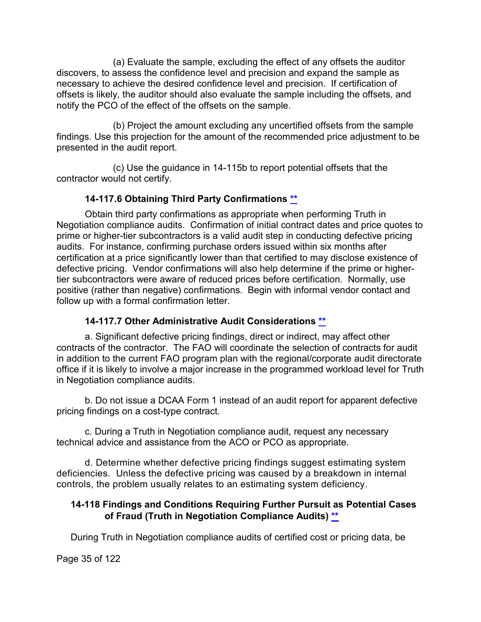(a) Evaluate the sample, excluding the effect of any offsets the auditor discovers, to assess the confidence level and precision and expand the sample as necessary to achieve the desired confidence level and precision. If certification of offsets is likely, the auditor should also evaluate the sample including the offsets, and notify the PCO of the effect of the offsets on the sample.

(b) Project the amount excluding any uncertified offsets from the sample findings. Use this projection for the amount of the recommended price adjustment to be presented in the audit report.

(c) Use the guidance in 14-115b to report potential offsets that the contractor would not certify.

# **14-117.6 Obtaining Third Party Confirmations [\\*\\*](#page-2-4)**

<span id="page-34-0"></span>Obtain third party confirmations as appropriate when performing Truth in Negotiation compliance audits. Confirmation of initial contract dates and price quotes to prime or higher-tier subcontractors is a valid audit step in conducting defective pricing audits. For instance, confirming purchase orders issued within six months after certification at a price significantly lower than that certified to may disclose existence of defective pricing. Vendor confirmations will also help determine if the prime or highertier subcontractors were aware of reduced prices before certification. Normally, use positive (rather than negative) confirmations. Begin with informal vendor contact and follow up with a formal confirmation letter.

# <span id="page-34-1"></span>**14-117.7 Other Administrative Audit Considerations [\\*\\*](#page-2-5)**

a. Significant defective pricing findings, direct or indirect, may affect other contracts of the contractor. The FAO will coordinate the selection of contracts for audit in addition to the current FAO program plan with the regional/corporate audit directorate office if it is likely to involve a major increase in the programmed workload level for Truth in Negotiation compliance audits.

b. Do not issue a DCAA Form 1 instead of an audit report for apparent defective pricing findings on a cost-type contract.

c. During a Truth in Negotiation compliance audit, request any necessary technical advice and assistance from the ACO or PCO as appropriate.

d. Determine whether defective pricing findings suggest estimating system deficiencies. Unless the defective pricing was caused by a breakdown in internal controls, the problem usually relates to an estimating system deficiency.

## <span id="page-34-2"></span>**14-118 Findings and Conditions Requiring Further Pursuit as Potential Cases of Fraud (Truth in Negotiation Compliance Audits) [\\*\\*](#page-2-6)**

During Truth in Negotiation compliance audits of certified cost or pricing data, be

Page 35 of 122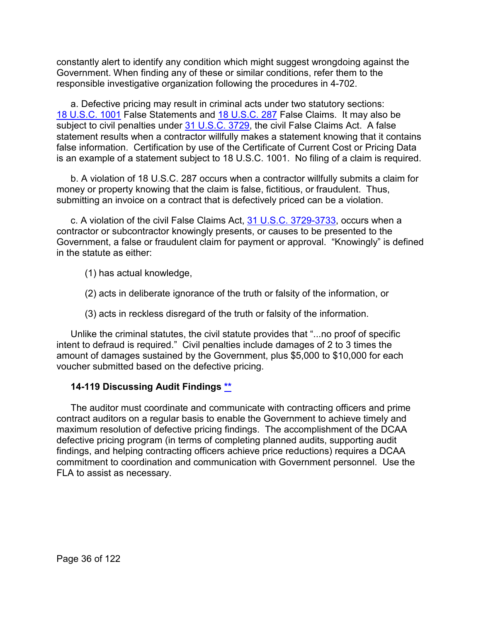constantly alert to identify any condition which might suggest wrongdoing against the Government. When finding any of these or similar conditions, refer them to the responsible investigative organization following the procedures in 4-702.

a. Defective pricing may result in criminal acts under two statutory sections: [18 U.S.C. 1001](http://uscode.house.gov/view.xhtml?req=(title:18%20section:1001%20edition:prelim)%20OR%20(granuleid:USC-prelim-title18-section1001)&f=treesort&edition=prelim&num=0&jumpTo=true) False Statements and [18 U.S.C. 287](http://uscode.house.gov/view.xhtml?req=(title:18%20section:287%20edition:prelim)%20OR%20(granuleid:USC-prelim-title18-section287)&f=treesort&edition=prelim&num=0&jumpTo=true) False Claims. It may also be subject to civil penalties under [31 U.S.C. 3729,](http://uscode.house.gov/view.xhtml?req=(title:31%20section:3729%20edition:prelim)%20OR%20(granuleid:USC-prelim-title31-section3729)&f=treesort&edition=prelim&num=0&jumpTo=true) the civil False Claims Act. A false statement results when a contractor willfully makes a statement knowing that it contains false information. Certification by use of the Certificate of Current Cost or Pricing Data is an example of a statement subject to 18 U.S.C. 1001. No filing of a claim is required.

b. A violation of 18 U.S.C. 287 occurs when a contractor willfully submits a claim for money or property knowing that the claim is false, fictitious, or fraudulent. Thus, submitting an invoice on a contract that is defectively priced can be a violation.

c. A violation of the civil False Claims Act, [31 U.S.C. 3729-3733,](http://uscode.house.gov/view.xhtml?path=/prelim@title31/subtitle3/chapter37&edition=prelim) occurs when a contractor or subcontractor knowingly presents, or causes to be presented to the Government, a false or fraudulent claim for payment or approval. "Knowingly" is defined in the statute as either:

- (1) has actual knowledge,
- (2) acts in deliberate ignorance of the truth or falsity of the information, or
- (3) acts in reckless disregard of the truth or falsity of the information.

Unlike the criminal statutes, the civil statute provides that "...no proof of specific intent to defraud is required." Civil penalties include damages of 2 to 3 times the amount of damages sustained by the Government, plus \$5,000 to \$10,000 for each voucher submitted based on the defective pricing.

## <span id="page-35-0"></span>**14-119 Discussing Audit Findings [\\*\\*](#page-2-7)**

The auditor must coordinate and communicate with contracting officers and prime contract auditors on a regular basis to enable the Government to achieve timely and maximum resolution of defective pricing findings. The accomplishment of the DCAA defective pricing program (in terms of completing planned audits, supporting audit findings, and helping contracting officers achieve price reductions) requires a DCAA commitment to coordination and communication with Government personnel. Use the FLA to assist as necessary.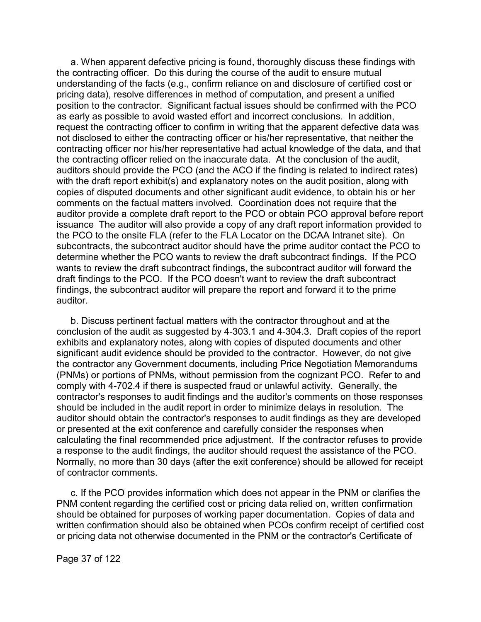a. When apparent defective pricing is found, thoroughly discuss these findings with the contracting officer. Do this during the course of the audit to ensure mutual understanding of the facts (e.g., confirm reliance on and disclosure of certified cost or pricing data), resolve differences in method of computation, and present a unified position to the contractor. Significant factual issues should be confirmed with the PCO as early as possible to avoid wasted effort and incorrect conclusions. In addition, request the contracting officer to confirm in writing that the apparent defective data was not disclosed to either the contracting officer or his/her representative, that neither the contracting officer nor his/her representative had actual knowledge of the data, and that the contracting officer relied on the inaccurate data. At the conclusion of the audit, auditors should provide the PCO (and the ACO if the finding is related to indirect rates) with the draft report exhibit(s) and explanatory notes on the audit position, along with copies of disputed documents and other significant audit evidence, to obtain his or her comments on the factual matters involved. Coordination does not require that the auditor provide a complete draft report to the PCO or obtain PCO approval before report issuance The auditor will also provide a copy of any draft report information provided to the PCO to the onsite FLA (refer to the FLA Locator on the DCAA Intranet site). On subcontracts, the subcontract auditor should have the prime auditor contact the PCO to determine whether the PCO wants to review the draft subcontract findings. If the PCO wants to review the draft subcontract findings, the subcontract auditor will forward the draft findings to the PCO. If the PCO doesn't want to review the draft subcontract findings, the subcontract auditor will prepare the report and forward it to the prime auditor.

b. Discuss pertinent factual matters with the contractor throughout and at the conclusion of the audit as suggested by 4-303.1 and 4-304.3. Draft copies of the report exhibits and explanatory notes, along with copies of disputed documents and other significant audit evidence should be provided to the contractor. However, do not give the contractor any Government documents, including Price Negotiation Memorandums (PNMs) or portions of PNMs, without permission from the cognizant PCO. Refer to and comply with 4-702.4 if there is suspected fraud or unlawful activity. Generally, the contractor's responses to audit findings and the auditor's comments on those responses should be included in the audit report in order to minimize delays in resolution. The auditor should obtain the contractor's responses to audit findings as they are developed or presented at the exit conference and carefully consider the responses when calculating the final recommended price adjustment. If the contractor refuses to provide a response to the audit findings, the auditor should request the assistance of the PCO. Normally, no more than 30 days (after the exit conference) should be allowed for receipt of contractor comments.

c. If the PCO provides information which does not appear in the PNM or clarifies the PNM content regarding the certified cost or pricing data relied on, written confirmation should be obtained for purposes of working paper documentation. Copies of data and written confirmation should also be obtained when PCOs confirm receipt of certified cost or pricing data not otherwise documented in the PNM or the contractor's Certificate of

Page 37 of 122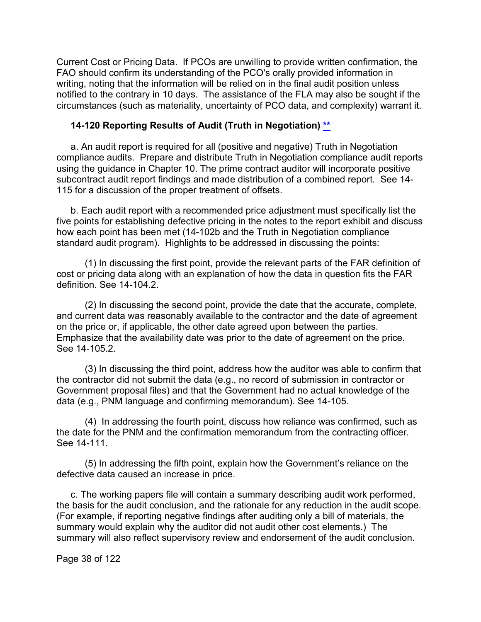Current Cost or Pricing Data. If PCOs are unwilling to provide written confirmation, the FAO should confirm its understanding of the PCO's orally provided information in writing, noting that the information will be relied on in the final audit position unless notified to the contrary in 10 days. The assistance of the FLA may also be sought if the circumstances (such as materiality, uncertainty of PCO data, and complexity) warrant it.

#### **14-120 Reporting Results of Audit (Truth in Negotiation) [\\*\\*](#page-2-0)**

a. An audit report is required for all (positive and negative) Truth in Negotiation compliance audits. Prepare and distribute Truth in Negotiation compliance audit reports using the guidance in Chapter 10. The prime contract auditor will incorporate positive subcontract audit report findings and made distribution of a combined report. See 14- 115 for a discussion of the proper treatment of offsets.

b. Each audit report with a recommended price adjustment must specifically list the five points for establishing defective pricing in the notes to the report exhibit and discuss how each point has been met (14-102b and the Truth in Negotiation compliance standard audit program). Highlights to be addressed in discussing the points:

(1) In discussing the first point, provide the relevant parts of the FAR definition of cost or pricing data along with an explanation of how the data in question fits the FAR definition. See 14-104.2.

(2) In discussing the second point, provide the date that the accurate, complete, and current data was reasonably available to the contractor and the date of agreement on the price or, if applicable, the other date agreed upon between the parties. Emphasize that the availability date was prior to the date of agreement on the price. See 14-105.2.

(3) In discussing the third point, address how the auditor was able to confirm that the contractor did not submit the data (e.g., no record of submission in contractor or Government proposal files) and that the Government had no actual knowledge of the data (e.g., PNM language and confirming memorandum). See 14-105.

(4) In addressing the fourth point, discuss how reliance was confirmed, such as the date for the PNM and the confirmation memorandum from the contracting officer. See 14-111.

(5) In addressing the fifth point, explain how the Government's reliance on the defective data caused an increase in price.

c. The working papers file will contain a summary describing audit work performed, the basis for the audit conclusion, and the rationale for any reduction in the audit scope. (For example, if reporting negative findings after auditing only a bill of materials, the summary would explain why the auditor did not audit other cost elements.) The summary will also reflect supervisory review and endorsement of the audit conclusion.

Page 38 of 122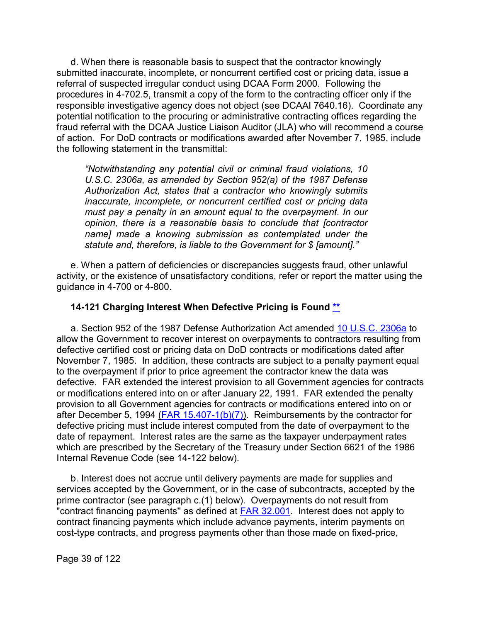d. When there is reasonable basis to suspect that the contractor knowingly submitted inaccurate, incomplete, or noncurrent certified cost or pricing data, issue a referral of suspected irregular conduct using DCAA Form 2000. Following the procedures in 4-702.5, transmit a copy of the form to the contracting officer only if the responsible investigative agency does not object (see DCAAI 7640.16). Coordinate any potential notification to the procuring or administrative contracting offices regarding the fraud referral with the DCAA Justice Liaison Auditor (JLA) who will recommend a course of action. For DoD contracts or modifications awarded after November 7, 1985, include the following statement in the transmittal:

*"Notwithstanding any potential civil or criminal fraud violations, 10 U.S.C. 2306a, as amended by Section 952(a) of the 1987 Defense Authorization Act, states that a contractor who knowingly submits inaccurate, incomplete, or noncurrent certified cost or pricing data must pay a penalty in an amount equal to the overpayment. In our opinion, there is a reasonable basis to conclude that [contractor name] made a knowing submission as contemplated under the statute and, therefore, is liable to the Government for \$ [amount]."*

e. When a pattern of deficiencies or discrepancies suggests fraud, other unlawful activity, or the existence of unsatisfactory conditions, refer or report the matter using the guidance in 4-700 or 4-800.

#### **14-121 Charging Interest When Defective Pricing is Found [\\*\\*](#page-2-1)**

a. Section 952 of the 1987 Defense Authorization Act amended [10 U.S.C. 2306a](http://uscode.house.gov/view.xhtml?req=(title:10%20section:2306a%20edition:prelim)%20OR%20(granuleid:USC-prelim-title10-section2306a)&f=treesort&edition=prelim&num=0&jumpTo=true) to allow the Government to recover interest on overpayments to contractors resulting from defective certified cost or pricing data on DoD contracts or modifications dated after November 7, 1985. In addition, these contracts are subject to a penalty payment equal to the overpayment if prior to price agreement the contractor knew the data was defective. FAR extended the interest provision to all Government agencies for contracts or modifications entered into on or after January 22, 1991. FAR extended the penalty provision to all Government agencies for contracts or modifications entered into on or after December 5, 1994  $(FAR 15.407-1(b)(7))$ . Reimbursements by the contractor for defective pricing must include interest computed from the date of overpayment to the date of repayment. Interest rates are the same as the taxpayer underpayment rates which are prescribed by the Secretary of the Treasury under Section 6621 of the 1986 Internal Revenue Code (see 14-122 below).

b. Interest does not accrue until delivery payments are made for supplies and services accepted by the Government, or in the case of subcontracts, accepted by the prime contractor (see paragraph c.(1) below). Overpayments do not result from "contract financing payments" as defined at **FAR 32.001**. Interest does not apply to contract financing payments which include advance payments, interim payments on cost-type contracts, and progress payments other than those made on fixed-price,

Page 39 of 122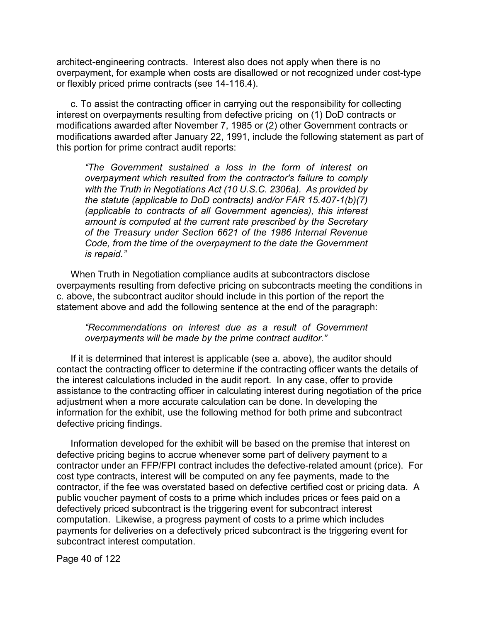architect-engineering contracts. Interest also does not apply when there is no overpayment, for example when costs are disallowed or not recognized under cost-type or flexibly priced prime contracts (see 14-116.4).

c. To assist the contracting officer in carrying out the responsibility for collecting interest on overpayments resulting from defective pricing on (1) DoD contracts or modifications awarded after November 7, 1985 or (2) other Government contracts or modifications awarded after January 22, 1991, include the following statement as part of this portion for prime contract audit reports:

*"The Government sustained a loss in the form of interest on overpayment which resulted from the contractor's failure to comply with the Truth in Negotiations Act (10 U.S.C. 2306a). As provided by the statute (applicable to DoD contracts) and/or FAR 15.407-1(b)(7) (applicable to contracts of all Government agencies), this interest amount is computed at the current rate prescribed by the Secretary of the Treasury under Section 6621 of the 1986 Internal Revenue Code, from the time of the overpayment to the date the Government is repaid."*

When Truth in Negotiation compliance audits at subcontractors disclose overpayments resulting from defective pricing on subcontracts meeting the conditions in c. above, the subcontract auditor should include in this portion of the report the statement above and add the following sentence at the end of the paragraph:

*"Recommendations on interest due as a result of Government overpayments will be made by the prime contract auditor."*

If it is determined that interest is applicable (see a. above), the auditor should contact the contracting officer to determine if the contracting officer wants the details of the interest calculations included in the audit report. In any case, offer to provide assistance to the contracting officer in calculating interest during negotiation of the price adjustment when a more accurate calculation can be done. In developing the information for the exhibit, use the following method for both prime and subcontract defective pricing findings.

Information developed for the exhibit will be based on the premise that interest on defective pricing begins to accrue whenever some part of delivery payment to a contractor under an FFP/FPI contract includes the defective-related amount (price). For cost type contracts, interest will be computed on any fee payments, made to the contractor, if the fee was overstated based on defective certified cost or pricing data. A public voucher payment of costs to a prime which includes prices or fees paid on a defectively priced subcontract is the triggering event for subcontract interest computation. Likewise, a progress payment of costs to a prime which includes payments for deliveries on a defectively priced subcontract is the triggering event for subcontract interest computation.

Page 40 of 122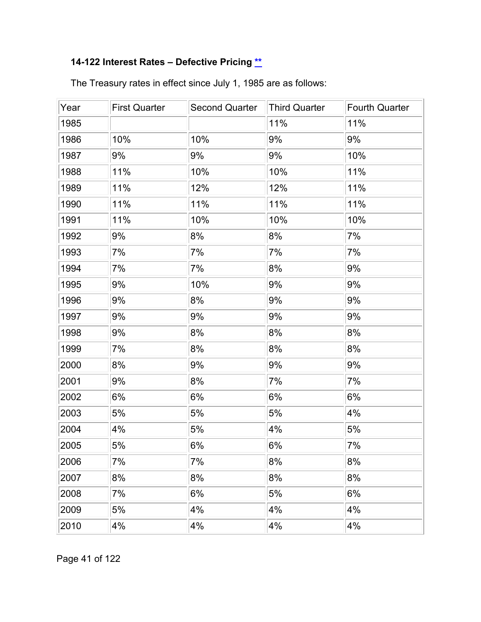# **14-122 Interest Rates – Defective Pricing [\\*\\*](#page-2-2)**

| Year | <b>First Quarter</b> | <b>Second Quarter</b> | <b>Third Quarter</b> | <b>Fourth Quarter</b> |
|------|----------------------|-----------------------|----------------------|-----------------------|
| 1985 |                      |                       | 11%                  | 11%                   |
| 1986 | 10%                  | 10%                   | 9%                   | 9%                    |
| 1987 | 9%                   | 9%                    | 9%                   | 10%                   |
| 1988 | 11%                  | 10%                   | 10%                  | 11%                   |
| 1989 | 11%                  | 12%                   | 12%                  | 11%                   |
| 1990 | 11%                  | 11%                   | 11%                  | 11%                   |
| 1991 | 11%                  | 10%                   | 10%                  | 10%                   |
| 1992 | 9%                   | 8%                    | 8%                   | 7%                    |
| 1993 | 7%                   | 7%                    | 7%                   | 7%                    |
| 1994 | 7%                   | 7%                    | 8%                   | 9%                    |
| 1995 | 9%                   | 10%                   | 9%                   | 9%                    |
| 1996 | 9%                   | 8%                    | 9%                   | 9%                    |
| 1997 | 9%                   | 9%                    | 9%                   | 9%                    |
| 1998 | 9%                   | 8%                    | 8%                   | 8%                    |
| 1999 | 7%                   | 8%                    | 8%                   | 8%                    |
| 2000 | 8%                   | 9%                    | 9%                   | 9%                    |
| 2001 | 9%                   | 8%                    | 7%                   | 7%                    |
| 2002 | 6%                   | 6%                    | 6%                   | 6%                    |
| 2003 | 5%                   | 5%                    | 5%                   | 4%                    |
| 2004 | 4%                   | 5%                    | 4%                   | 5%                    |
| 2005 | 5%                   | 6%                    | 6%                   | 7%                    |
| 2006 | 7%                   | 7%                    | 8%                   | 8%                    |
| 2007 | 8%                   | 8%                    | 8%                   | 8%                    |
| 2008 | 7%                   | 6%                    | 5%                   | 6%                    |
| 2009 | 5%                   | 4%                    | 4%                   | 4%                    |
| 2010 | 4%                   | 4%                    | 4%                   | 4%                    |

The Treasury rates in effect since July 1, 1985 are as follows:

Page 41 of 122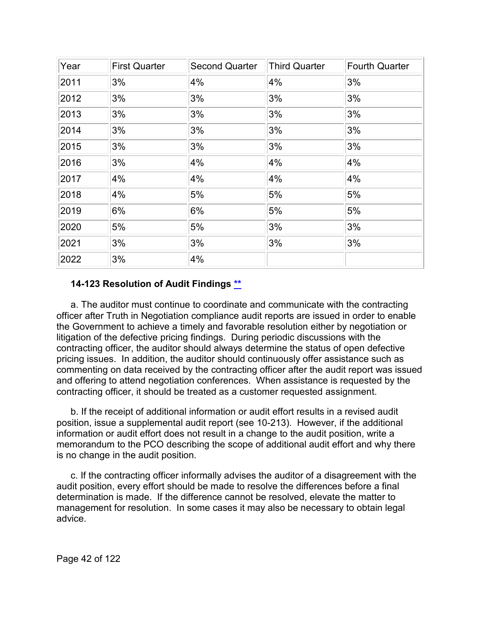| Year | <b>First Quarter</b> | <b>Second Quarter</b> | <b>Third Quarter</b> | <b>Fourth Quarter</b> |
|------|----------------------|-----------------------|----------------------|-----------------------|
| 2011 | 3%                   | 4%                    | 4%                   | 3%                    |
| 2012 | 3%                   | 3%                    | 3%                   | 3%                    |
| 2013 | 3%                   | 3%                    | 3%                   | 3%                    |
| 2014 | 3%                   | 3%                    | 3%                   | 3%                    |
| 2015 | 3%                   | 3%                    | 3%                   | 3%                    |
| 2016 | 3%                   | 4%                    | 4%                   | 4%                    |
| 2017 | 4%                   | 4%                    | 4%                   | 4%                    |
| 2018 | 4%                   | 5%                    | 5%                   | 5%                    |
| 2019 | 6%                   | 6%                    | 5%                   | 5%                    |
| 2020 | 5%                   | 5%                    | 3%                   | 3%                    |
| 2021 | 3%                   | 3%                    | 3%                   | 3%                    |
| 2022 | 3%                   | 4%                    |                      |                       |

#### **14-123 Resolution of Audit Findings [\\*\\*](#page-2-3)**

a. The auditor must continue to coordinate and communicate with the contracting officer after Truth in Negotiation compliance audit reports are issued in order to enable the Government to achieve a timely and favorable resolution either by negotiation or litigation of the defective pricing findings. During periodic discussions with the contracting officer, the auditor should always determine the status of open defective pricing issues. In addition, the auditor should continuously offer assistance such as commenting on data received by the contracting officer after the audit report was issued and offering to attend negotiation conferences. When assistance is requested by the contracting officer, it should be treated as a customer requested assignment.

b. If the receipt of additional information or audit effort results in a revised audit position, issue a supplemental audit report (see 10-213). However, if the additional information or audit effort does not result in a change to the audit position, write a memorandum to the PCO describing the scope of additional audit effort and why there is no change in the audit position.

c. If the contracting officer informally advises the auditor of a disagreement with the audit position, every effort should be made to resolve the differences before a final determination is made. If the difference cannot be resolved, elevate the matter to management for resolution. In some cases it may also be necessary to obtain legal advice.

Page 42 of 122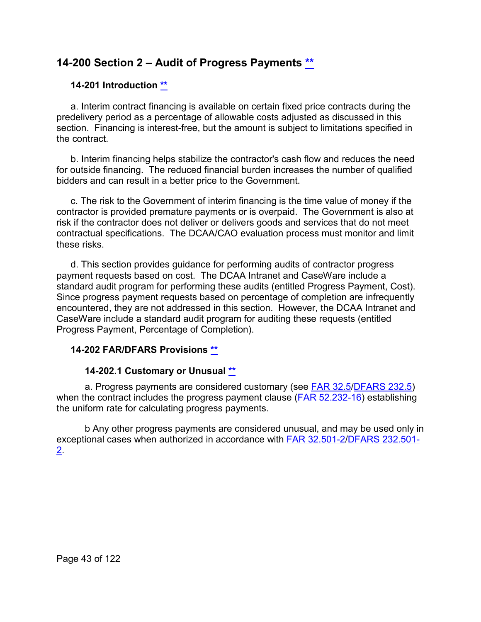# **14-200 Section 2 – Audit of Progress Payments [\\*\\*](#page-2-4)**

### **14-201 Introduction [\\*\\*](#page-2-5)**

a. Interim contract financing is available on certain fixed price contracts during the predelivery period as a percentage of allowable costs adjusted as discussed in this section. Financing is interest-free, but the amount is subject to limitations specified in the contract.

b. Interim financing helps stabilize the contractor's cash flow and reduces the need for outside financing. The reduced financial burden increases the number of qualified bidders and can result in a better price to the Government.

c. The risk to the Government of interim financing is the time value of money if the contractor is provided premature payments or is overpaid. The Government is also at risk if the contractor does not deliver or delivers goods and services that do not meet contractual specifications. The DCAA/CAO evaluation process must monitor and limit these risks.

d. This section provides guidance for performing audits of contractor progress payment requests based on cost. The DCAA Intranet and CaseWare include a standard audit program for performing these audits (entitled Progress Payment, Cost). Since progress payment requests based on percentage of completion are infrequently encountered, they are not addressed in this section. However, the DCAA Intranet and CaseWare include a standard audit program for auditing these requests (entitled Progress Payment, Percentage of Completion).

# **14-202 FAR/DFARS Provisions [\\*\\*](#page-2-6)**

#### **14-202.1 Customary or Unusual [\\*\\*](#page-2-7)**

a. Progress payments are considered customary (see [FAR 32.5](http://www.ecfr.gov/cgi-bin/text-idx?SID=ecf06b9af6948a4bb87315fd99702ffa&mc=true&node=sp48.1.32.32_15&rgn=div6)[/DFARS 232.5\)](http://www.ecfr.gov/cgi-bin/text-idx?SID=44dd680460fa3cb8ba065ef84a6ad8ab&mc=true&node=sp48.3.232.232_15&rgn=div6) when the contract includes the progress payment clause  $(FAR 52.232-16)$  establishing the uniform rate for calculating progress payments.

b Any other progress payments are considered unusual, and may be used only in exceptional cases when authorized in accordance with [FAR 32.501-2/](http://www.ecfr.gov/cgi-bin/text-idx?SID=5b394be9c1ed8c614f81d0c5d12b420c&mc=true&node=se48.1.32_1501_62&rgn=div8)[DFARS 232.501-](http://www.ecfr.gov/cgi-bin/text-idx?SID=44dd680460fa3cb8ba065ef84a6ad8ab&mc=true&node=se48.3.232_1501_62&rgn=div8) [2.](http://www.ecfr.gov/cgi-bin/text-idx?SID=44dd680460fa3cb8ba065ef84a6ad8ab&mc=true&node=se48.3.232_1501_62&rgn=div8)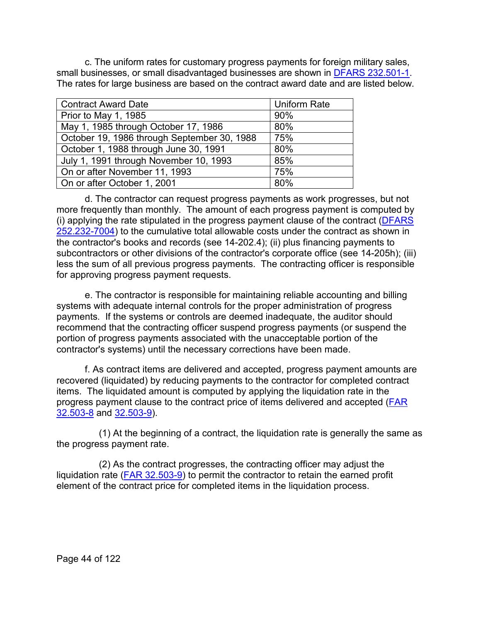c. The uniform rates for customary progress payments for foreign military sales, small businesses, or small disadvantaged businesses are shown in [DFARS 232.501-1.](http://www.ecfr.gov/cgi-bin/text-idx?SID=44dd680460fa3cb8ba065ef84a6ad8ab&mc=true&node=se48.3.232_1501_61&rgn=div8) The rates for large business are based on the contract award date and are listed below.

| <b>Contract Award Date</b>                  | <b>Uniform Rate</b> |
|---------------------------------------------|---------------------|
| Prior to May 1, 1985                        | 90%                 |
| May 1, 1985 through October 17, 1986        | 80%                 |
| October 19, 1986 through September 30, 1988 | 75%                 |
| October 1, 1988 through June 30, 1991       | 80%                 |
| July 1, 1991 through November 10, 1993      | 85%                 |
| On or after November 11, 1993               | 75%                 |
| On or after October 1, 2001                 | 80%                 |

d. The contractor can request progress payments as work progresses, but not more frequently than monthly. The amount of each progress payment is computed by (i) applying the rate stipulated in the progress payment clause of the contract [\(DFARS](http://www.ecfr.gov/cgi-bin/text-idx?SID=44dd680460fa3cb8ba065ef84a6ad8ab&mc=true&node=se48.3.232_17004&rgn=div8)  [252.232-7004\)](http://www.ecfr.gov/cgi-bin/text-idx?SID=44dd680460fa3cb8ba065ef84a6ad8ab&mc=true&node=se48.3.232_17004&rgn=div8) to the cumulative total allowable costs under the contract as shown in the contractor's books and records (see 14-202.4); (ii) plus financing payments to subcontractors or other divisions of the contractor's corporate office (see 14-205h); (iii) less the sum of all previous progress payments. The contracting officer is responsible for approving progress payment requests.

e. The contractor is responsible for maintaining reliable accounting and billing systems with adequate internal controls for the proper administration of progress payments. If the systems or controls are deemed inadequate, the auditor should recommend that the contracting officer suspend progress payments (or suspend the portion of progress payments associated with the unacceptable portion of the contractor's systems) until the necessary corrections have been made.

f. As contract items are delivered and accepted, progress payment amounts are recovered (liquidated) by reducing payments to the contractor for completed contract items. The liquidated amount is computed by applying the liquidation rate in the progress payment clause to the contract price of items delivered and accepted [\(FAR](http://www.ecfr.gov/cgi-bin/text-idx?SID=5b394be9c1ed8c614f81d0c5d12b420c&mc=true&node=se48.1.32_1503_68&rgn=div8)  [32.503-8](http://www.ecfr.gov/cgi-bin/text-idx?SID=5b394be9c1ed8c614f81d0c5d12b420c&mc=true&node=se48.1.32_1503_68&rgn=div8) and [32.503-9\)](http://www.ecfr.gov/cgi-bin/text-idx?SID=5b394be9c1ed8c614f81d0c5d12b420c&mc=true&node=se48.1.32_1503_69&rgn=div8).

(1) At the beginning of a contract, the liquidation rate is generally the same as the progress payment rate.

(2) As the contract progresses, the contracting officer may adjust the liquidation rate  $(FAR 32.503-9)$  to permit the contractor to retain the earned profit element of the contract price for completed items in the liquidation process.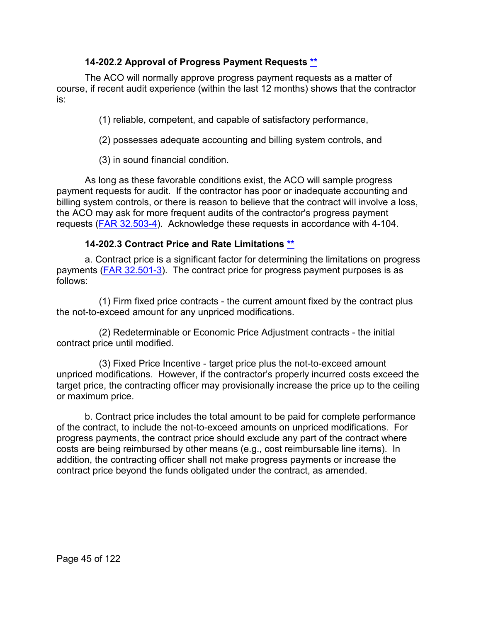## **14-202.2 Approval of Progress Payment Requests [\\*\\*](#page-2-8)**

The ACO will normally approve progress payment requests as a matter of course, if recent audit experience (within the last 12 months) shows that the contractor is:

(1) reliable, competent, and capable of satisfactory performance,

(2) possesses adequate accounting and billing system controls, and

(3) in sound financial condition.

As long as these favorable conditions exist, the ACO will sample progress payment requests for audit. If the contractor has poor or inadequate accounting and billing system controls, or there is reason to believe that the contract will involve a loss, the ACO may ask for more frequent audits of the contractor's progress payment requests [\(FAR 32.503-4\)](http://www.ecfr.gov/cgi-bin/text-idx?SID=5b394be9c1ed8c614f81d0c5d12b420c&mc=true&node=se48.1.32_1503_64&rgn=div8). Acknowledge these requests in accordance with 4-104.

# **14-202.3 Contract Price and Rate Limitations [\\*\\*](#page-2-9)**

a. Contract price is a significant factor for determining the limitations on progress payments [\(FAR 32.501-3\)](http://www.ecfr.gov/cgi-bin/text-idx?SID=5b394be9c1ed8c614f81d0c5d12b420c&mc=true&node=se48.1.32_1501_63&rgn=div8). The contract price for progress payment purposes is as follows:

(1) Firm fixed price contracts - the current amount fixed by the contract plus the not-to-exceed amount for any unpriced modifications.

(2) Redeterminable or Economic Price Adjustment contracts - the initial contract price until modified.

(3) Fixed Price Incentive - target price plus the not-to-exceed amount unpriced modifications. However, if the contractor's properly incurred costs exceed the target price, the contracting officer may provisionally increase the price up to the ceiling or maximum price.

b. Contract price includes the total amount to be paid for complete performance of the contract, to include the not-to-exceed amounts on unpriced modifications. For progress payments, the contract price should exclude any part of the contract where costs are being reimbursed by other means (e.g., cost reimbursable line items). In addition, the contracting officer shall not make progress payments or increase the contract price beyond the funds obligated under the contract, as amended.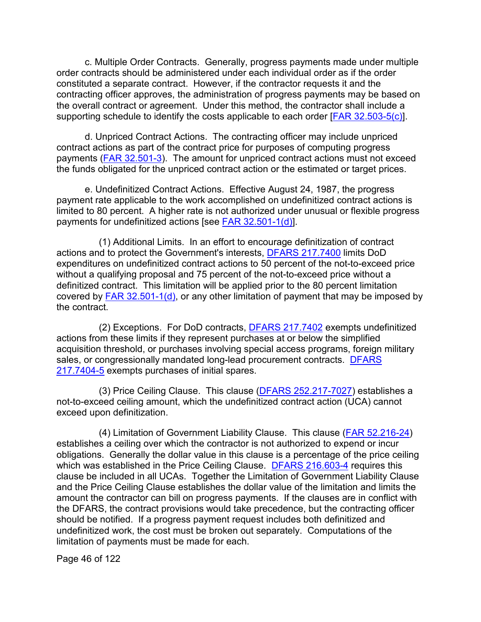c. Multiple Order Contracts. Generally, progress payments made under multiple order contracts should be administered under each individual order as if the order constituted a separate contract. However, if the contractor requests it and the contracting officer approves, the administration of progress payments may be based on the overall contract or agreement. Under this method, the contractor shall include a supporting schedule to identify the costs applicable to each order [\[FAR 32.503-5\(c\)\]](http://www.ecfr.gov/cgi-bin/text-idx?SID=5b394be9c1ed8c614f81d0c5d12b420c&mc=true&node=se48.1.32_1503_65&rgn=div8).

d. Unpriced Contract Actions. The contracting officer may include unpriced contract actions as part of the contract price for purposes of computing progress payments [\(FAR 32.501-3\)](http://www.ecfr.gov/cgi-bin/text-idx?SID=5b394be9c1ed8c614f81d0c5d12b420c&mc=true&node=se48.1.32_1501_63&rgn=div8). The amount for unpriced contract actions must not exceed the funds obligated for the unpriced contract action or the estimated or target prices.

e. Undefinitized Contract Actions. Effective August 24, 1987, the progress payment rate applicable to the work accomplished on undefinitized contract actions is limited to 80 percent. A higher rate is not authorized under unusual or flexible progress payments for undefinitized actions [see [FAR 32.501-1\(d\)\]](http://www.ecfr.gov/cgi-bin/text-idx?SID=5b394be9c1ed8c614f81d0c5d12b420c&mc=true&node=se48.1.32_1501_61&rgn=div8).

(1) Additional Limits. In an effort to encourage definitization of contract actions and to protect the Government's interests, [DFARS 217.7400](http://www.ecfr.gov/cgi-bin/retrieveECFR?gp=&SID=225d628756ab0599a42344c2c6d6ea46&mc=true&n=sp48.3.217.217_174&r=SUBPART&ty=HTML) limits DoD expenditures on undefinitized contract actions to 50 percent of the not-to-exceed price without a qualifying proposal and 75 percent of the not-to-exceed price without a definitized contract. This limitation will be applied prior to the 80 percent limitation covered by  $FAR 32.501-1(d), or any other limitation of payment that may be imposed by$ </u> the contract.

(2) Exceptions. For DoD contracts, **DFARS 217.7402** exempts undefinitized actions from these limits if they represent purchases at or below the simplified acquisition threshold, or purchases involving special access programs, foreign military sales, or congressionally mandated long-lead procurement contracts. [DFARS](http://www.ecfr.gov/cgi-bin/text-idx?SID=44dd680460fa3cb8ba065ef84a6ad8ab&mc=true&node=se48.3.217_17404_65&rgn=div8)  [217.7404-5](http://www.ecfr.gov/cgi-bin/text-idx?SID=44dd680460fa3cb8ba065ef84a6ad8ab&mc=true&node=se48.3.217_17404_65&rgn=div8) exempts purchases of initial spares.

(3) Price Ceiling Clause. This clause [\(DFARS 252.217-7027\)](http://www.ecfr.gov/cgi-bin/text-idx?SID=054cf260897ec2bfe8e0c6bc03a74508&mc=true&node=se48.3.252_1217_67027&rgn=div8) establishes a not-to-exceed ceiling amount, which the undefinitized contract action (UCA) cannot exceed upon definitization.

(4) Limitation of Government Liability Clause. This clause [\(FAR 52.216-24\)](http://www.ecfr.gov/cgi-bin/text-idx?SID=9dd243882c5b3a3d8caa8173257d9bf6&mc=true&node=se48.2.52_1216_624&rgn=div8) establishes a ceiling over which the contractor is not authorized to expend or incur obligations. Generally the dollar value in this clause is a percentage of the price ceiling which was established in the Price Ceiling Clause. [DFARS 216.603-4](http://www.ecfr.gov/cgi-bin/text-idx?SID=054cf260897ec2bfe8e0c6bc03a74508&mc=true&node=se48.3.216_1603_64&rgn=div8) requires this clause be included in all UCAs. Together the Limitation of Government Liability Clause and the Price Ceiling Clause establishes the dollar value of the limitation and limits the amount the contractor can bill on progress payments. If the clauses are in conflict with the DFARS, the contract provisions would take precedence, but the contracting officer should be notified. If a progress payment request includes both definitized and undefinitized work, the cost must be broken out separately. Computations of the limitation of payments must be made for each.

Page 46 of 122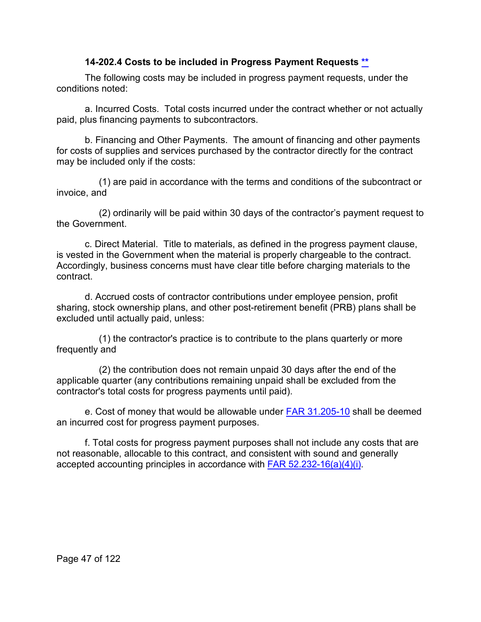#### **14-202.4 Costs to be included in Progress Payment Requests [\\*\\*](#page-2-10)**

The following costs may be included in progress payment requests, under the conditions noted:

a. Incurred Costs. Total costs incurred under the contract whether or not actually paid, plus financing payments to subcontractors.

b. Financing and Other Payments. The amount of financing and other payments for costs of supplies and services purchased by the contractor directly for the contract may be included only if the costs:

(1) are paid in accordance with the terms and conditions of the subcontract or invoice, and

(2) ordinarily will be paid within 30 days of the contractor's payment request to the Government.

c. Direct Material. Title to materials, as defined in the progress payment clause, is vested in the Government when the material is properly chargeable to the contract. Accordingly, business concerns must have clear title before charging materials to the contract.

d. Accrued costs of contractor contributions under employee pension, profit sharing, stock ownership plans, and other post-retirement benefit (PRB) plans shall be excluded until actually paid, unless:

(1) the contractor's practice is to contribute to the plans quarterly or more frequently and

(2) the contribution does not remain unpaid 30 days after the end of the applicable quarter (any contributions remaining unpaid shall be excluded from the contractor's total costs for progress payments until paid).

e. Cost of money that would be allowable under [FAR 31.205-10](http://www.ecfr.gov/cgi-bin/text-idx?SID=ce6ce0863a43404b341e3d540ba1cb17&mc=true&node=se48.1.31_1205_610&rgn=div8) shall be deemed an incurred cost for progress payment purposes.

f. Total costs for progress payment purposes shall not include any costs that are not reasonable, allocable to this contract, and consistent with sound and generally accepted accounting principles in accordance with **FAR 52.232-16(a)(4)(i)**.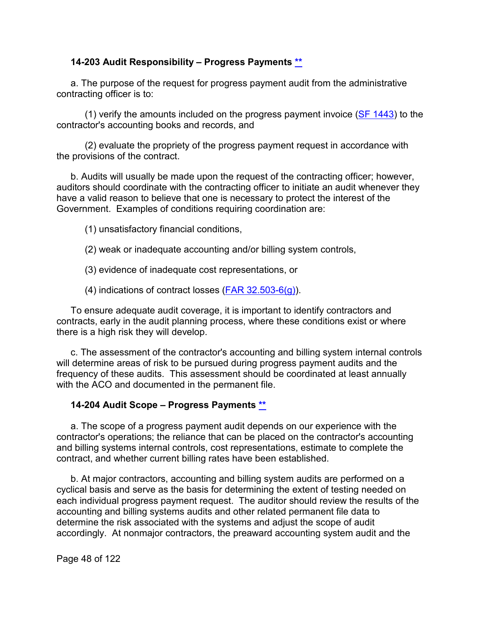#### **14-203 Audit Responsibility – Progress Payments [\\*\\*](#page-2-11)**

a. The purpose of the request for progress payment audit from the administrative contracting officer is to:

(1) verify the amounts included on the progress payment invoice ( $SF$  1443) to the contractor's accounting books and records, and

(2) evaluate the propriety of the progress payment request in accordance with the provisions of the contract.

b. Audits will usually be made upon the request of the contracting officer; however, auditors should coordinate with the contracting officer to initiate an audit whenever they have a valid reason to believe that one is necessary to protect the interest of the Government. Examples of conditions requiring coordination are:

- (1) unsatisfactory financial conditions,
- (2) weak or inadequate accounting and/or billing system controls,

(3) evidence of inadequate cost representations, or

(4) indications of contract losses [\(FAR 32.503-6\(g\)\)](http://www.ecfr.gov/cgi-bin/text-idx?SID=c7bcd49480fbb2924c6d790e6ea13a53&mc=true&node=se48.1.32_1503_66&rgn=div8).

To ensure adequate audit coverage, it is important to identify contractors and contracts, early in the audit planning process, where these conditions exist or where there is a high risk they will develop.

c. The assessment of the contractor's accounting and billing system internal controls will determine areas of risk to be pursued during progress payment audits and the frequency of these audits. This assessment should be coordinated at least annually with the ACO and documented in the permanent file.

#### **14-204 Audit Scope – Progress Payments [\\*\\*](#page-2-12)**

a. The scope of a progress payment audit depends on our experience with the contractor's operations; the reliance that can be placed on the contractor's accounting and billing systems internal controls, cost representations, estimate to complete the contract, and whether current billing rates have been established.

b. At major contractors, accounting and billing system audits are performed on a cyclical basis and serve as the basis for determining the extent of testing needed on each individual progress payment request. The auditor should review the results of the accounting and billing systems audits and other related permanent file data to determine the risk associated with the systems and adjust the scope of audit accordingly. At nonmajor contractors, the preaward accounting system audit and the

Page 48 of 122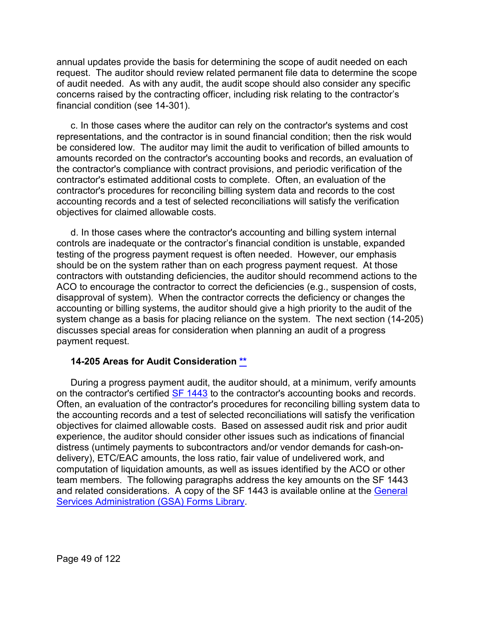annual updates provide the basis for determining the scope of audit needed on each request. The auditor should review related permanent file data to determine the scope of audit needed. As with any audit, the audit scope should also consider any specific concerns raised by the contracting officer, including risk relating to the contractor's financial condition (see 14-301).

c. In those cases where the auditor can rely on the contractor's systems and cost representations, and the contractor is in sound financial condition; then the risk would be considered low. The auditor may limit the audit to verification of billed amounts to amounts recorded on the contractor's accounting books and records, an evaluation of the contractor's compliance with contract provisions, and periodic verification of the contractor's estimated additional costs to complete. Often, an evaluation of the contractor's procedures for reconciling billing system data and records to the cost accounting records and a test of selected reconciliations will satisfy the verification objectives for claimed allowable costs.

d. In those cases where the contractor's accounting and billing system internal controls are inadequate or the contractor's financial condition is unstable, expanded testing of the progress payment request is often needed. However, our emphasis should be on the system rather than on each progress payment request. At those contractors with outstanding deficiencies, the auditor should recommend actions to the ACO to encourage the contractor to correct the deficiencies (e.g., suspension of costs, disapproval of system). When the contractor corrects the deficiency or changes the accounting or billing systems, the auditor should give a high priority to the audit of the system change as a basis for placing reliance on the system. The next section (14-205) discusses special areas for consideration when planning an audit of a progress payment request.

#### **14-205 Areas for Audit Consideration [\\*\\*](#page-2-13)**

During a progress payment audit, the auditor should, at a minimum, verify amounts on the contractor's certified [SF 1443](http://www.gsa.gov/portal/forms/download/115902) to the contractor's accounting books and records. Often, an evaluation of the contractor's procedures for reconciling billing system data to the accounting records and a test of selected reconciliations will satisfy the verification objectives for claimed allowable costs. Based on assessed audit risk and prior audit experience, the auditor should consider other issues such as indications of financial distress (untimely payments to subcontractors and/or vendor demands for cash-ondelivery), ETC/EAC amounts, the loss ratio, fair value of undelivered work, and computation of liquidation amounts, as well as issues identified by the ACO or other team members. The following paragraphs address the key amounts on the SF 1443 and related considerations. A copy of the SF 1443 is available online at the [General](http://www.gsa.gov/portal/forms/download/115902)  [Services Administration \(GSA\) Forms Library.](http://www.gsa.gov/portal/forms/download/115902)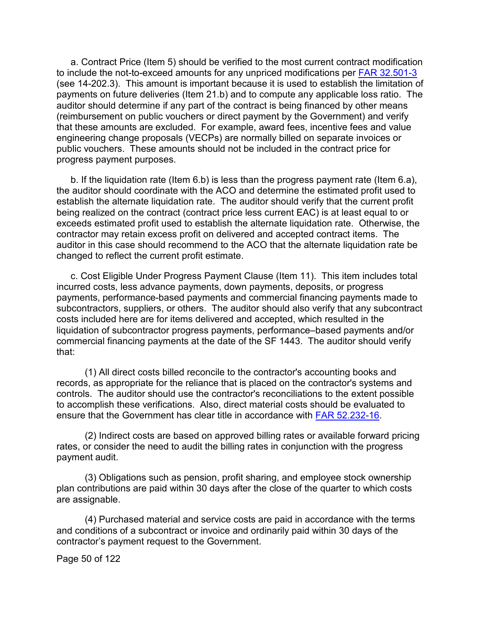a. Contract Price (Item 5) should be verified to the most current contract modification to include the not-to-exceed amounts for any unpriced modifications per [FAR 32.501-3](http://www.ecfr.gov/cgi-bin/text-idx?SID=c7bcd49480fbb2924c6d790e6ea13a53&mc=true&node=se48.1.32_1501_63&rgn=div8) (see 14-202.3). This amount is important because it is used to establish the limitation of payments on future deliveries (Item 21.b) and to compute any applicable loss ratio. The auditor should determine if any part of the contract is being financed by other means (reimbursement on public vouchers or direct payment by the Government) and verify that these amounts are excluded. For example, award fees, incentive fees and value engineering change proposals (VECPs) are normally billed on separate invoices or public vouchers. These amounts should not be included in the contract price for progress payment purposes.

b. If the liquidation rate (Item 6.b) is less than the progress payment rate (Item 6.a), the auditor should coordinate with the ACO and determine the estimated profit used to establish the alternate liquidation rate. The auditor should verify that the current profit being realized on the contract (contract price less current EAC) is at least equal to or exceeds estimated profit used to establish the alternate liquidation rate. Otherwise, the contractor may retain excess profit on delivered and accepted contract items. The auditor in this case should recommend to the ACO that the alternate liquidation rate be changed to reflect the current profit estimate.

c. Cost Eligible Under Progress Payment Clause (Item 11). This item includes total incurred costs, less advance payments, down payments, deposits, or progress payments, performance-based payments and commercial financing payments made to subcontractors, suppliers, or others. The auditor should also verify that any subcontract costs included here are for items delivered and accepted, which resulted in the liquidation of subcontractor progress payments, performance–based payments and/or commercial financing payments at the date of the SF 1443. The auditor should verify that:

(1) All direct costs billed reconcile to the contractor's accounting books and records, as appropriate for the reliance that is placed on the contractor's systems and controls. The auditor should use the contractor's reconciliations to the extent possible to accomplish these verifications. Also, direct material costs should be evaluated to ensure that the Government has clear title in accordance with [FAR 52.232-16.](http://www.ecfr.gov/cgi-bin/text-idx?SID=fc04cf2bc2e47110480f4afb6f16318d&mc=true&node=se48.2.52_1232_616&rgn=div8)

(2) Indirect costs are based on approved billing rates or available forward pricing rates, or consider the need to audit the billing rates in conjunction with the progress payment audit.

(3) Obligations such as pension, profit sharing, and employee stock ownership plan contributions are paid within 30 days after the close of the quarter to which costs are assignable.

(4) Purchased material and service costs are paid in accordance with the terms and conditions of a subcontract or invoice and ordinarily paid within 30 days of the contractor's payment request to the Government.

Page 50 of 122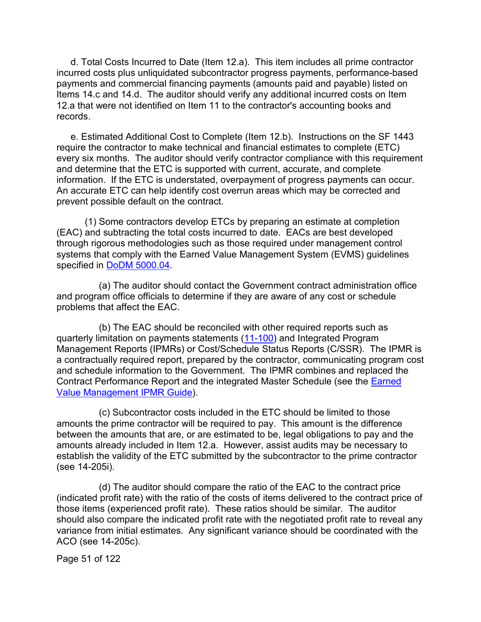d. Total Costs Incurred to Date (Item 12.a). This item includes all prime contractor incurred costs plus unliquidated subcontractor progress payments, performance-based payments and commercial financing payments (amounts paid and payable) listed on Items 14.c and 14.d. The auditor should verify any additional incurred costs on Item 12.a that were not identified on Item 11 to the contractor's accounting books and records.

e. Estimated Additional Cost to Complete (Item 12.b). Instructions on the SF 1443 require the contractor to make technical and financial estimates to complete (ETC) every six months. The auditor should verify contractor compliance with this requirement and determine that the ETC is supported with current, accurate, and complete information. If the ETC is understated, overpayment of progress payments can occur. An accurate ETC can help identify cost overrun areas which may be corrected and prevent possible default on the contract.

(1) Some contractors develop ETCs by preparing an estimate at completion (EAC) and subtracting the total costs incurred to date. EACs are best developed through rigorous methodologies such as those required under management control systems that comply with the Earned Value Management System (EVMS) guidelines specified in DoDM [5000.04.](https://www.esd.whs.mil/Portals/54/Documents/DD/issuances/dodm/500004p.pdf?ver=2018-04-18-075226-653)

(a) The auditor should contact the Government contract administration office and program office officials to determine if they are aware of any cost or schedule problems that affect the EAC.

(b) The EAC should be reconciled with other required reports such as quarterly limitation on payments statements [\(11-100\)](https://viper.dcaa.mil/guidance/cam/3153/audits-of-contractor-compliance-with-contract-financial-management-requirements#Sec11100) and Integrated Program Management Reports (IPMRs) or Cost/Schedule Status Reports (C/SSR). The IPMR is a contractually required report, prepared by the contractor, communicating program cost and schedule information to the Government. The IPMR combines and replaced the Contract Performance Report and the integrated Master Schedule (see the [Earned](http://acqnotes.com/acqnote/tasks/integrated-program-management-report-ipmr)  [Value Management IPMR Guide\)](http://acqnotes.com/acqnote/tasks/integrated-program-management-report-ipmr).

(c) Subcontractor costs included in the ETC should be limited to those amounts the prime contractor will be required to pay. This amount is the difference between the amounts that are, or are estimated to be, legal obligations to pay and the amounts already included in Item 12.a. However, assist audits may be necessary to establish the validity of the ETC submitted by the subcontractor to the prime contractor (see 14-205i).

(d) The auditor should compare the ratio of the EAC to the contract price (indicated profit rate) with the ratio of the costs of items delivered to the contract price of those items (experienced profit rate). These ratios should be similar. The auditor should also compare the indicated profit rate with the negotiated profit rate to reveal any variance from initial estimates. Any significant variance should be coordinated with the ACO (see 14-205c).

Page 51 of 122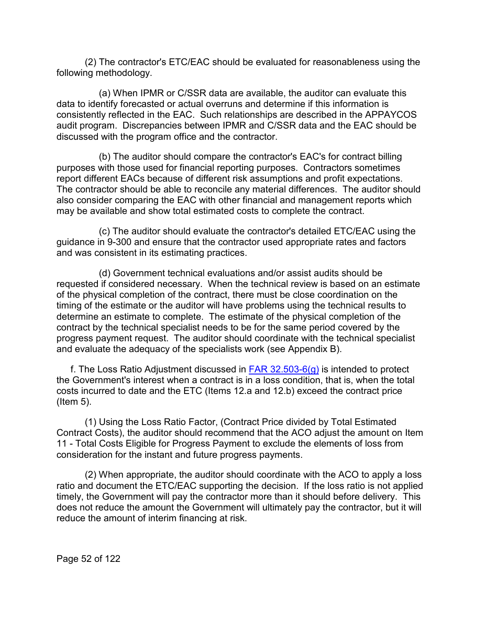(2) The contractor's ETC/EAC should be evaluated for reasonableness using the following methodology.

(a) When IPMR or C/SSR data are available, the auditor can evaluate this data to identify forecasted or actual overruns and determine if this information is consistently reflected in the EAC. Such relationships are described in the APPAYCOS audit program. Discrepancies between IPMR and C/SSR data and the EAC should be discussed with the program office and the contractor.

(b) The auditor should compare the contractor's EAC's for contract billing purposes with those used for financial reporting purposes. Contractors sometimes report different EACs because of different risk assumptions and profit expectations. The contractor should be able to reconcile any material differences. The auditor should also consider comparing the EAC with other financial and management reports which may be available and show total estimated costs to complete the contract.

(c) The auditor should evaluate the contractor's detailed ETC/EAC using the guidance in 9-300 and ensure that the contractor used appropriate rates and factors and was consistent in its estimating practices.

(d) Government technical evaluations and/or assist audits should be requested if considered necessary. When the technical review is based on an estimate of the physical completion of the contract, there must be close coordination on the timing of the estimate or the auditor will have problems using the technical results to determine an estimate to complete. The estimate of the physical completion of the contract by the technical specialist needs to be for the same period covered by the progress payment request. The auditor should coordinate with the technical specialist and evaluate the adequacy of the specialists work (see Appendix B).

f. The Loss Ratio Adjustment discussed in  $FAR$  32.503-6(g) is intended to protect the Government's interest when a contract is in a loss condition, that is, when the total costs incurred to date and the ETC (Items 12.a and 12.b) exceed the contract price (Item 5).

(1) Using the Loss Ratio Factor, (Contract Price divided by Total Estimated Contract Costs), the auditor should recommend that the ACO adjust the amount on Item 11 - Total Costs Eligible for Progress Payment to exclude the elements of loss from consideration for the instant and future progress payments.

(2) When appropriate, the auditor should coordinate with the ACO to apply a loss ratio and document the ETC/EAC supporting the decision. If the loss ratio is not applied timely, the Government will pay the contractor more than it should before delivery. This does not reduce the amount the Government will ultimately pay the contractor, but it will reduce the amount of interim financing at risk.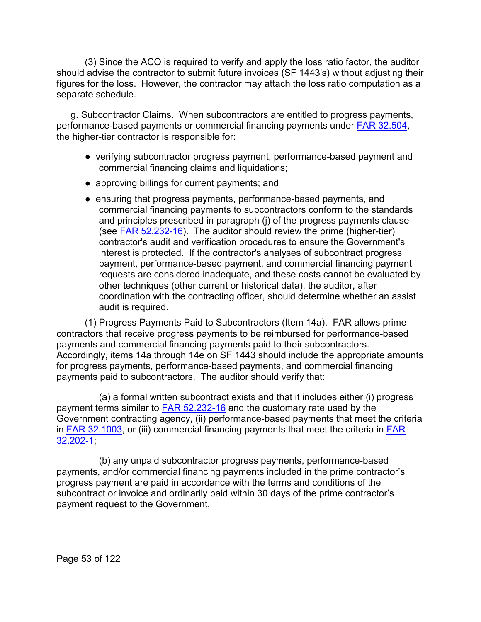(3) Since the ACO is required to verify and apply the loss ratio factor, the auditor should advise the contractor to submit future invoices (SF 1443's) without adjusting their figures for the loss. However, the contractor may attach the loss ratio computation as a separate schedule.

g. Subcontractor Claims. When subcontractors are entitled to progress payments, performance-based payments or commercial financing payments under [FAR 32.504,](http://www.ecfr.gov/cgi-bin/text-idx?SID=17df5ba02cce7544cd26334cad0cd315&mc=true&node=se48.1.32_1504&rgn=div8) the higher-tier contractor is responsible for:

- verifying subcontractor progress payment, performance-based payment and commercial financing claims and liquidations;
- approving billings for current payments; and
- ensuring that progress payments, performance-based payments, and commercial financing payments to subcontractors conform to the standards and principles prescribed in paragraph (j) of the progress payments clause (see FAR [52.232-16\)](http://www.ecfr.gov/cgi-bin/text-idx?SID=b1b2ea5ec7f0e188dc47f291909ef577&mc=true&node=se48.2.52_1232_616&rgn=div8). The auditor should review the prime (higher-tier) contractor's audit and verification procedures to ensure the Government's interest is protected. If the contractor's analyses of subcontract progress payment, performance-based payment, and commercial financing payment requests are considered inadequate, and these costs cannot be evaluated by other techniques (other current or historical data), the auditor, after coordination with the contracting officer, should determine whether an assist audit is required.

(1) Progress Payments Paid to Subcontractors (Item 14a). FAR allows prime contractors that receive progress payments to be reimbursed for performance-based payments and commercial financing payments paid to their subcontractors. Accordingly, items 14a through 14e on SF 1443 should include the appropriate amounts for progress payments, performance-based payments, and commercial financing payments paid to subcontractors. The auditor should verify that:

(a) a formal written subcontract exists and that it includes either (i) progress payment terms similar to [FAR 52.232-16](http://www.ecfr.gov/cgi-bin/text-idx?SID=b1b2ea5ec7f0e188dc47f291909ef577&mc=true&node=se48.2.52_1232_616&rgn=div8) and the customary rate used by the Government contracting agency, (ii) performance-based payments that meet the criteria in [FAR 32.1003,](http://www.ecfr.gov/cgi-bin/text-idx?SID=2ecaa704cd8e7cc26efb030e75a2e539&mc=true&node=se48.1.32_11003&rgn=div8) or (iii) commercial financing payments that meet the criteria in [FAR](http://www.ecfr.gov/cgi-bin/text-idx?SID=2ecaa704cd8e7cc26efb030e75a2e539&mc=true&node=se48.1.32_1202_61&rgn=div8)  [32.202-1;](http://www.ecfr.gov/cgi-bin/text-idx?SID=2ecaa704cd8e7cc26efb030e75a2e539&mc=true&node=se48.1.32_1202_61&rgn=div8)

(b) any unpaid subcontractor progress payments, performance-based payments, and/or commercial financing payments included in the prime contractor's progress payment are paid in accordance with the terms and conditions of the subcontract or invoice and ordinarily paid within 30 days of the prime contractor's payment request to the Government,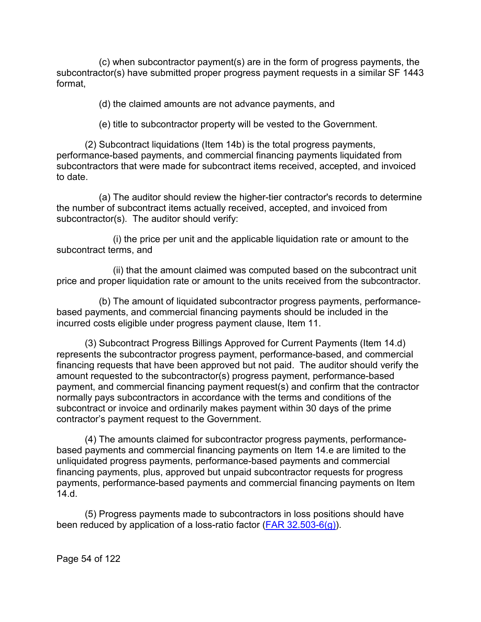(c) when subcontractor payment(s) are in the form of progress payments, the subcontractor(s) have submitted proper progress payment requests in a similar SF 1443 format,

(d) the claimed amounts are not advance payments, and

(e) title to subcontractor property will be vested to the Government.

(2) Subcontract liquidations (Item 14b) is the total progress payments, performance-based payments, and commercial financing payments liquidated from subcontractors that were made for subcontract items received, accepted, and invoiced to date.

(a) The auditor should review the higher-tier contractor's records to determine the number of subcontract items actually received, accepted, and invoiced from subcontractor(s). The auditor should verify:

(i) the price per unit and the applicable liquidation rate or amount to the subcontract terms, and

(ii) that the amount claimed was computed based on the subcontract unit price and proper liquidation rate or amount to the units received from the subcontractor.

(b) The amount of liquidated subcontractor progress payments, performancebased payments, and commercial financing payments should be included in the incurred costs eligible under progress payment clause, Item 11.

(3) Subcontract Progress Billings Approved for Current Payments (Item 14.d) represents the subcontractor progress payment, performance-based, and commercial financing requests that have been approved but not paid. The auditor should verify the amount requested to the subcontractor(s) progress payment, performance-based payment, and commercial financing payment request(s) and confirm that the contractor normally pays subcontractors in accordance with the terms and conditions of the subcontract or invoice and ordinarily makes payment within 30 days of the prime contractor's payment request to the Government.

(4) The amounts claimed for subcontractor progress payments, performancebased payments and commercial financing payments on Item 14.e are limited to the unliquidated progress payments, performance-based payments and commercial financing payments, plus, approved but unpaid subcontractor requests for progress payments, performance-based payments and commercial financing payments on Item 14.d.

(5) Progress payments made to subcontractors in loss positions should have been reduced by application of a loss-ratio factor (FAR  $32.503-6(g)$ ).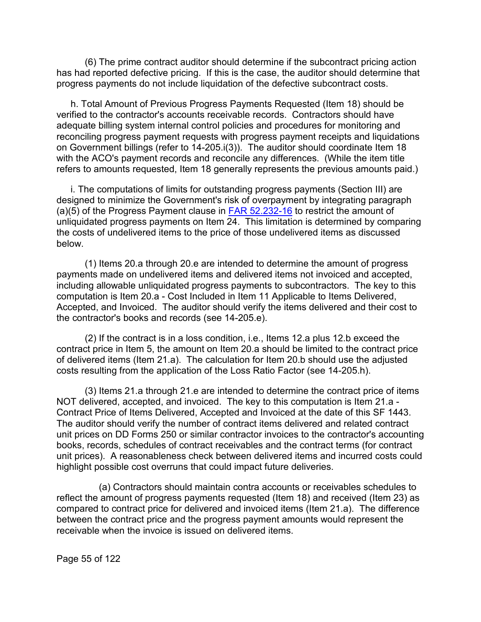(6) The prime contract auditor should determine if the subcontract pricing action has had reported defective pricing. If this is the case, the auditor should determine that progress payments do not include liquidation of the defective subcontract costs.

h. Total Amount of Previous Progress Payments Requested (Item 18) should be verified to the contractor's accounts receivable records. Contractors should have adequate billing system internal control policies and procedures for monitoring and reconciling progress payment requests with progress payment receipts and liquidations on Government billings (refer to 14-205.i(3)). The auditor should coordinate Item 18 with the ACO's payment records and reconcile any differences. (While the item title refers to amounts requested, Item 18 generally represents the previous amounts paid.)

i. The computations of limits for outstanding progress payments (Section III) are designed to minimize the Government's risk of overpayment by integrating paragraph (a)(5) of the Progress Payment clause in  $FAR$  52.232-16 to restrict the amount of unliquidated progress payments on Item 24. This limitation is determined by comparing the costs of undelivered items to the price of those undelivered items as discussed below.

(1) Items 20.a through 20.e are intended to determine the amount of progress payments made on undelivered items and delivered items not invoiced and accepted, including allowable unliquidated progress payments to subcontractors. The key to this computation is Item 20.a - Cost Included in Item 11 Applicable to Items Delivered, Accepted, and Invoiced. The auditor should verify the items delivered and their cost to the contractor's books and records (see 14-205.e).

(2) If the contract is in a loss condition, i.e., Items 12.a plus 12.b exceed the contract price in Item 5, the amount on Item 20.a should be limited to the contract price of delivered items (Item 21.a). The calculation for Item 20.b should use the adjusted costs resulting from the application of the Loss Ratio Factor (see 14-205.h).

(3) Items 21.a through 21.e are intended to determine the contract price of items NOT delivered, accepted, and invoiced. The key to this computation is Item 21.a - Contract Price of Items Delivered, Accepted and Invoiced at the date of this SF 1443. The auditor should verify the number of contract items delivered and related contract unit prices on DD Forms 250 or similar contractor invoices to the contractor's accounting books, records, schedules of contract receivables and the contract terms (for contract unit prices). A reasonableness check between delivered items and incurred costs could highlight possible cost overruns that could impact future deliveries.

(a) Contractors should maintain contra accounts or receivables schedules to reflect the amount of progress payments requested (Item 18) and received (Item 23) as compared to contract price for delivered and invoiced items (Item 21.a). The difference between the contract price and the progress payment amounts would represent the receivable when the invoice is issued on delivered items.

Page 55 of 122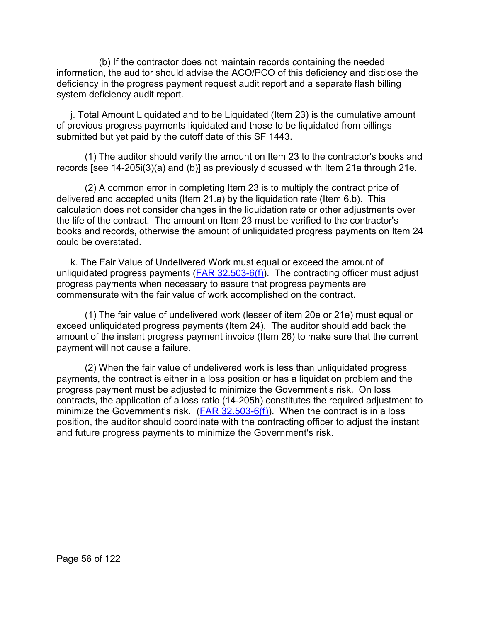(b) If the contractor does not maintain records containing the needed information, the auditor should advise the ACO/PCO of this deficiency and disclose the deficiency in the progress payment request audit report and a separate flash billing system deficiency audit report.

j. Total Amount Liquidated and to be Liquidated (Item 23) is the cumulative amount of previous progress payments liquidated and those to be liquidated from billings submitted but yet paid by the cutoff date of this SF 1443.

(1) The auditor should verify the amount on Item 23 to the contractor's books and records [see 14-205i(3)(a) and (b)] as previously discussed with Item 21a through 21e.

(2) A common error in completing Item 23 is to multiply the contract price of delivered and accepted units (Item 21.a) by the liquidation rate (Item 6.b). This calculation does not consider changes in the liquidation rate or other adjustments over the life of the contract. The amount on Item 23 must be verified to the contractor's books and records, otherwise the amount of unliquidated progress payments on Item 24 could be overstated.

k. The Fair Value of Undelivered Work must equal or exceed the amount of unliquidated progress payments  $(FAR 32.503-6(f))$ . The contracting officer must adjust progress payments when necessary to assure that progress payments are commensurate with the fair value of work accomplished on the contract.

(1) The fair value of undelivered work (lesser of item 20e or 21e) must equal or exceed unliquidated progress payments (Item 24). The auditor should add back the amount of the instant progress payment invoice (Item 26) to make sure that the current payment will not cause a failure.

(2) When the fair value of undelivered work is less than unliquidated progress payments, the contract is either in a loss position or has a liquidation problem and the progress payment must be adjusted to minimize the Government's risk. On loss contracts, the application of a loss ratio (14-205h) constitutes the required adjustment to minimize the Government's risk.  $(FAR 32.503-6(f))$ . When the contract is in a loss position, the auditor should coordinate with the contracting officer to adjust the instant and future progress payments to minimize the Government's risk.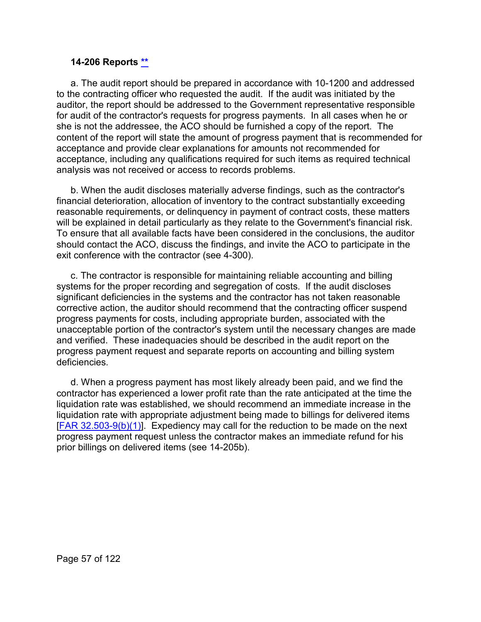#### **14-206 Reports [\\*\\*](#page-2-14)**

a. The audit report should be prepared in accordance with 10-1200 and addressed to the contracting officer who requested the audit. If the audit was initiated by the auditor, the report should be addressed to the Government representative responsible for audit of the contractor's requests for progress payments. In all cases when he or she is not the addressee, the ACO should be furnished a copy of the report. The content of the report will state the amount of progress payment that is recommended for acceptance and provide clear explanations for amounts not recommended for acceptance, including any qualifications required for such items as required technical analysis was not received or access to records problems.

b. When the audit discloses materially adverse findings, such as the contractor's financial deterioration, allocation of inventory to the contract substantially exceeding reasonable requirements, or delinquency in payment of contract costs, these matters will be explained in detail particularly as they relate to the Government's financial risk. To ensure that all available facts have been considered in the conclusions, the auditor should contact the ACO, discuss the findings, and invite the ACO to participate in the exit conference with the contractor (see 4-300).

c. The contractor is responsible for maintaining reliable accounting and billing systems for the proper recording and segregation of costs. If the audit discloses significant deficiencies in the systems and the contractor has not taken reasonable corrective action, the auditor should recommend that the contracting officer suspend progress payments for costs, including appropriate burden, associated with the unacceptable portion of the contractor's system until the necessary changes are made and verified. These inadequacies should be described in the audit report on the progress payment request and separate reports on accounting and billing system deficiencies.

d. When a progress payment has most likely already been paid, and we find the contractor has experienced a lower profit rate than the rate anticipated at the time the liquidation rate was established, we should recommend an immediate increase in the liquidation rate with appropriate adjustment being made to billings for delivered items  $[FAR 32.503-9(b)(1)]$ . Expediency may call for the reduction to be made on the next progress payment request unless the contractor makes an immediate refund for his prior billings on delivered items (see 14-205b).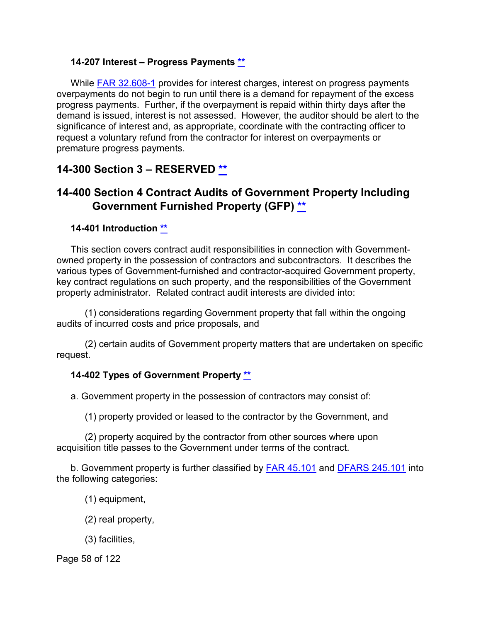#### **14-207 Interest – Progress Payments [\\*\\*](#page-2-15)**

While [FAR 32.608-1](http://www.ecfr.gov/cgi-bin/text-idx?SID=05c80d0012adc93f78d057dfb175a82b&mc=true&node=se48.1.32_1608_61&rgn=div8) provides for interest charges, interest on progress payments overpayments do not begin to run until there is a demand for repayment of the excess progress payments. Further, if the overpayment is repaid within thirty days after the demand is issued, interest is not assessed. However, the auditor should be alert to the significance of interest and, as appropriate, coordinate with the contracting officer to request a voluntary refund from the contractor for interest on overpayments or premature progress payments.

# **14-300 Section 3 – RESERVED [\\*\\*](#page-3-0)**

# **14-400 Section 4 Contract Audits of Government Property Including Government Furnished Property (GFP) [\\*\\*](#page-3-1)**

#### **14-401 Introduction [\\*\\*](#page-3-2)**

This section covers contract audit responsibilities in connection with Governmentowned property in the possession of contractors and subcontractors. It describes the various types of Government-furnished and contractor-acquired Government property, key contract regulations on such property, and the responsibilities of the Government property administrator. Related contract audit interests are divided into:

(1) considerations regarding Government property that fall within the ongoing audits of incurred costs and price proposals, and

(2) certain audits of Government property matters that are undertaken on specific request.

#### **14-402 Types of Government Property [\\*\\*](#page-3-3)**

a. Government property in the possession of contractors may consist of:

(1) property provided or leased to the contractor by the Government, and

(2) property acquired by the contractor from other sources where upon acquisition title passes to the Government under terms of the contract.

b. Government property is further classified by [FAR 45.101](http://www.ecfr.gov/cgi-bin/text-idx?SID=05c80d0012adc93f78d057dfb175a82b&mc=true&node=se48.1.45_1101&rgn=div8) and [DFARS 245.101](http://www.ecfr.gov/cgi-bin/text-idx?SID=c2601077f4e3fdc3aedde39a19021124&mc=true&node=se48.3.245_1101&rgn=div8) into the following categories:

(1) equipment,

- (2) real property,
- (3) facilities,

Page 58 of 122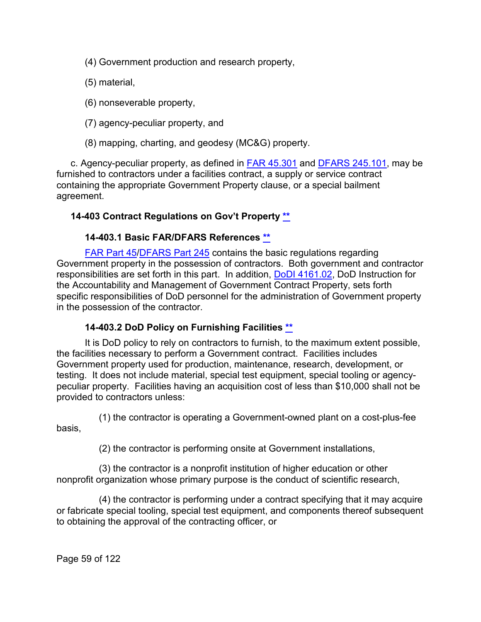(4) Government production and research property,

- (5) material,
- (6) nonseverable property,
- (7) agency-peculiar property, and
- (8) mapping, charting, and geodesy (MC&G) property.

c. Agency-peculiar property, as defined in [FAR 45.301](http://www.ecfr.gov/cgi-bin/text-idx?SID=b1c7c1128dfa711a916532402fd7ebde&mc=true&node=se48.1.45_1301&rgn=div8) and [DFARS 245.101,](http://www.ecfr.gov/cgi-bin/retrieveECFR?gp=&SID=373933dfde0d1528e6e8b247f1c72daa&mc=true&n=sp48.3.245.245_11&r=SUBPART&ty=HTML#se48.3.245_1101) may be furnished to contractors under a facilities contract, a supply or service contract containing the appropriate Government Property clause, or a special bailment agreement.

# **14-403 Contract Regulations on Gov't Property [\\*\\*](#page-3-4)**

# **14-403.1 Basic FAR/DFARS References [\\*\\*](#page-3-5)**

[FAR Part 45](http://www.ecfr.gov/cgi-bin/text-idx?SID=05c80d0012adc93f78d057dfb175a82b&mc=true&node=pt48.1.45&rgn=div5)[/DFARS Part 245](http://www.ecfr.gov/cgi-bin/text-idx?SID=fdace287be53c2641aabbb6996207a55&mc=true&node=pt48.3.245&rgn=div5) contains the basic regulations regarding Government property in the possession of contractors. Both government and contractor responsibilities are set forth in this part. In addition, DoDI [4161.02,](https://www.esd.whs.mil/Portals/54/Documents/DD/issuances/dodi/416102p.pdf?ver=2019-04-15-094502-563) DoD Instruction for the Accountability and Management of Government Contract Property, sets forth specific responsibilities of DoD personnel for the administration of Government property in the possession of the contractor.

# **14-403.2 DoD Policy on Furnishing Facilities [\\*\\*](#page-3-6)**

It is DoD policy to rely on contractors to furnish, to the maximum extent possible, the facilities necessary to perform a Government contract. Facilities includes Government property used for production, maintenance, research, development, or testing. It does not include material, special test equipment, special tooling or agencypeculiar property. Facilities having an acquisition cost of less than \$10,000 shall not be provided to contractors unless:

(1) the contractor is operating a Government-owned plant on a cost-plus-fee basis,

(2) the contractor is performing onsite at Government installations,

(3) the contractor is a nonprofit institution of higher education or other nonprofit organization whose primary purpose is the conduct of scientific research,

(4) the contractor is performing under a contract specifying that it may acquire or fabricate special tooling, special test equipment, and components thereof subsequent to obtaining the approval of the contracting officer, or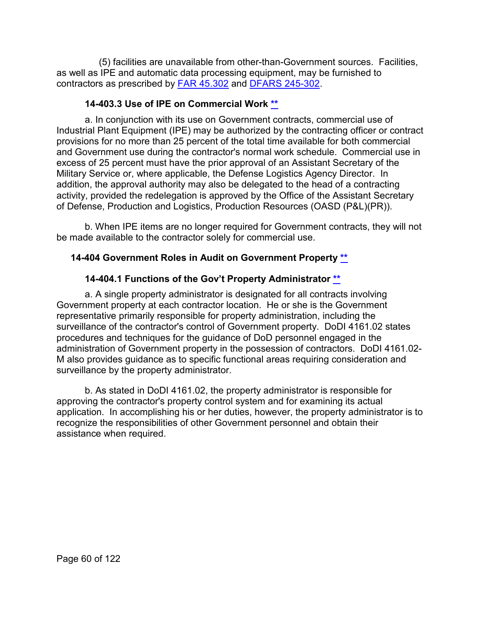(5) facilities are unavailable from other-than-Government sources. Facilities, as well as IPE and automatic data processing equipment, may be furnished to contractors as prescribed by [FAR 45.302](http://www.ecfr.gov/cgi-bin/text-idx?SID=05c80d0012adc93f78d057dfb175a82b&mc=true&node=se48.1.45_1302&rgn=div8) and [DFARS 245-302.](http://www.ecfr.gov/cgi-bin/text-idx?SID=fdace287be53c2641aabbb6996207a55&mc=true&node=se48.3.245_1302&rgn=div8)

### **14-403.3 Use of IPE on Commercial Work [\\*\\*](#page-3-7)**

a. In conjunction with its use on Government contracts, commercial use of Industrial Plant Equipment (IPE) may be authorized by the contracting officer or contract provisions for no more than 25 percent of the total time available for both commercial and Government use during the contractor's normal work schedule. Commercial use in excess of 25 percent must have the prior approval of an Assistant Secretary of the Military Service or, where applicable, the Defense Logistics Agency Director. In addition, the approval authority may also be delegated to the head of a contracting activity, provided the redelegation is approved by the Office of the Assistant Secretary of Defense, Production and Logistics, Production Resources (OASD (P&L)(PR)).

b. When IPE items are no longer required for Government contracts, they will not be made available to the contractor solely for commercial use.

# **14-404 Government Roles in Audit on Government Property [\\*\\*](#page-3-8)**

# **14-404.1 Functions of the Gov't Property Administrator [\\*\\*](#page-3-9)**

a. A single property administrator is designated for all contracts involving Government property at each contractor location. He or she is the Government representative primarily responsible for property administration, including the surveillance of the contractor's control of Government property. DoDI 4161.02 states procedures and techniques for the guidance of DoD personnel engaged in the administration of Government property in the possession of contractors. DoDI 4161.02- M also provides guidance as to specific functional areas requiring consideration and surveillance by the property administrator.

b. As stated in DoDI 4161.02, the property administrator is responsible for approving the contractor's property control system and for examining its actual application. In accomplishing his or her duties, however, the property administrator is to recognize the responsibilities of other Government personnel and obtain their assistance when required.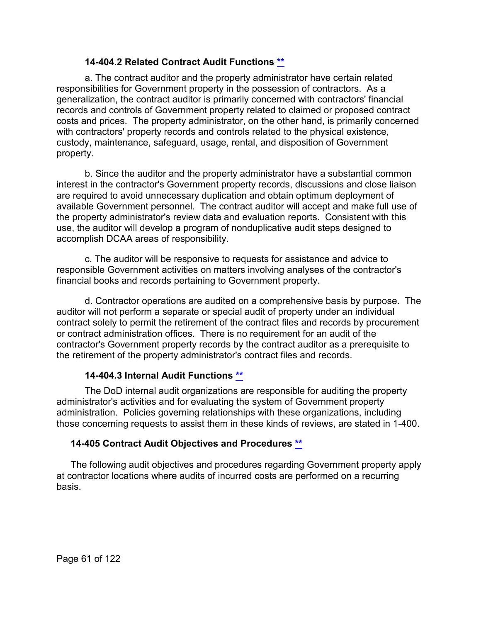### **14-404.2 Related Contract Audit Functions [\\*\\*](#page-3-10)**

a. The contract auditor and the property administrator have certain related responsibilities for Government property in the possession of contractors. As a generalization, the contract auditor is primarily concerned with contractors' financial records and controls of Government property related to claimed or proposed contract costs and prices. The property administrator, on the other hand, is primarily concerned with contractors' property records and controls related to the physical existence, custody, maintenance, safeguard, usage, rental, and disposition of Government property.

b. Since the auditor and the property administrator have a substantial common interest in the contractor's Government property records, discussions and close liaison are required to avoid unnecessary duplication and obtain optimum deployment of available Government personnel. The contract auditor will accept and make full use of the property administrator's review data and evaluation reports. Consistent with this use, the auditor will develop a program of nonduplicative audit steps designed to accomplish DCAA areas of responsibility.

c. The auditor will be responsive to requests for assistance and advice to responsible Government activities on matters involving analyses of the contractor's financial books and records pertaining to Government property.

d. Contractor operations are audited on a comprehensive basis by purpose. The auditor will not perform a separate or special audit of property under an individual contract solely to permit the retirement of the contract files and records by procurement or contract administration offices. There is no requirement for an audit of the contractor's Government property records by the contract auditor as a prerequisite to the retirement of the property administrator's contract files and records.

#### **14-404.3 Internal Audit Functions [\\*\\*](#page-3-11)**

The DoD internal audit organizations are responsible for auditing the property administrator's activities and for evaluating the system of Government property administration. Policies governing relationships with these organizations, including those concerning requests to assist them in these kinds of reviews, are stated in 1-400.

#### **14-405 Contract Audit Objectives and Procedures [\\*\\*](#page-3-12)**

The following audit objectives and procedures regarding Government property apply at contractor locations where audits of incurred costs are performed on a recurring basis.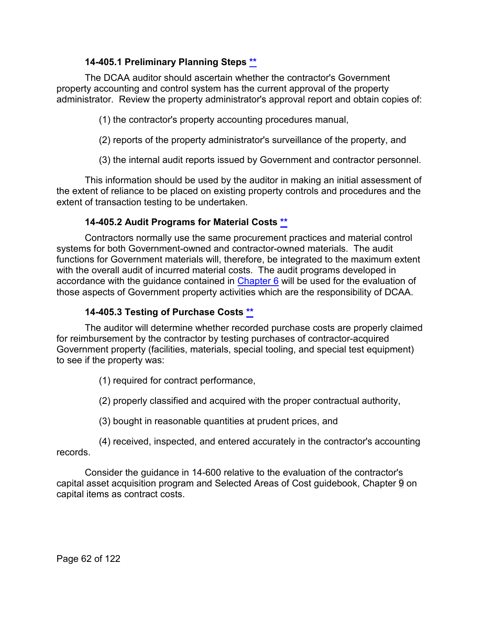## **14-405.1 Preliminary Planning Steps [\\*\\*](#page-3-13)**

The DCAA auditor should ascertain whether the contractor's Government property accounting and control system has the current approval of the property administrator. Review the property administrator's approval report and obtain copies of:

(1) the contractor's property accounting procedures manual,

(2) reports of the property administrator's surveillance of the property, and

(3) the internal audit reports issued by Government and contractor personnel.

This information should be used by the auditor in making an initial assessment of the extent of reliance to be placed on existing property controls and procedures and the extent of transaction testing to be undertaken.

# **14-405.2 Audit Programs for Material Costs [\\*\\*](#page-3-14)**

Contractors normally use the same procurement practices and material control systems for both Government-owned and contractor-owned materials. The audit functions for Government materials will, therefore, be integrated to the maximum extent with the overall audit of incurred material costs. The audit programs developed in accordance with the guidance contained in [Chapter 6](https://viper.dcaa.mil/guidance/cam/3136/incurred-cost-audit-procedures#Sec) will be used for the evaluation of those aspects of Government property activities which are the responsibility of DCAA.

### **14-405.3 Testing of Purchase Costs [\\*\\*](#page-3-15)**

The auditor will determine whether recorded purchase costs are properly claimed for reimbursement by the contractor by testing purchases of contractor-acquired Government property (facilities, materials, special tooling, and special test equipment) to see if the property was:

(1) required for contract performance,

(2) properly classified and acquired with the proper contractual authority,

(3) bought in reasonable quantities at prudent prices, and

(4) received, inspected, and entered accurately in the contractor's accounting records.

Consider the guidance in 14-600 relative to the evaluation of the contractor's capital asset acquisition program and Selected Areas of Cost guidebook, Chapter 9 on capital items as contract costs.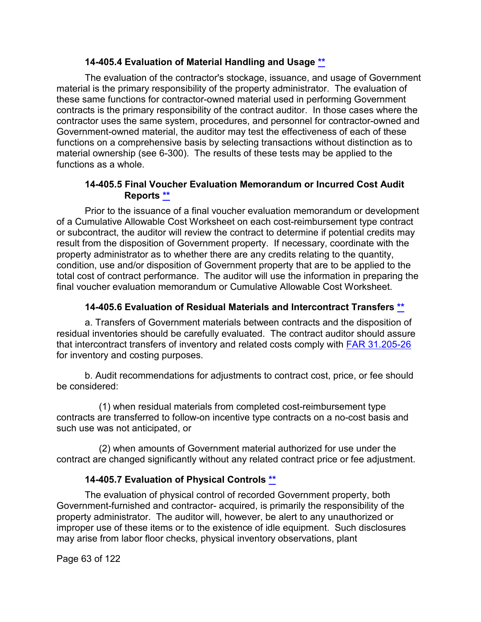#### **14-405.4 Evaluation of Material Handling and Usage [\\*\\*](#page-3-16)**

The evaluation of the contractor's stockage, issuance, and usage of Government material is the primary responsibility of the property administrator. The evaluation of these same functions for contractor-owned material used in performing Government contracts is the primary responsibility of the contract auditor. In those cases where the contractor uses the same system, procedures, and personnel for contractor-owned and Government-owned material, the auditor may test the effectiveness of each of these functions on a comprehensive basis by selecting transactions without distinction as to material ownership (see 6-300). The results of these tests may be applied to the functions as a whole.

#### **14-405.5 Final Voucher Evaluation Memorandum or Incurred Cost Audit Reports [\\*\\*](#page-3-17)**

Prior to the issuance of a final voucher evaluation memorandum or development of a Cumulative Allowable Cost Worksheet on each cost-reimbursement type contract or subcontract, the auditor will review the contract to determine if potential credits may result from the disposition of Government property. If necessary, coordinate with the property administrator as to whether there are any credits relating to the quantity, condition, use and/or disposition of Government property that are to be applied to the total cost of contract performance. The auditor will use the information in preparing the final voucher evaluation memorandum or Cumulative Allowable Cost Worksheet.

#### **14-405.6 Evaluation of Residual Materials and Intercontract Transfers [\\*\\*](#page-3-18)**

a. Transfers of Government materials between contracts and the disposition of residual inventories should be carefully evaluated. The contract auditor should assure that intercontract transfers of inventory and related costs comply with [FAR 31.205-26](http://www.ecfr.gov/cgi-bin/text-idx?SID=fac8feed4ef56713f55b6cf90fdfc325&mc=true&node=se48.1.31_1205_626&rgn=div8) for inventory and costing purposes.

b. Audit recommendations for adjustments to contract cost, price, or fee should be considered:

(1) when residual materials from completed cost-reimbursement type contracts are transferred to follow-on incentive type contracts on a no-cost basis and such use was not anticipated, or

(2) when amounts of Government material authorized for use under the contract are changed significantly without any related contract price or fee adjustment.

#### **14-405.7 Evaluation of Physical Controls [\\*\\*](#page-3-19)**

The evaluation of physical control of recorded Government property, both Government-furnished and contractor- acquired, is primarily the responsibility of the property administrator. The auditor will, however, be alert to any unauthorized or improper use of these items or to the existence of idle equipment. Such disclosures may arise from labor floor checks, physical inventory observations, plant

Page 63 of 122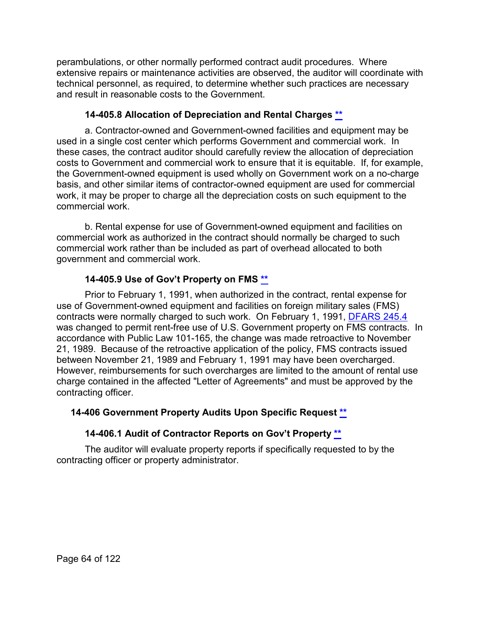perambulations, or other normally performed contract audit procedures. Where extensive repairs or maintenance activities are observed, the auditor will coordinate with technical personnel, as required, to determine whether such practices are necessary and result in reasonable costs to the Government.

# **14-405.8 Allocation of Depreciation and Rental Charges [\\*\\*](#page-3-20)**

a. Contractor-owned and Government-owned facilities and equipment may be used in a single cost center which performs Government and commercial work. In these cases, the contract auditor should carefully review the allocation of depreciation costs to Government and commercial work to ensure that it is equitable. If, for example, the Government-owned equipment is used wholly on Government work on a no-charge basis, and other similar items of contractor-owned equipment are used for commercial work, it may be proper to charge all the depreciation costs on such equipment to the commercial work.

b. Rental expense for use of Government-owned equipment and facilities on commercial work as authorized in the contract should normally be charged to such commercial work rather than be included as part of overhead allocated to both government and commercial work.

# **14-405.9 Use of Gov't Property on FMS [\\*\\*](#page-3-21)**

Prior to February 1, 1991, when authorized in the contract, rental expense for use of Government-owned equipment and facilities on foreign military sales (FMS) contracts were normally charged to such work. On February 1, 1991, [DFARS 245.4](http://www.ecfr.gov/cgi-bin/text-idx?SID=fdace287be53c2641aabbb6996207a55&mc=true&node=sp48.3.245.245_14&rgn=div6) was changed to permit rent-free use of U.S. Government property on FMS contracts. In accordance with Public Law 101-165, the change was made retroactive to November 21, 1989. Because of the retroactive application of the policy, FMS contracts issued between November 21, 1989 and February 1, 1991 may have been overcharged. However, reimbursements for such overcharges are limited to the amount of rental use charge contained in the affected "Letter of Agreements" and must be approved by the contracting officer.

#### **14-406 Government Property Audits Upon Specific Request [\\*\\*](#page-3-22)**

# **14-406.1 Audit of Contractor Reports on Gov't Property [\\*\\*](#page-3-23)**

The auditor will evaluate property reports if specifically requested to by the contracting officer or property administrator.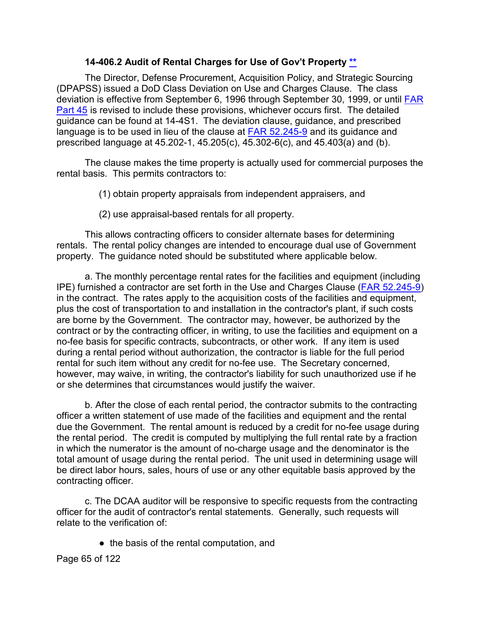#### **14-406.2 Audit of Rental Charges for Use of Gov't Property [\\*\\*](#page-3-24)**

The Director, Defense Procurement, Acquisition Policy, and Strategic Sourcing (DPAPSS) issued a DoD Class Deviation on Use and Charges Clause. The class deviation is effective from September 6, 1996 through September 30, 1999, or until **FAR** [Part 45](http://www.ecfr.gov/cgi-bin/text-idx?SID=1ff7e9805adb00243a4392ca0fd61311&mc=true&node=pt48.1.45&rgn=div5) is revised to include these provisions, whichever occurs first. The detailed guidance can be found at 14-4S1. The deviation clause, guidance, and prescribed language is to be used in lieu of the clause at [FAR 52.245-9](http://www.ecfr.gov/cgi-bin/text-idx?SID=46a2efae1587c800e3d272da56b130dd&mc=true&node=se48.2.52_1245_69&rgn=div8) and its guidance and prescribed language at 45.202-1, 45.205(c), 45.302-6(c), and 45.403(a) and (b).

The clause makes the time property is actually used for commercial purposes the rental basis. This permits contractors to:

(1) obtain property appraisals from independent appraisers, and

(2) use appraisal-based rentals for all property.

This allows contracting officers to consider alternate bases for determining rentals. The rental policy changes are intended to encourage dual use of Government property. The guidance noted should be substituted where applicable below.

a. The monthly percentage rental rates for the facilities and equipment (including IPE) furnished a contractor are set forth in the Use and Charges Clause [\(FAR 52.245-9\)](http://www.ecfr.gov/cgi-bin/text-idx?SID=9844c98f20a6b8f565f0e19ab49bd4fd&mc=true&node=se48.2.52_1245_69&rgn=div8) in the contract. The rates apply to the acquisition costs of the facilities and equipment, plus the cost of transportation to and installation in the contractor's plant, if such costs are borne by the Government. The contractor may, however, be authorized by the contract or by the contracting officer, in writing, to use the facilities and equipment on a no-fee basis for specific contracts, subcontracts, or other work. If any item is used during a rental period without authorization, the contractor is liable for the full period rental for such item without any credit for no-fee use. The Secretary concerned, however, may waive, in writing, the contractor's liability for such unauthorized use if he or she determines that circumstances would justify the waiver.

b. After the close of each rental period, the contractor submits to the contracting officer a written statement of use made of the facilities and equipment and the rental due the Government. The rental amount is reduced by a credit for no-fee usage during the rental period. The credit is computed by multiplying the full rental rate by a fraction in which the numerator is the amount of no-charge usage and the denominator is the total amount of usage during the rental period. The unit used in determining usage will be direct labor hours, sales, hours of use or any other equitable basis approved by the contracting officer.

c. The DCAA auditor will be responsive to specific requests from the contracting officer for the audit of contractor's rental statements. Generally, such requests will relate to the verification of:

● the basis of the rental computation, and

Page 65 of 122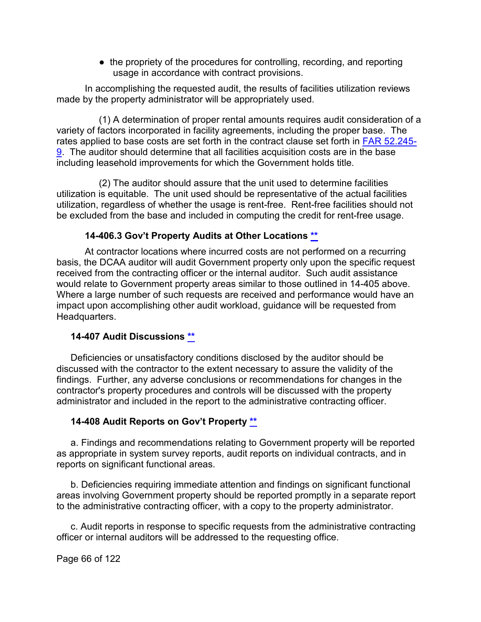• the propriety of the procedures for controlling, recording, and reporting usage in accordance with contract provisions.

In accomplishing the requested audit, the results of facilities utilization reviews made by the property administrator will be appropriately used.

(1) A determination of proper rental amounts requires audit consideration of a variety of factors incorporated in facility agreements, including the proper base. The rates applied to base costs are set forth in the contract clause set forth in [FAR 52.245-](http://www.ecfr.gov/cgi-bin/text-idx?SID=9844c98f20a6b8f565f0e19ab49bd4fd&mc=true&node=se48.2.52_1245_69&rgn=div8) [9.](http://www.ecfr.gov/cgi-bin/text-idx?SID=9844c98f20a6b8f565f0e19ab49bd4fd&mc=true&node=se48.2.52_1245_69&rgn=div8) The auditor should determine that all facilities acquisition costs are in the base including leasehold improvements for which the Government holds title.

(2) The auditor should assure that the unit used to determine facilities utilization is equitable. The unit used should be representative of the actual facilities utilization, regardless of whether the usage is rent-free. Rent-free facilities should not be excluded from the base and included in computing the credit for rent-free usage.

#### **14-406.3 Gov't Property Audits at Other Locations [\\*\\*](#page-3-25)**

At contractor locations where incurred costs are not performed on a recurring basis, the DCAA auditor will audit Government property only upon the specific request received from the contracting officer or the internal auditor. Such audit assistance would relate to Government property areas similar to those outlined in 14-405 above. Where a large number of such requests are received and performance would have an impact upon accomplishing other audit workload, guidance will be requested from Headquarters.

#### **14-407 Audit Discussions [\\*\\*](#page-4-0)**

Deficiencies or unsatisfactory conditions disclosed by the auditor should be discussed with the contractor to the extent necessary to assure the validity of the findings. Further, any adverse conclusions or recommendations for changes in the contractor's property procedures and controls will be discussed with the property administrator and included in the report to the administrative contracting officer.

#### **14-408 Audit Reports on Gov't Property [\\*\\*](#page-4-1)**

a. Findings and recommendations relating to Government property will be reported as appropriate in system survey reports, audit reports on individual contracts, and in reports on significant functional areas.

b. Deficiencies requiring immediate attention and findings on significant functional areas involving Government property should be reported promptly in a separate report to the administrative contracting officer, with a copy to the property administrator.

c. Audit reports in response to specific requests from the administrative contracting officer or internal auditors will be addressed to the requesting office.

Page 66 of 122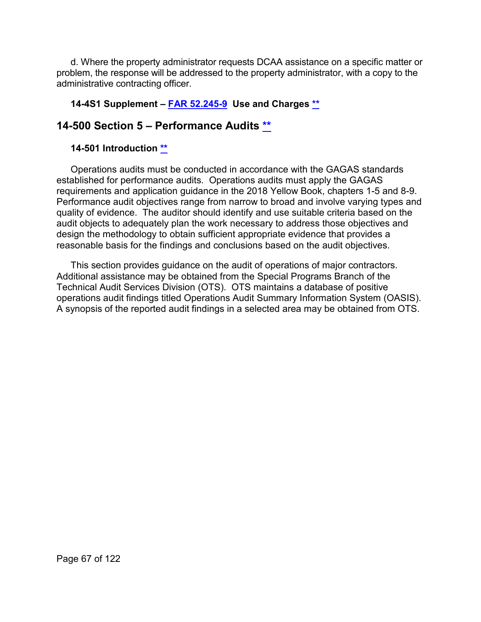d. Where the property administrator requests DCAA assistance on a specific matter or problem, the response will be addressed to the property administrator, with a copy to the administrative contracting officer.

# **14-4S1 Supplement – [FAR 52.245-9](http://www.ecfr.gov/cgi-bin/text-idx?SID=9844c98f20a6b8f565f0e19ab49bd4fd&mc=true&node=se48.2.52_1245_69&rgn=div8) Use and Charges [\\*\\*](#page-4-2)**

# **14-500 Section 5 – Performance Audits [\\*\\*](#page-4-3)**

#### **14-501 Introduction [\\*\\*](#page-4-4)**

Operations audits must be conducted in accordance with the GAGAS standards established for performance audits. Operations audits must apply the GAGAS requirements and application guidance in the 2018 Yellow Book, chapters 1-5 and 8-9. Performance audit objectives range from narrow to broad and involve varying types and quality of evidence. The auditor should identify and use suitable criteria based on the audit objects to adequately plan the work necessary to address those objectives and design the methodology to obtain sufficient appropriate evidence that provides a reasonable basis for the findings and conclusions based on the audit objectives.

This section provides guidance on the audit of operations of major contractors. Additional assistance may be obtained from the Special Programs Branch of the Technical Audit Services Division (OTS). OTS maintains a database of positive operations audit findings titled Operations Audit Summary Information System (OASIS). A synopsis of the reported audit findings in a selected area may be obtained from OTS.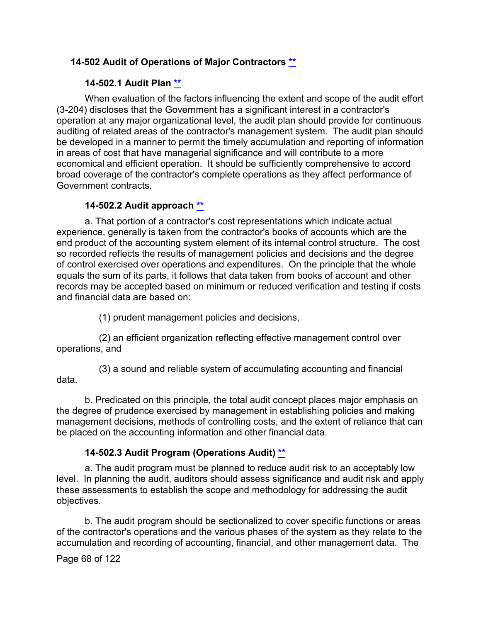### **14-502 Audit of Operations of Major Contractors [\\*\\*](#page-4-5)**

# **14-502.1 Audit Plan [\\*\\*](#page-4-6)**

When evaluation of the factors influencing the extent and scope of the audit effort (3-204) discloses that the Government has a significant interest in a contractor's operation at any major organizational level, the audit plan should provide for continuous auditing of related areas of the contractor's management system. The audit plan should be developed in a manner to permit the timely accumulation and reporting of information in areas of cost that have managerial significance and will contribute to a more economical and efficient operation. It should be sufficiently comprehensive to accord broad coverage of the contractor's complete operations as they affect performance of Government contracts.

#### **14-502.2 Audit approach [\\*\\*](#page-4-7)**

a. That portion of a contractor's cost representations which indicate actual experience, generally is taken from the contractor's books of accounts which are the end product of the accounting system element of its internal control structure. The cost so recorded reflects the results of management policies and decisions and the degree of control exercised over operations and expenditures. On the principle that the whole equals the sum of its parts, it follows that data taken from books of account and other records may be accepted based on minimum or reduced verification and testing if costs and financial data are based on:

(1) prudent management policies and decisions,

(2) an efficient organization reflecting effective management control over operations, and

(3) a sound and reliable system of accumulating accounting and financial data.

b. Predicated on this principle, the total audit concept places major emphasis on the degree of prudence exercised by management in establishing policies and making management decisions, methods of controlling costs, and the extent of reliance that can be placed on the accounting information and other financial data.

#### **14-502.3 Audit Program (Operations Audit) [\\*\\*](#page-4-8)**

a. The audit program must be planned to reduce audit risk to an acceptably low level. In planning the audit, auditors should assess significance and audit risk and apply these assessments to establish the scope and methodology for addressing the audit objectives.

b. The audit program should be sectionalized to cover specific functions or areas of the contractor's operations and the various phases of the system as they relate to the accumulation and recording of accounting, financial, and other management data. The

Page 68 of 122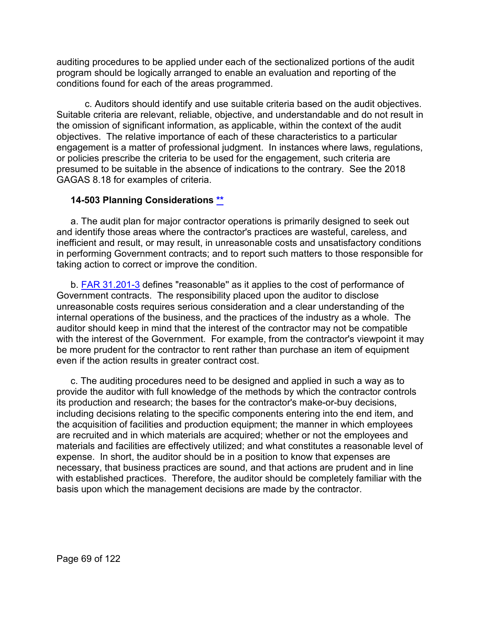auditing procedures to be applied under each of the sectionalized portions of the audit program should be logically arranged to enable an evaluation and reporting of the conditions found for each of the areas programmed.

c. Auditors should identify and use suitable criteria based on the audit objectives. Suitable criteria are relevant, reliable, objective, and understandable and do not result in the omission of significant information, as applicable, within the context of the audit objectives. The relative importance of each of these characteristics to a particular engagement is a matter of professional judgment. In instances where laws, regulations, or policies prescribe the criteria to be used for the engagement, such criteria are presumed to be suitable in the absence of indications to the contrary. See the 2018 GAGAS 8.18 for examples of criteria.

#### **14-503 Planning Considerations [\\*\\*](#page-4-9)**

a. The audit plan for major contractor operations is primarily designed to seek out and identify those areas where the contractor's practices are wasteful, careless, and inefficient and result, or may result, in unreasonable costs and unsatisfactory conditions in performing Government contracts; and to report such matters to those responsible for taking action to correct or improve the condition.

b. **FAR 31.201-3** defines "reasonable" as it applies to the cost of performance of Government contracts. The responsibility placed upon the auditor to disclose unreasonable costs requires serious consideration and a clear understanding of the internal operations of the business, and the practices of the industry as a whole. The auditor should keep in mind that the interest of the contractor may not be compatible with the interest of the Government. For example, from the contractor's viewpoint it may be more prudent for the contractor to rent rather than purchase an item of equipment even if the action results in greater contract cost.

c. The auditing procedures need to be designed and applied in such a way as to provide the auditor with full knowledge of the methods by which the contractor controls its production and research; the bases for the contractor's make-or-buy decisions, including decisions relating to the specific components entering into the end item, and the acquisition of facilities and production equipment; the manner in which employees are recruited and in which materials are acquired; whether or not the employees and materials and facilities are effectively utilized; and what constitutes a reasonable level of expense. In short, the auditor should be in a position to know that expenses are necessary, that business practices are sound, and that actions are prudent and in line with established practices. Therefore, the auditor should be completely familiar with the basis upon which the management decisions are made by the contractor.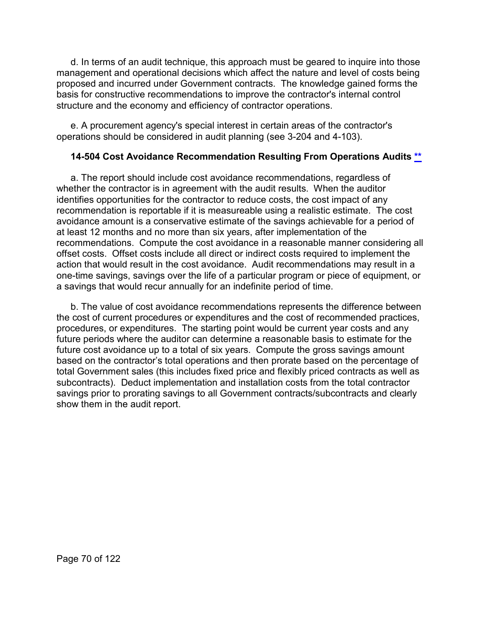d. In terms of an audit technique, this approach must be geared to inquire into those management and operational decisions which affect the nature and level of costs being proposed and incurred under Government contracts. The knowledge gained forms the basis for constructive recommendations to improve the contractor's internal control structure and the economy and efficiency of contractor operations.

e. A procurement agency's special interest in certain areas of the contractor's operations should be considered in audit planning (see 3-204 and 4-103).

#### **14-504 Cost Avoidance Recommendation Resulting From Operations Audits [\\*\\*](#page-4-10)**

a. The report should include cost avoidance recommendations, regardless of whether the contractor is in agreement with the audit results. When the auditor identifies opportunities for the contractor to reduce costs, the cost impact of any recommendation is reportable if it is measureable using a realistic estimate. The cost avoidance amount is a conservative estimate of the savings achievable for a period of at least 12 months and no more than six years, after implementation of the recommendations. Compute the cost avoidance in a reasonable manner considering all offset costs. Offset costs include all direct or indirect costs required to implement the action that would result in the cost avoidance. Audit recommendations may result in a one-time savings, savings over the life of a particular program or piece of equipment, or a savings that would recur annually for an indefinite period of time.

b. The value of cost avoidance recommendations represents the difference between the cost of current procedures or expenditures and the cost of recommended practices, procedures, or expenditures. The starting point would be current year costs and any future periods where the auditor can determine a reasonable basis to estimate for the future cost avoidance up to a total of six years. Compute the gross savings amount based on the contractor's total operations and then prorate based on the percentage of total Government sales (this includes fixed price and flexibly priced contracts as well as subcontracts). Deduct implementation and installation costs from the total contractor savings prior to prorating savings to all Government contracts/subcontracts and clearly show them in the audit report.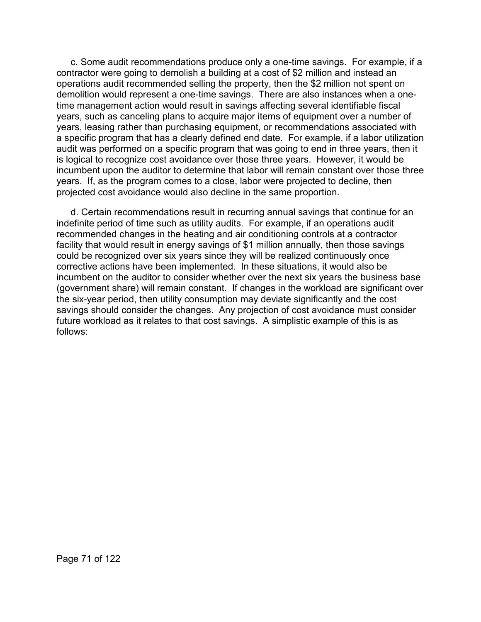c. Some audit recommendations produce only a one-time savings. For example, if a contractor were going to demolish a building at a cost of \$2 million and instead an operations audit recommended selling the property, then the \$2 million not spent on demolition would represent a one-time savings. There are also instances when a onetime management action would result in savings affecting several identifiable fiscal years, such as canceling plans to acquire major items of equipment over a number of years, leasing rather than purchasing equipment, or recommendations associated with a specific program that has a clearly defined end date. For example, if a labor utilization audit was performed on a specific program that was going to end in three years, then it is logical to recognize cost avoidance over those three years. However, it would be incumbent upon the auditor to determine that labor will remain constant over those three years. If, as the program comes to a close, labor were projected to decline, then projected cost avoidance would also decline in the same proportion.

d. Certain recommendations result in recurring annual savings that continue for an indefinite period of time such as utility audits. For example, if an operations audit recommended changes in the heating and air conditioning controls at a contractor facility that would result in energy savings of \$1 million annually, then those savings could be recognized over six years since they will be realized continuously once corrective actions have been implemented. In these situations, it would also be incumbent on the auditor to consider whether over the next six years the business base (government share) will remain constant. If changes in the workload are significant over the six-year period, then utility consumption may deviate significantly and the cost savings should consider the changes. Any projection of cost avoidance must consider future workload as it relates to that cost savings. A simplistic example of this is as follows: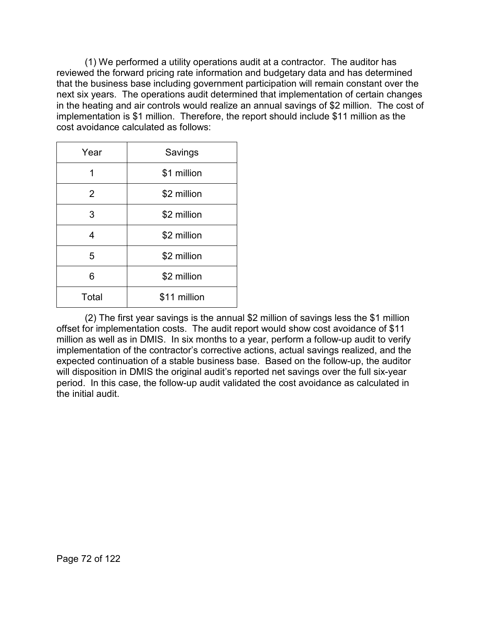(1) We performed a utility operations audit at a contractor. The auditor has reviewed the forward pricing rate information and budgetary data and has determined that the business base including government participation will remain constant over the next six years. The operations audit determined that implementation of certain changes in the heating and air controls would realize an annual savings of \$2 million. The cost of implementation is \$1 million. Therefore, the report should include \$11 million as the cost avoidance calculated as follows:

| Year  | Savings      |
|-------|--------------|
| 1     | \$1 million  |
| 2     | \$2 million  |
| 3     | \$2 million  |
| 4     | \$2 million  |
| 5     | \$2 million  |
| 6     | \$2 million  |
| Total | \$11 million |

(2) The first year savings is the annual \$2 million of savings less the \$1 million offset for implementation costs. The audit report would show cost avoidance of \$11 million as well as in DMIS. In six months to a year, perform a follow-up audit to verify implementation of the contractor's corrective actions, actual savings realized, and the expected continuation of a stable business base. Based on the follow-up, the auditor will disposition in DMIS the original audit's reported net savings over the full six-year period. In this case, the follow-up audit validated the cost avoidance as calculated in the initial audit.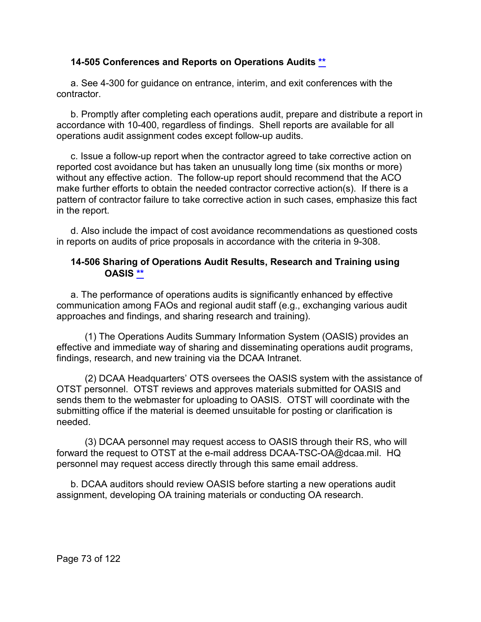### **14-505 Conferences and Reports on Operations Audits [\\*\\*](#page-4-0)**

a. See 4-300 for guidance on entrance, interim, and exit conferences with the contractor.

b. Promptly after completing each operations audit, prepare and distribute a report in accordance with 10-400, regardless of findings. Shell reports are available for all operations audit assignment codes except follow-up audits.

c. Issue a follow-up report when the contractor agreed to take corrective action on reported cost avoidance but has taken an unusually long time (six months or more) without any effective action. The follow-up report should recommend that the ACO make further efforts to obtain the needed contractor corrective action(s). If there is a pattern of contractor failure to take corrective action in such cases, emphasize this fact in the report.

d. Also include the impact of cost avoidance recommendations as questioned costs in reports on audits of price proposals in accordance with the criteria in 9-308.

### **14-506 Sharing of Operations Audit Results, Research and Training using OASIS [\\*\\*](#page-4-1)**

a. The performance of operations audits is significantly enhanced by effective communication among FAOs and regional audit staff (e.g., exchanging various audit approaches and findings, and sharing research and training).

(1) The Operations Audits Summary Information System (OASIS) provides an effective and immediate way of sharing and disseminating operations audit programs, findings, research, and new training via the DCAA Intranet.

(2) DCAA Headquarters' OTS oversees the OASIS system with the assistance of OTST personnel. OTST reviews and approves materials submitted for OASIS and sends them to the webmaster for uploading to OASIS. OTST will coordinate with the submitting office if the material is deemed unsuitable for posting or clarification is needed.

(3) DCAA personnel may request access to OASIS through their RS, who will forward the request to OTST at the e-mail address DCAA-TSC-OA@dcaa.mil. HQ personnel may request access directly through this same email address.

b. DCAA auditors should review OASIS before starting a new operations audit assignment, developing OA training materials or conducting OA research.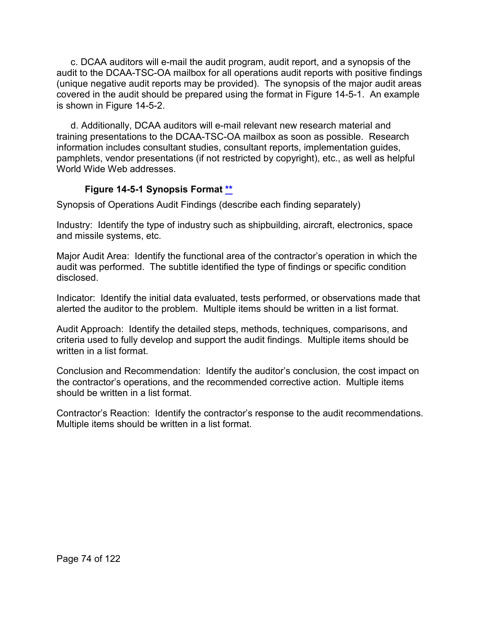c. DCAA auditors will e-mail the audit program, audit report, and a synopsis of the audit to the DCAA-TSC-OA mailbox for all operations audit reports with positive findings (unique negative audit reports may be provided). The synopsis of the major audit areas covered in the audit should be prepared using the format in Figure 14-5-1. An example is shown in Figure 14-5-2.

d. Additionally, DCAA auditors will e-mail relevant new research material and training presentations to the DCAA-TSC-OA mailbox as soon as possible. Research information includes consultant studies, consultant reports, implementation guides, pamphlets, vendor presentations (if not restricted by copyright), etc., as well as helpful World Wide Web addresses.

# **Figure 14-5-1 Synopsis Format [\\*\\*](#page-4-2)**

Synopsis of Operations Audit Findings (describe each finding separately)

Industry: Identify the type of industry such as shipbuilding, aircraft, electronics, space and missile systems, etc.

Major Audit Area: Identify the functional area of the contractor's operation in which the audit was performed. The subtitle identified the type of findings or specific condition disclosed.

Indicator: Identify the initial data evaluated, tests performed, or observations made that alerted the auditor to the problem. Multiple items should be written in a list format.

Audit Approach: Identify the detailed steps, methods, techniques, comparisons, and criteria used to fully develop and support the audit findings. Multiple items should be written in a list format.

Conclusion and Recommendation: Identify the auditor's conclusion, the cost impact on the contractor's operations, and the recommended corrective action. Multiple items should be written in a list format.

Contractor's Reaction: Identify the contractor's response to the audit recommendations. Multiple items should be written in a list format.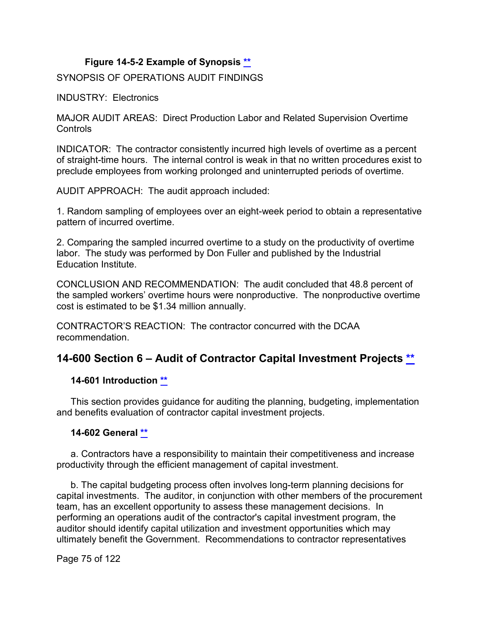### **Figure 14-5-2 Example of Synopsis [\\*\\*](#page-4-3)**

SYNOPSIS OF OPERATIONS AUDIT FINDINGS

INDUSTRY: Electronics

MAJOR AUDIT AREAS: Direct Production Labor and Related Supervision Overtime Controls

INDICATOR: The contractor consistently incurred high levels of overtime as a percent of straight-time hours. The internal control is weak in that no written procedures exist to preclude employees from working prolonged and uninterrupted periods of overtime.

AUDIT APPROACH: The audit approach included:

1. Random sampling of employees over an eight-week period to obtain a representative pattern of incurred overtime.

2. Comparing the sampled incurred overtime to a study on the productivity of overtime labor. The study was performed by Don Fuller and published by the Industrial Education Institute.

CONCLUSION AND RECOMMENDATION: The audit concluded that 48.8 percent of the sampled workers' overtime hours were nonproductive. The nonproductive overtime cost is estimated to be \$1.34 million annually.

CONTRACTOR'S REACTION: The contractor concurred with the DCAA recommendation.

# **14-600 Section 6 – Audit of Contractor Capital Investment Projects [\\*\\*](#page-4-4)**

# **14-601 Introduction [\\*\\*](#page-4-5)**

This section provides guidance for auditing the planning, budgeting, implementation and benefits evaluation of contractor capital investment projects.

# **14-602 General [\\*\\*](#page-4-6)**

a. Contractors have a responsibility to maintain their competitiveness and increase productivity through the efficient management of capital investment.

b. The capital budgeting process often involves long-term planning decisions for capital investments. The auditor, in conjunction with other members of the procurement team, has an excellent opportunity to assess these management decisions. In performing an operations audit of the contractor's capital investment program, the auditor should identify capital utilization and investment opportunities which may ultimately benefit the Government. Recommendations to contractor representatives

Page 75 of 122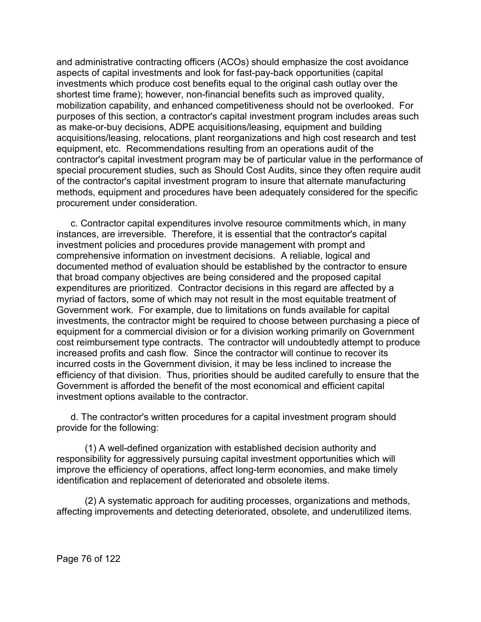and administrative contracting officers (ACOs) should emphasize the cost avoidance aspects of capital investments and look for fast-pay-back opportunities (capital investments which produce cost benefits equal to the original cash outlay over the shortest time frame); however, non-financial benefits such as improved quality, mobilization capability, and enhanced competitiveness should not be overlooked. For purposes of this section, a contractor's capital investment program includes areas such as make-or-buy decisions, ADPE acquisitions/leasing, equipment and building acquisitions/leasing, relocations, plant reorganizations and high cost research and test equipment, etc. Recommendations resulting from an operations audit of the contractor's capital investment program may be of particular value in the performance of special procurement studies, such as Should Cost Audits, since they often require audit of the contractor's capital investment program to insure that alternate manufacturing methods, equipment and procedures have been adequately considered for the specific procurement under consideration.

c. Contractor capital expenditures involve resource commitments which, in many instances, are irreversible. Therefore, it is essential that the contractor's capital investment policies and procedures provide management with prompt and comprehensive information on investment decisions. A reliable, logical and documented method of evaluation should be established by the contractor to ensure that broad company objectives are being considered and the proposed capital expenditures are prioritized. Contractor decisions in this regard are affected by a myriad of factors, some of which may not result in the most equitable treatment of Government work. For example, due to limitations on funds available for capital investments, the contractor might be required to choose between purchasing a piece of equipment for a commercial division or for a division working primarily on Government cost reimbursement type contracts. The contractor will undoubtedly attempt to produce increased profits and cash flow. Since the contractor will continue to recover its incurred costs in the Government division, it may be less inclined to increase the efficiency of that division. Thus, priorities should be audited carefully to ensure that the Government is afforded the benefit of the most economical and efficient capital investment options available to the contractor.

d. The contractor's written procedures for a capital investment program should provide for the following:

(1) A well-defined organization with established decision authority and responsibility for aggressively pursuing capital investment opportunities which will improve the efficiency of operations, affect long-term economies, and make timely identification and replacement of deteriorated and obsolete items.

(2) A systematic approach for auditing processes, organizations and methods, affecting improvements and detecting deteriorated, obsolete, and underutilized items.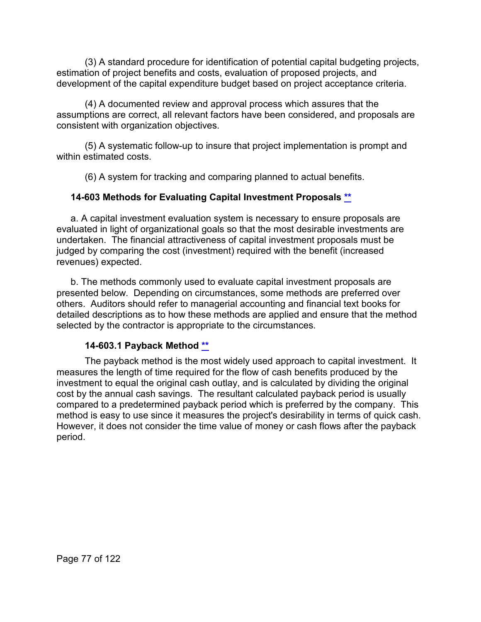(3) A standard procedure for identification of potential capital budgeting projects, estimation of project benefits and costs, evaluation of proposed projects, and development of the capital expenditure budget based on project acceptance criteria.

(4) A documented review and approval process which assures that the assumptions are correct, all relevant factors have been considered, and proposals are consistent with organization objectives.

(5) A systematic follow-up to insure that project implementation is prompt and within estimated costs.

(6) A system for tracking and comparing planned to actual benefits.

# **14-603 Methods for Evaluating Capital Investment Proposals [\\*\\*](#page-4-7)**

a. A capital investment evaluation system is necessary to ensure proposals are evaluated in light of organizational goals so that the most desirable investments are undertaken. The financial attractiveness of capital investment proposals must be judged by comparing the cost (investment) required with the benefit (increased revenues) expected.

b. The methods commonly used to evaluate capital investment proposals are presented below. Depending on circumstances, some methods are preferred over others. Auditors should refer to managerial accounting and financial text books for detailed descriptions as to how these methods are applied and ensure that the method selected by the contractor is appropriate to the circumstances.

# **14-603.1 Payback Method [\\*\\*](#page-4-8)**

The payback method is the most widely used approach to capital investment. It measures the length of time required for the flow of cash benefits produced by the investment to equal the original cash outlay, and is calculated by dividing the original cost by the annual cash savings. The resultant calculated payback period is usually compared to a predetermined payback period which is preferred by the company. This method is easy to use since it measures the project's desirability in terms of quick cash. However, it does not consider the time value of money or cash flows after the payback period.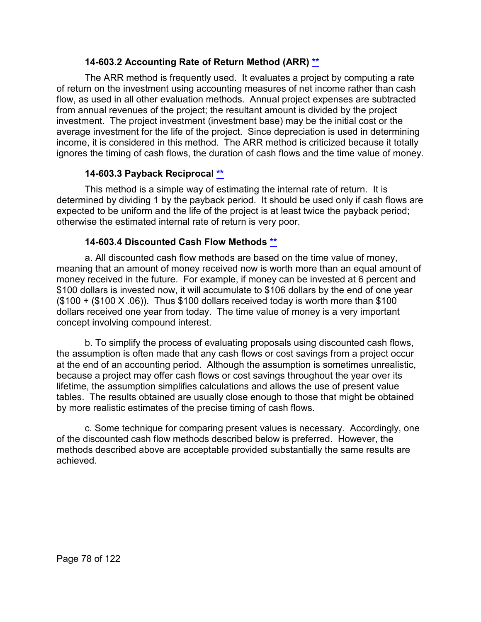# **14-603.2 Accounting Rate of Return Method (ARR) [\\*\\*](#page-4-9)**

The ARR method is frequently used. It evaluates a project by computing a rate of return on the investment using accounting measures of net income rather than cash flow, as used in all other evaluation methods. Annual project expenses are subtracted from annual revenues of the project; the resultant amount is divided by the project investment. The project investment (investment base) may be the initial cost or the average investment for the life of the project. Since depreciation is used in determining income, it is considered in this method. The ARR method is criticized because it totally ignores the timing of cash flows, the duration of cash flows and the time value of money.

# **14-603.3 Payback Reciprocal [\\*\\*](#page-4-10)**

This method is a simple way of estimating the internal rate of return. It is determined by dividing 1 by the payback period. It should be used only if cash flows are expected to be uniform and the life of the project is at least twice the payback period; otherwise the estimated internal rate of return is very poor.

# **14-603.4 Discounted Cash Flow Methods [\\*\\*](#page-4-11)**

a. All discounted cash flow methods are based on the time value of money, meaning that an amount of money received now is worth more than an equal amount of money received in the future. For example, if money can be invested at 6 percent and \$100 dollars is invested now, it will accumulate to \$106 dollars by the end of one year  $($100 + ($100 X .06))$ . Thus \$100 dollars received today is worth more than \$100 dollars received one year from today. The time value of money is a very important concept involving compound interest.

b. To simplify the process of evaluating proposals using discounted cash flows, the assumption is often made that any cash flows or cost savings from a project occur at the end of an accounting period. Although the assumption is sometimes unrealistic, because a project may offer cash flows or cost savings throughout the year over its lifetime, the assumption simplifies calculations and allows the use of present value tables. The results obtained are usually close enough to those that might be obtained by more realistic estimates of the precise timing of cash flows.

c. Some technique for comparing present values is necessary. Accordingly, one of the discounted cash flow methods described below is preferred. However, the methods described above are acceptable provided substantially the same results are achieved.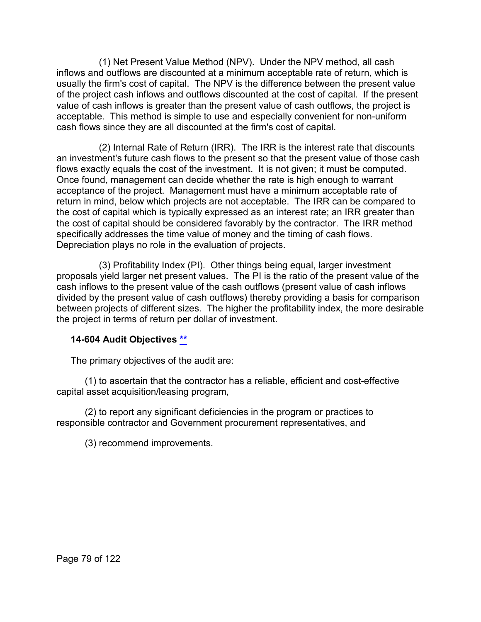(1) Net Present Value Method (NPV). Under the NPV method, all cash inflows and outflows are discounted at a minimum acceptable rate of return, which is usually the firm's cost of capital. The NPV is the difference between the present value of the project cash inflows and outflows discounted at the cost of capital. If the present value of cash inflows is greater than the present value of cash outflows, the project is acceptable. This method is simple to use and especially convenient for non-uniform cash flows since they are all discounted at the firm's cost of capital.

(2) Internal Rate of Return (IRR). The IRR is the interest rate that discounts an investment's future cash flows to the present so that the present value of those cash flows exactly equals the cost of the investment. It is not given; it must be computed. Once found, management can decide whether the rate is high enough to warrant acceptance of the project. Management must have a minimum acceptable rate of return in mind, below which projects are not acceptable. The IRR can be compared to the cost of capital which is typically expressed as an interest rate; an IRR greater than the cost of capital should be considered favorably by the contractor. The IRR method specifically addresses the time value of money and the timing of cash flows. Depreciation plays no role in the evaluation of projects.

(3) Profitability Index (PI). Other things being equal, larger investment proposals yield larger net present values. The PI is the ratio of the present value of the cash inflows to the present value of the cash outflows (present value of cash inflows divided by the present value of cash outflows) thereby providing a basis for comparison between projects of different sizes. The higher the profitability index, the more desirable the project in terms of return per dollar of investment.

# **14-604 Audit Objectives [\\*\\*](#page-4-12)**

The primary objectives of the audit are:

(1) to ascertain that the contractor has a reliable, efficient and cost-effective capital asset acquisition/leasing program,

(2) to report any significant deficiencies in the program or practices to responsible contractor and Government procurement representatives, and

(3) recommend improvements.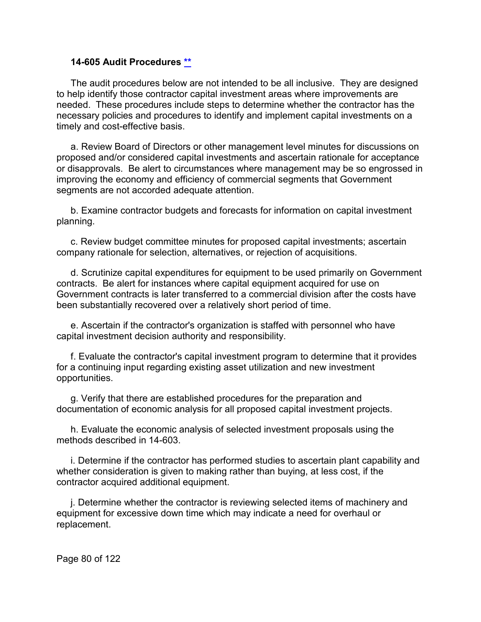#### **14-605 Audit Procedures [\\*\\*](#page-5-0)**

The audit procedures below are not intended to be all inclusive. They are designed to help identify those contractor capital investment areas where improvements are needed. These procedures include steps to determine whether the contractor has the necessary policies and procedures to identify and implement capital investments on a timely and cost-effective basis.

a. Review Board of Directors or other management level minutes for discussions on proposed and/or considered capital investments and ascertain rationale for acceptance or disapprovals. Be alert to circumstances where management may be so engrossed in improving the economy and efficiency of commercial segments that Government segments are not accorded adequate attention.

b. Examine contractor budgets and forecasts for information on capital investment planning.

c. Review budget committee minutes for proposed capital investments; ascertain company rationale for selection, alternatives, or rejection of acquisitions.

d. Scrutinize capital expenditures for equipment to be used primarily on Government contracts. Be alert for instances where capital equipment acquired for use on Government contracts is later transferred to a commercial division after the costs have been substantially recovered over a relatively short period of time.

e. Ascertain if the contractor's organization is staffed with personnel who have capital investment decision authority and responsibility.

f. Evaluate the contractor's capital investment program to determine that it provides for a continuing input regarding existing asset utilization and new investment opportunities.

g. Verify that there are established procedures for the preparation and documentation of economic analysis for all proposed capital investment projects.

h. Evaluate the economic analysis of selected investment proposals using the methods described in 14-603.

i. Determine if the contractor has performed studies to ascertain plant capability and whether consideration is given to making rather than buying, at less cost, if the contractor acquired additional equipment.

j. Determine whether the contractor is reviewing selected items of machinery and equipment for excessive down time which may indicate a need for overhaul or replacement.

Page 80 of 122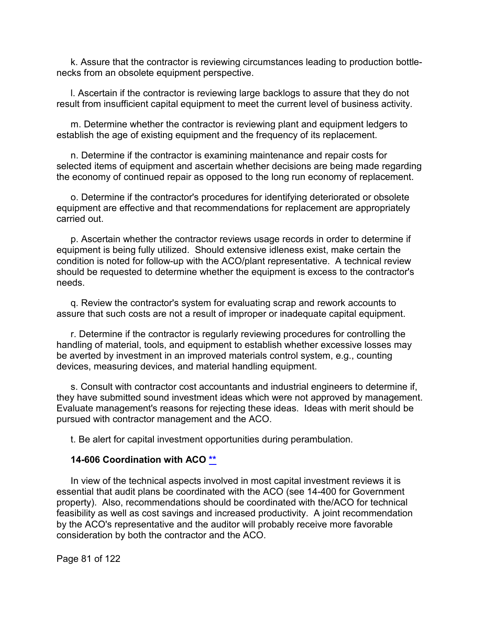k. Assure that the contractor is reviewing circumstances leading to production bottlenecks from an obsolete equipment perspective.

l. Ascertain if the contractor is reviewing large backlogs to assure that they do not result from insufficient capital equipment to meet the current level of business activity.

m. Determine whether the contractor is reviewing plant and equipment ledgers to establish the age of existing equipment and the frequency of its replacement.

n. Determine if the contractor is examining maintenance and repair costs for selected items of equipment and ascertain whether decisions are being made regarding the economy of continued repair as opposed to the long run economy of replacement.

o. Determine if the contractor's procedures for identifying deteriorated or obsolete equipment are effective and that recommendations for replacement are appropriately carried out.

p. Ascertain whether the contractor reviews usage records in order to determine if equipment is being fully utilized. Should extensive idleness exist, make certain the condition is noted for follow-up with the ACO/plant representative. A technical review should be requested to determine whether the equipment is excess to the contractor's needs.

q. Review the contractor's system for evaluating scrap and rework accounts to assure that such costs are not a result of improper or inadequate capital equipment.

r. Determine if the contractor is regularly reviewing procedures for controlling the handling of material, tools, and equipment to establish whether excessive losses may be averted by investment in an improved materials control system, e.g., counting devices, measuring devices, and material handling equipment.

s. Consult with contractor cost accountants and industrial engineers to determine if, they have submitted sound investment ideas which were not approved by management. Evaluate management's reasons for rejecting these ideas. Ideas with merit should be pursued with contractor management and the ACO.

t. Be alert for capital investment opportunities during perambulation.

#### **14-606 Coordination with ACO [\\*\\*](#page-5-1)**

In view of the technical aspects involved in most capital investment reviews it is essential that audit plans be coordinated with the ACO (see 14-400 for Government property). Also, recommendations should be coordinated with the/ACO for technical feasibility as well as cost savings and increased productivity. A joint recommendation by the ACO's representative and the auditor will probably receive more favorable consideration by both the contractor and the ACO.

Page 81 of 122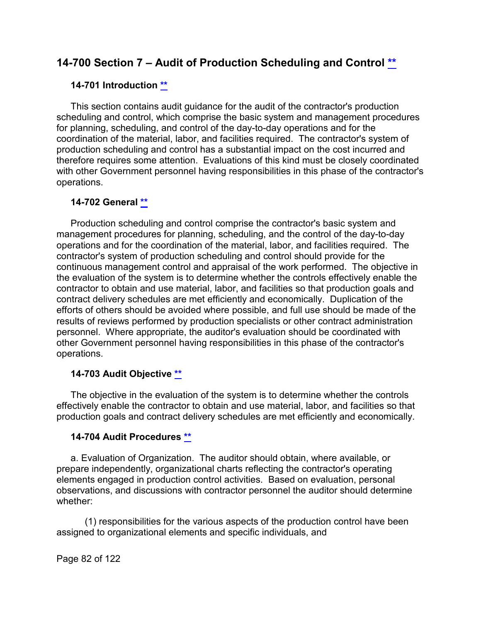# **14-700 Section 7 – Audit of Production Scheduling and Control [\\*\\*](#page-5-2)**

#### **14-701 Introduction [\\*\\*](#page-5-3)**

This section contains audit guidance for the audit of the contractor's production scheduling and control, which comprise the basic system and management procedures for planning, scheduling, and control of the day-to-day operations and for the coordination of the material, labor, and facilities required. The contractor's system of production scheduling and control has a substantial impact on the cost incurred and therefore requires some attention. Evaluations of this kind must be closely coordinated with other Government personnel having responsibilities in this phase of the contractor's operations.

### **14-702 General [\\*\\*](#page-5-4)**

Production scheduling and control comprise the contractor's basic system and management procedures for planning, scheduling, and the control of the day-to-day operations and for the coordination of the material, labor, and facilities required. The contractor's system of production scheduling and control should provide for the continuous management control and appraisal of the work performed. The objective in the evaluation of the system is to determine whether the controls effectively enable the contractor to obtain and use material, labor, and facilities so that production goals and contract delivery schedules are met efficiently and economically. Duplication of the efforts of others should be avoided where possible, and full use should be made of the results of reviews performed by production specialists or other contract administration personnel. Where appropriate, the auditor's evaluation should be coordinated with other Government personnel having responsibilities in this phase of the contractor's operations.

# **14-703 Audit Objective [\\*\\*](#page-5-5)**

The objective in the evaluation of the system is to determine whether the controls effectively enable the contractor to obtain and use material, labor, and facilities so that production goals and contract delivery schedules are met efficiently and economically.

#### **14-704 Audit Procedures [\\*\\*](#page-5-6)**

a. Evaluation of Organization. The auditor should obtain, where available, or prepare independently, organizational charts reflecting the contractor's operating elements engaged in production control activities. Based on evaluation, personal observations, and discussions with contractor personnel the auditor should determine whether:

(1) responsibilities for the various aspects of the production control have been assigned to organizational elements and specific individuals, and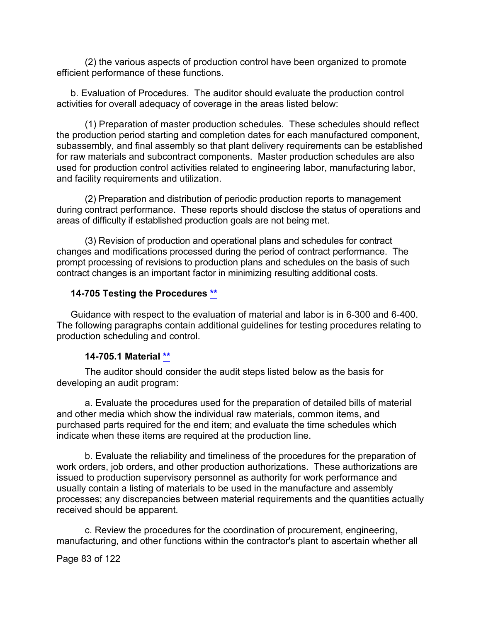(2) the various aspects of production control have been organized to promote efficient performance of these functions.

b. Evaluation of Procedures. The auditor should evaluate the production control activities for overall adequacy of coverage in the areas listed below:

(1) Preparation of master production schedules. These schedules should reflect the production period starting and completion dates for each manufactured component, subassembly, and final assembly so that plant delivery requirements can be established for raw materials and subcontract components. Master production schedules are also used for production control activities related to engineering labor, manufacturing labor, and facility requirements and utilization.

(2) Preparation and distribution of periodic production reports to management during contract performance. These reports should disclose the status of operations and areas of difficulty if established production goals are not being met.

(3) Revision of production and operational plans and schedules for contract changes and modifications processed during the period of contract performance. The prompt processing of revisions to production plans and schedules on the basis of such contract changes is an important factor in minimizing resulting additional costs.

### **14-705 Testing the Procedures [\\*\\*](#page-5-7)**

Guidance with respect to the evaluation of material and labor is in 6-300 and 6-400. The following paragraphs contain additional guidelines for testing procedures relating to production scheduling and control.

#### **14-705.1 Material [\\*\\*](#page-5-8)**

The auditor should consider the audit steps listed below as the basis for developing an audit program:

a. Evaluate the procedures used for the preparation of detailed bills of material and other media which show the individual raw materials, common items, and purchased parts required for the end item; and evaluate the time schedules which indicate when these items are required at the production line.

b. Evaluate the reliability and timeliness of the procedures for the preparation of work orders, job orders, and other production authorizations. These authorizations are issued to production supervisory personnel as authority for work performance and usually contain a listing of materials to be used in the manufacture and assembly processes; any discrepancies between material requirements and the quantities actually received should be apparent.

c. Review the procedures for the coordination of procurement, engineering, manufacturing, and other functions within the contractor's plant to ascertain whether all

Page 83 of 122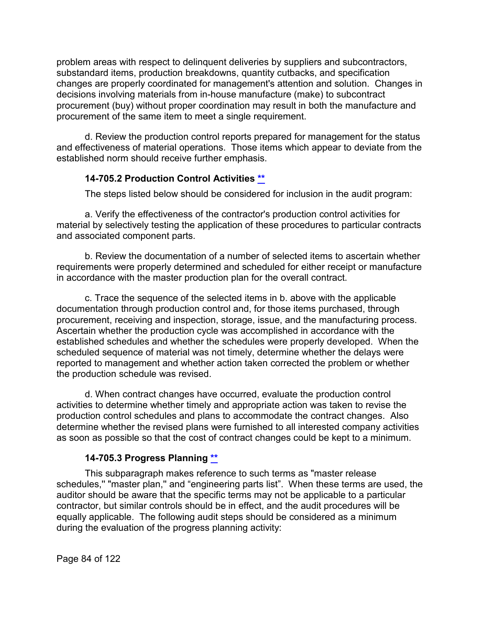problem areas with respect to delinquent deliveries by suppliers and subcontractors, substandard items, production breakdowns, quantity cutbacks, and specification changes are properly coordinated for management's attention and solution. Changes in decisions involving materials from in-house manufacture (make) to subcontract procurement (buy) without proper coordination may result in both the manufacture and procurement of the same item to meet a single requirement.

d. Review the production control reports prepared for management for the status and effectiveness of material operations. Those items which appear to deviate from the established norm should receive further emphasis.

# **14-705.2 Production Control Activities [\\*\\*](#page-5-9)**

The steps listed below should be considered for inclusion in the audit program:

a. Verify the effectiveness of the contractor's production control activities for material by selectively testing the application of these procedures to particular contracts and associated component parts.

b. Review the documentation of a number of selected items to ascertain whether requirements were properly determined and scheduled for either receipt or manufacture in accordance with the master production plan for the overall contract.

c. Trace the sequence of the selected items in b. above with the applicable documentation through production control and, for those items purchased, through procurement, receiving and inspection, storage, issue, and the manufacturing process. Ascertain whether the production cycle was accomplished in accordance with the established schedules and whether the schedules were properly developed. When the scheduled sequence of material was not timely, determine whether the delays were reported to management and whether action taken corrected the problem or whether the production schedule was revised.

d. When contract changes have occurred, evaluate the production control activities to determine whether timely and appropriate action was taken to revise the production control schedules and plans to accommodate the contract changes. Also determine whether the revised plans were furnished to all interested company activities as soon as possible so that the cost of contract changes could be kept to a minimum.

# **14-705.3 Progress Planning [\\*\\*](#page-5-10)**

This subparagraph makes reference to such terms as "master release schedules,'' "master plan,'' and "engineering parts list". When these terms are used, the auditor should be aware that the specific terms may not be applicable to a particular contractor, but similar controls should be in effect, and the audit procedures will be equally applicable. The following audit steps should be considered as a minimum during the evaluation of the progress planning activity: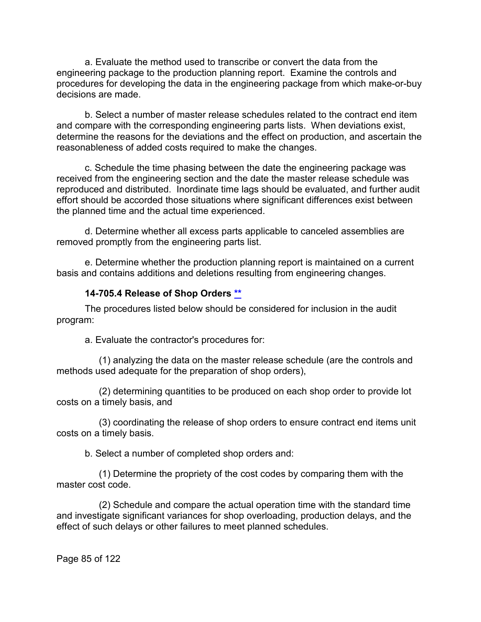a. Evaluate the method used to transcribe or convert the data from the engineering package to the production planning report. Examine the controls and procedures for developing the data in the engineering package from which make-or-buy decisions are made.

b. Select a number of master release schedules related to the contract end item and compare with the corresponding engineering parts lists. When deviations exist, determine the reasons for the deviations and the effect on production, and ascertain the reasonableness of added costs required to make the changes.

c. Schedule the time phasing between the date the engineering package was received from the engineering section and the date the master release schedule was reproduced and distributed. Inordinate time lags should be evaluated, and further audit effort should be accorded those situations where significant differences exist between the planned time and the actual time experienced.

d. Determine whether all excess parts applicable to canceled assemblies are removed promptly from the engineering parts list.

e. Determine whether the production planning report is maintained on a current basis and contains additions and deletions resulting from engineering changes.

#### **14-705.4 Release of Shop Orders [\\*\\*](#page-5-11)**

The procedures listed below should be considered for inclusion in the audit program:

a. Evaluate the contractor's procedures for:

(1) analyzing the data on the master release schedule (are the controls and methods used adequate for the preparation of shop orders),

(2) determining quantities to be produced on each shop order to provide lot costs on a timely basis, and

(3) coordinating the release of shop orders to ensure contract end items unit costs on a timely basis.

b. Select a number of completed shop orders and:

(1) Determine the propriety of the cost codes by comparing them with the master cost code.

(2) Schedule and compare the actual operation time with the standard time and investigate significant variances for shop overloading, production delays, and the effect of such delays or other failures to meet planned schedules.

Page 85 of 122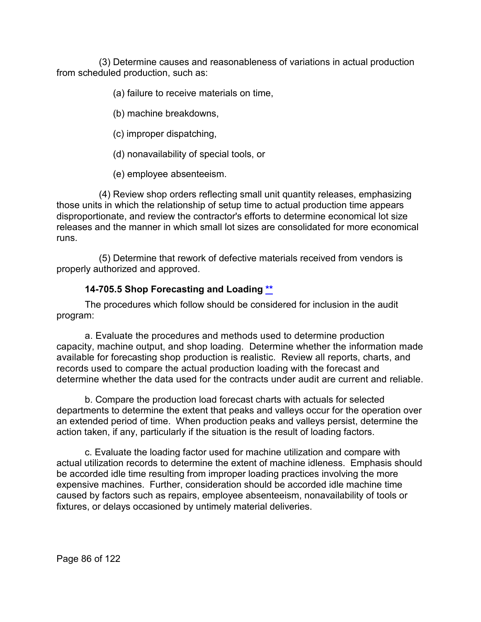(3) Determine causes and reasonableness of variations in actual production from scheduled production, such as:

(a) failure to receive materials on time,

(b) machine breakdowns,

(c) improper dispatching,

(d) nonavailability of special tools, or

(e) employee absenteeism.

(4) Review shop orders reflecting small unit quantity releases, emphasizing those units in which the relationship of setup time to actual production time appears disproportionate, and review the contractor's efforts to determine economical lot size releases and the manner in which small lot sizes are consolidated for more economical runs.

(5) Determine that rework of defective materials received from vendors is properly authorized and approved.

# **14-705.5 Shop Forecasting and Loading [\\*\\*](#page-5-12)**

The procedures which follow should be considered for inclusion in the audit program:

a. Evaluate the procedures and methods used to determine production capacity, machine output, and shop loading. Determine whether the information made available for forecasting shop production is realistic. Review all reports, charts, and records used to compare the actual production loading with the forecast and determine whether the data used for the contracts under audit are current and reliable.

b. Compare the production load forecast charts with actuals for selected departments to determine the extent that peaks and valleys occur for the operation over an extended period of time. When production peaks and valleys persist, determine the action taken, if any, particularly if the situation is the result of loading factors.

c. Evaluate the loading factor used for machine utilization and compare with actual utilization records to determine the extent of machine idleness. Emphasis should be accorded idle time resulting from improper loading practices involving the more expensive machines. Further, consideration should be accorded idle machine time caused by factors such as repairs, employee absenteeism, nonavailability of tools or fixtures, or delays occasioned by untimely material deliveries.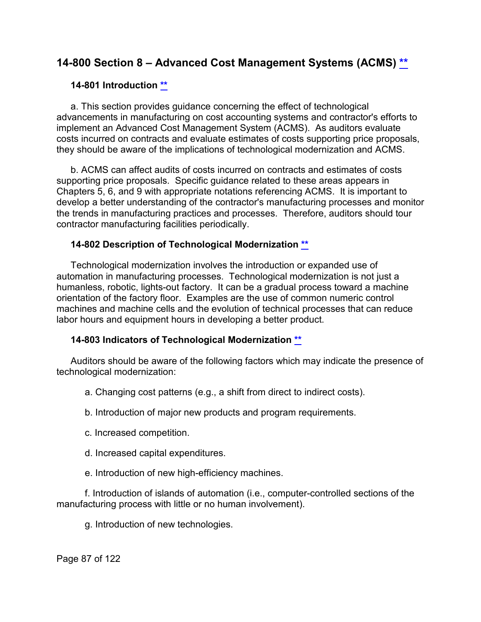# **14-800 Section 8 – Advanced Cost Management Systems (ACMS) [\\*\\*](#page-5-13)**

#### **14-801 Introduction [\\*\\*](#page-5-14)**

a. This section provides guidance concerning the effect of technological advancements in manufacturing on cost accounting systems and contractor's efforts to implement an Advanced Cost Management System (ACMS). As auditors evaluate costs incurred on contracts and evaluate estimates of costs supporting price proposals, they should be aware of the implications of technological modernization and ACMS.

b. ACMS can affect audits of costs incurred on contracts and estimates of costs supporting price proposals. Specific guidance related to these areas appears in Chapters 5, 6, and 9 with appropriate notations referencing ACMS. It is important to develop a better understanding of the contractor's manufacturing processes and monitor the trends in manufacturing practices and processes. Therefore, auditors should tour contractor manufacturing facilities periodically.

### **14-802 Description of Technological Modernization [\\*\\*](#page-5-15)**

Technological modernization involves the introduction or expanded use of automation in manufacturing processes. Technological modernization is not just a humanless, robotic, lights-out factory. It can be a gradual process toward a machine orientation of the factory floor. Examples are the use of common numeric control machines and machine cells and the evolution of technical processes that can reduce labor hours and equipment hours in developing a better product.

# **14-803 Indicators of Technological Modernization [\\*\\*](#page-5-16)**

Auditors should be aware of the following factors which may indicate the presence of technological modernization:

- a. Changing cost patterns (e.g., a shift from direct to indirect costs).
- b. Introduction of major new products and program requirements.
- c. Increased competition.
- d. Increased capital expenditures.
- e. Introduction of new high-efficiency machines.

f. Introduction of islands of automation (i.e., computer-controlled sections of the manufacturing process with little or no human involvement).

g. Introduction of new technologies.

Page 87 of 122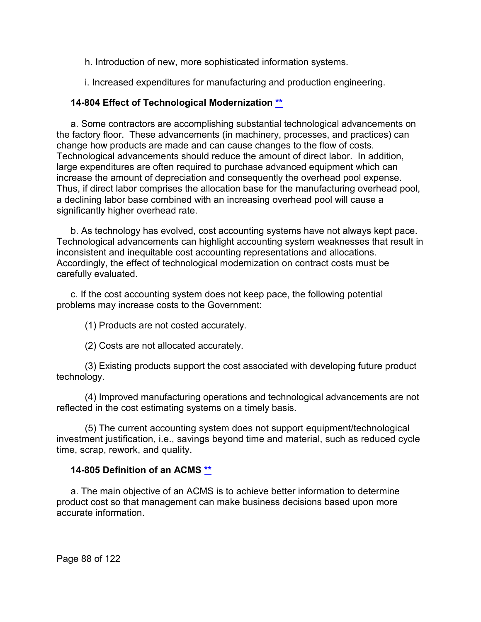h. Introduction of new, more sophisticated information systems.

i. Increased expenditures for manufacturing and production engineering.

# **14-804 Effect of Technological Modernization [\\*\\*](#page-5-17)**

a. Some contractors are accomplishing substantial technological advancements on the factory floor. These advancements (in machinery, processes, and practices) can change how products are made and can cause changes to the flow of costs. Technological advancements should reduce the amount of direct labor. In addition, large expenditures are often required to purchase advanced equipment which can increase the amount of depreciation and consequently the overhead pool expense. Thus, if direct labor comprises the allocation base for the manufacturing overhead pool, a declining labor base combined with an increasing overhead pool will cause a significantly higher overhead rate.

b. As technology has evolved, cost accounting systems have not always kept pace. Technological advancements can highlight accounting system weaknesses that result in inconsistent and inequitable cost accounting representations and allocations. Accordingly, the effect of technological modernization on contract costs must be carefully evaluated.

c. If the cost accounting system does not keep pace, the following potential problems may increase costs to the Government:

(1) Products are not costed accurately.

(2) Costs are not allocated accurately.

(3) Existing products support the cost associated with developing future product technology.

(4) Improved manufacturing operations and technological advancements are not reflected in the cost estimating systems on a timely basis.

(5) The current accounting system does not support equipment/technological investment justification, i.e., savings beyond time and material, such as reduced cycle time, scrap, rework, and quality.

# **14-805 Definition of an ACMS [\\*\\*](#page-5-18)**

a. The main objective of an ACMS is to achieve better information to determine product cost so that management can make business decisions based upon more accurate information.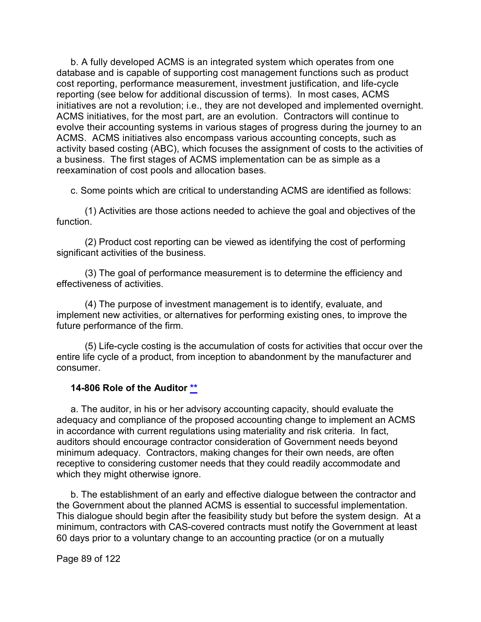b. A fully developed ACMS is an integrated system which operates from one database and is capable of supporting cost management functions such as product cost reporting, performance measurement, investment justification, and life-cycle reporting (see below for additional discussion of terms). In most cases, ACMS initiatives are not a revolution; i.e., they are not developed and implemented overnight. ACMS initiatives, for the most part, are an evolution. Contractors will continue to evolve their accounting systems in various stages of progress during the journey to an ACMS. ACMS initiatives also encompass various accounting concepts, such as activity based costing (ABC), which focuses the assignment of costs to the activities of a business. The first stages of ACMS implementation can be as simple as a reexamination of cost pools and allocation bases.

c. Some points which are critical to understanding ACMS are identified as follows:

(1) Activities are those actions needed to achieve the goal and objectives of the function.

(2) Product cost reporting can be viewed as identifying the cost of performing significant activities of the business.

(3) The goal of performance measurement is to determine the efficiency and effectiveness of activities.

(4) The purpose of investment management is to identify, evaluate, and implement new activities, or alternatives for performing existing ones, to improve the future performance of the firm.

(5) Life-cycle costing is the accumulation of costs for activities that occur over the entire life cycle of a product, from inception to abandonment by the manufacturer and consumer.

#### **14-806 Role of the Auditor [\\*\\*](#page-5-19)**

a. The auditor, in his or her advisory accounting capacity, should evaluate the adequacy and compliance of the proposed accounting change to implement an ACMS in accordance with current regulations using materiality and risk criteria. In fact, auditors should encourage contractor consideration of Government needs beyond minimum adequacy. Contractors, making changes for their own needs, are often receptive to considering customer needs that they could readily accommodate and which they might otherwise ignore.

b. The establishment of an early and effective dialogue between the contractor and the Government about the planned ACMS is essential to successful implementation. This dialogue should begin after the feasibility study but before the system design. At a minimum, contractors with CAS-covered contracts must notify the Government at least 60 days prior to a voluntary change to an accounting practice (or on a mutually

Page 89 of 122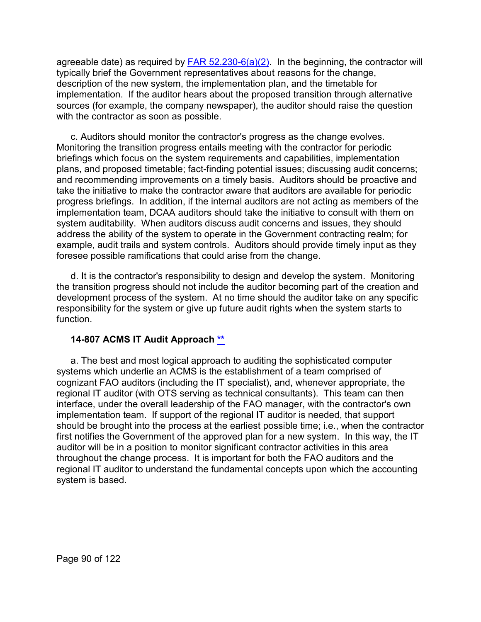agreeable date) as required by  $FAR 52.230-6(a)(2)$ . In the beginning, the contractor will typically brief the Government representatives about reasons for the change, description of the new system, the implementation plan, and the timetable for implementation. If the auditor hears about the proposed transition through alternative sources (for example, the company newspaper), the auditor should raise the question with the contractor as soon as possible.

c. Auditors should monitor the contractor's progress as the change evolves. Monitoring the transition progress entails meeting with the contractor for periodic briefings which focus on the system requirements and capabilities, implementation plans, and proposed timetable; fact-finding potential issues; discussing audit concerns; and recommending improvements on a timely basis. Auditors should be proactive and take the initiative to make the contractor aware that auditors are available for periodic progress briefings. In addition, if the internal auditors are not acting as members of the implementation team, DCAA auditors should take the initiative to consult with them on system auditability. When auditors discuss audit concerns and issues, they should address the ability of the system to operate in the Government contracting realm; for example, audit trails and system controls. Auditors should provide timely input as they foresee possible ramifications that could arise from the change.

d. It is the contractor's responsibility to design and develop the system. Monitoring the transition progress should not include the auditor becoming part of the creation and development process of the system. At no time should the auditor take on any specific responsibility for the system or give up future audit rights when the system starts to function.

#### **14-807 ACMS IT Audit Approach [\\*\\*](#page-5-20)**

a. The best and most logical approach to auditing the sophisticated computer systems which underlie an ACMS is the establishment of a team comprised of cognizant FAO auditors (including the IT specialist), and, whenever appropriate, the regional IT auditor (with OTS serving as technical consultants). This team can then interface, under the overall leadership of the FAO manager, with the contractor's own implementation team. If support of the regional IT auditor is needed, that support should be brought into the process at the earliest possible time; i.e., when the contractor first notifies the Government of the approved plan for a new system. In this way, the IT auditor will be in a position to monitor significant contractor activities in this area throughout the change process. It is important for both the FAO auditors and the regional IT auditor to understand the fundamental concepts upon which the accounting system is based.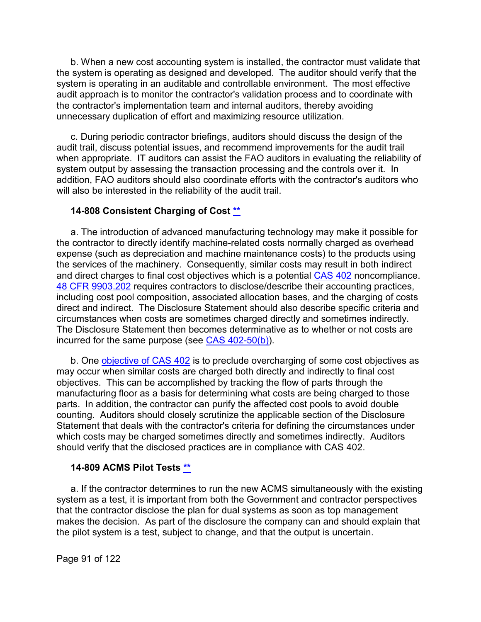b. When a new cost accounting system is installed, the contractor must validate that the system is operating as designed and developed. The auditor should verify that the system is operating in an auditable and controllable environment. The most effective audit approach is to monitor the contractor's validation process and to coordinate with the contractor's implementation team and internal auditors, thereby avoiding unnecessary duplication of effort and maximizing resource utilization.

c. During periodic contractor briefings, auditors should discuss the design of the audit trail, discuss potential issues, and recommend improvements for the audit trail when appropriate. IT auditors can assist the FAO auditors in evaluating the reliability of system output by assessing the transaction processing and the controls over it. In addition, FAO auditors should also coordinate efforts with the contractor's auditors who will also be interested in the reliability of the audit trail.

#### **14-808 Consistent Charging of Cost [\\*\\*](#page-5-21)**

a. The introduction of advanced manufacturing technology may make it possible for the contractor to directly identify machine-related costs normally charged as overhead expense (such as depreciation and machine maintenance costs) to the products using the services of the machinery. Consequently, similar costs may result in both indirect and direct charges to final cost objectives which is a potential [CAS 402](http://www.ecfr.gov/cgi-bin/text-idx?SID=67c0d9b019c440277dd7a68d1e517601&mc=true&node=se48.7.9904_1402&rgn=div8) noncompliance. [48 CFR 9903.202](http://www.ecfr.gov/cgi-bin/text-idx?SID=982f82d70b7321689384cbb3f9649913&mc=true&node=se48.7.9903_1202&rgn=div8) requires contractors to disclose/describe their accounting practices, including cost pool composition, associated allocation bases, and the charging of costs direct and indirect. The Disclosure Statement should also describe specific criteria and circumstances when costs are sometimes charged directly and sometimes indirectly. The Disclosure Statement then becomes determinative as to whether or not costs are incurred for the same purpose (see [CAS 402-50\(b\)\)](http://www.ecfr.gov/cgi-bin/text-idx?SID=982f82d70b7321689384cbb3f9649913&mc=true&node=se48.7.9904_1402_650&rgn=div8).

b. One [objective of CAS 402](http://www.ecfr.gov/cgi-bin/retrieveECFR?gp=&SID=982f82d70b7321689384cbb3f9649913&mc=true&r=SECTION&n=se48.7.9904_1402_620) is to preclude overcharging of some cost objectives as may occur when similar costs are charged both directly and indirectly to final cost objectives. This can be accomplished by tracking the flow of parts through the manufacturing floor as a basis for determining what costs are being charged to those parts. In addition, the contractor can purify the affected cost pools to avoid double counting. Auditors should closely scrutinize the applicable section of the Disclosure Statement that deals with the contractor's criteria for defining the circumstances under which costs may be charged sometimes directly and sometimes indirectly. Auditors should verify that the disclosed practices are in compliance with CAS 402.

#### **14-809 ACMS Pilot Tests [\\*\\*](#page-5-22)**

a. If the contractor determines to run the new ACMS simultaneously with the existing system as a test, it is important from both the Government and contractor perspectives that the contractor disclose the plan for dual systems as soon as top management makes the decision. As part of the disclosure the company can and should explain that the pilot system is a test, subject to change, and that the output is uncertain.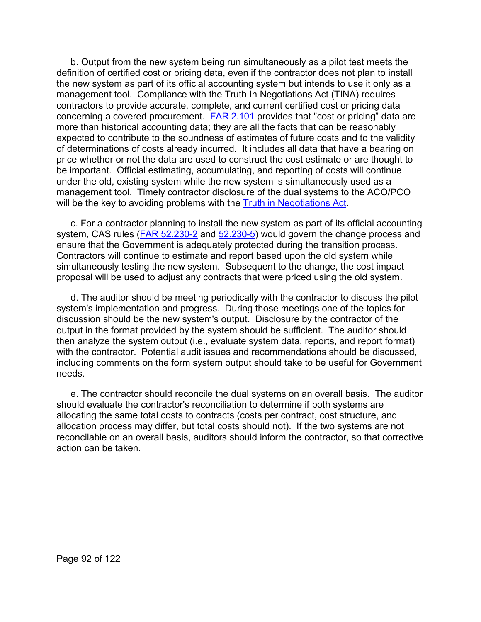b. Output from the new system being run simultaneously as a pilot test meets the definition of certified cost or pricing data, even if the contractor does not plan to install the new system as part of its official accounting system but intends to use it only as a management tool. Compliance with the Truth In Negotiations Act (TINA) requires contractors to provide accurate, complete, and current certified cost or pricing data concerning a covered procurement. [FAR 2.101](http://www.ecfr.gov/cgi-bin/text-idx?SID=c6180db77f60950960748d3167365139&mc=true&node=se48.1.2_1101&rgn=div8) provides that "cost or pricing" data are more than historical accounting data; they are all the facts that can be reasonably expected to contribute to the soundness of estimates of future costs and to the validity of determinations of costs already incurred. It includes all data that have a bearing on price whether or not the data are used to construct the cost estimate or are thought to be important. Official estimating, accumulating, and reporting of costs will continue under the old, existing system while the new system is simultaneously used as a management tool. Timely contractor disclosure of the dual systems to the ACO/PCO will be the key to avoiding problems with the **Truth in Negotiations Act**.

c. For a contractor planning to install the new system as part of its official accounting system, CAS rules [\(FAR 52.230-2](http://www.ecfr.gov/cgi-bin/text-idx?SID=621631cd873512e846e7d0cbaeb3dabf&mc=true&node=se48.2.52_1230_62&rgn=div8) and [52.230-5\)](http://www.ecfr.gov/cgi-bin/text-idx?SID=621631cd873512e846e7d0cbaeb3dabf&mc=true&node=se48.2.52_1230_65&rgn=div8) would govern the change process and ensure that the Government is adequately protected during the transition process. Contractors will continue to estimate and report based upon the old system while simultaneously testing the new system. Subsequent to the change, the cost impact proposal will be used to adjust any contracts that were priced using the old system.

d. The auditor should be meeting periodically with the contractor to discuss the pilot system's implementation and progress. During those meetings one of the topics for discussion should be the new system's output. Disclosure by the contractor of the output in the format provided by the system should be sufficient. The auditor should then analyze the system output (i.e., evaluate system data, reports, and report format) with the contractor. Potential audit issues and recommendations should be discussed, including comments on the form system output should take to be useful for Government needs.

e. The contractor should reconcile the dual systems on an overall basis. The auditor should evaluate the contractor's reconciliation to determine if both systems are allocating the same total costs to contracts (costs per contract, cost structure, and allocation process may differ, but total costs should not). If the two systems are not reconcilable on an overall basis, auditors should inform the contractor, so that corrective action can be taken.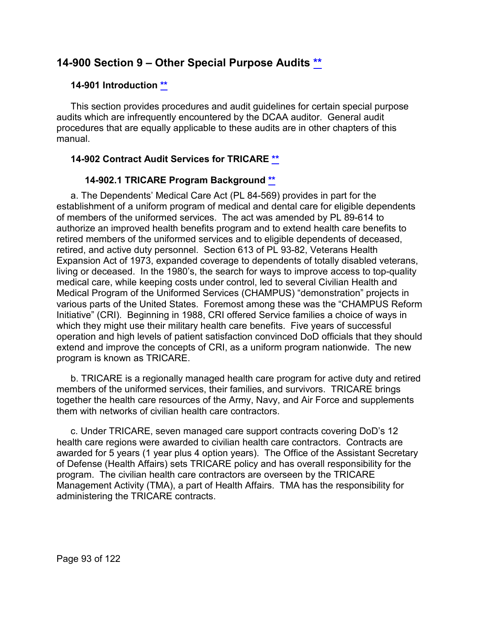# **14-900 Section 9 – Other Special Purpose Audits [\\*\\*](#page-5-23)**

### **14-901 Introduction [\\*\\*](#page-6-0)**

This section provides procedures and audit guidelines for certain special purpose audits which are infrequently encountered by the DCAA auditor. General audit procedures that are equally applicable to these audits are in other chapters of this manual.

# **14-902 Contract Audit Services for TRICARE [\\*\\*](#page-6-1)**

# **14-902.1 TRICARE Program Background [\\*\\*](#page-6-2)**

a. The Dependents' Medical Care Act (PL 84-569) provides in part for the establishment of a uniform program of medical and dental care for eligible dependents of members of the uniformed services. The act was amended by PL 89-614 to authorize an improved health benefits program and to extend health care benefits to retired members of the uniformed services and to eligible dependents of deceased, retired, and active duty personnel. Section 613 of PL 93-82, Veterans Health Expansion Act of 1973, expanded coverage to dependents of totally disabled veterans, living or deceased. In the 1980's, the search for ways to improve access to top-quality medical care, while keeping costs under control, led to several Civilian Health and Medical Program of the Uniformed Services (CHAMPUS) "demonstration" projects in various parts of the United States. Foremost among these was the "CHAMPUS Reform Initiative" (CRI). Beginning in 1988, CRI offered Service families a choice of ways in which they might use their military health care benefits. Five years of successful operation and high levels of patient satisfaction convinced DoD officials that they should extend and improve the concepts of CRI, as a uniform program nationwide. The new program is known as TRICARE.

b. TRICARE is a regionally managed health care program for active duty and retired members of the uniformed services, their families, and survivors. TRICARE brings together the health care resources of the Army, Navy, and Air Force and supplements them with networks of civilian health care contractors.

c. Under TRICARE, seven managed care support contracts covering DoD's 12 health care regions were awarded to civilian health care contractors. Contracts are awarded for 5 years (1 year plus 4 option years). The Office of the Assistant Secretary of Defense (Health Affairs) sets TRICARE policy and has overall responsibility for the program. The civilian health care contractors are overseen by the TRICARE Management Activity (TMA), a part of Health Affairs. TMA has the responsibility for administering the TRICARE contracts.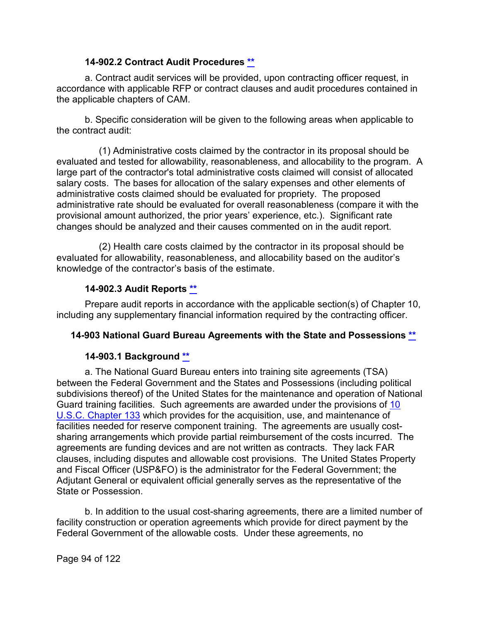### **14-902.2 Contract Audit Procedures [\\*\\*](#page-6-3)**

a. Contract audit services will be provided, upon contracting officer request, in accordance with applicable RFP or contract clauses and audit procedures contained in the applicable chapters of CAM.

b. Specific consideration will be given to the following areas when applicable to the contract audit:

(1) Administrative costs claimed by the contractor in its proposal should be evaluated and tested for allowability, reasonableness, and allocability to the program. A large part of the contractor's total administrative costs claimed will consist of allocated salary costs. The bases for allocation of the salary expenses and other elements of administrative costs claimed should be evaluated for propriety. The proposed administrative rate should be evaluated for overall reasonableness (compare it with the provisional amount authorized, the prior years' experience, etc.). Significant rate changes should be analyzed and their causes commented on in the audit report.

(2) Health care costs claimed by the contractor in its proposal should be evaluated for allowability, reasonableness, and allocability based on the auditor's knowledge of the contractor's basis of the estimate.

# **14-902.3 Audit Reports [\\*\\*](#page-6-4)**

Prepare audit reports in accordance with the applicable section(s) of Chapter 10, including any supplementary financial information required by the contracting officer.

# **14-903 National Guard Bureau Agreements with the State and Possessions [\\*\\*](#page-6-5)**

# **14-903.1 Background [\\*\\*](#page-6-6)**

a. The National Guard Bureau enters into training site agreements (TSA) between the Federal Government and the States and Possessions (including political subdivisions thereof) of the United States for the maintenance and operation of National Guard training facilities. Such agreements are awarded under the provisions of [10](http://uscode.house.gov/view.xhtml?req=(title:10%20section:133%20edition:prelim)%20OR%20(granuleid:USC-prelim-title10-section133)&f=treesort&edition=prelim&num=0&jumpTo=true)  [U.S.C. Chapter 133](http://uscode.house.gov/view.xhtml?req=(title:10%20section:133%20edition:prelim)%20OR%20(granuleid:USC-prelim-title10-section133)&f=treesort&edition=prelim&num=0&jumpTo=true) which provides for the acquisition, use, and maintenance of facilities needed for reserve component training. The agreements are usually costsharing arrangements which provide partial reimbursement of the costs incurred. The agreements are funding devices and are not written as contracts. They lack FAR clauses, including disputes and allowable cost provisions. The United States Property and Fiscal Officer (USP&FO) is the administrator for the Federal Government; the Adjutant General or equivalent official generally serves as the representative of the State or Possession.

b. In addition to the usual cost-sharing agreements, there are a limited number of facility construction or operation agreements which provide for direct payment by the Federal Government of the allowable costs. Under these agreements, no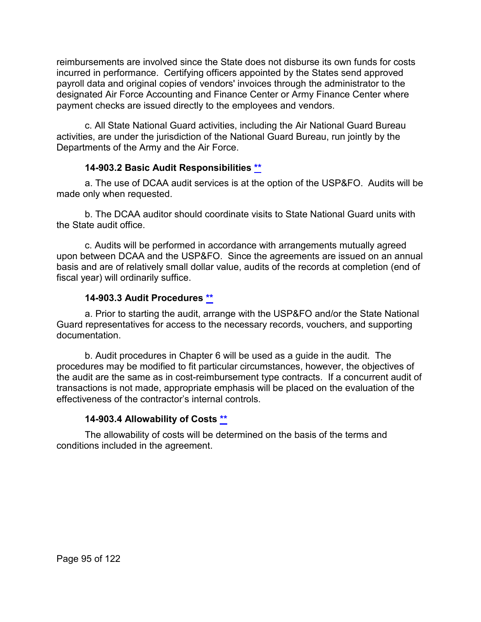reimbursements are involved since the State does not disburse its own funds for costs incurred in performance. Certifying officers appointed by the States send approved payroll data and original copies of vendors' invoices through the administrator to the designated Air Force Accounting and Finance Center or Army Finance Center where payment checks are issued directly to the employees and vendors.

c. All State National Guard activities, including the Air National Guard Bureau activities, are under the jurisdiction of the National Guard Bureau, run jointly by the Departments of the Army and the Air Force.

# **14-903.2 Basic Audit Responsibilities [\\*\\*](#page-6-7)**

a. The use of DCAA audit services is at the option of the USP&FO. Audits will be made only when requested.

b. The DCAA auditor should coordinate visits to State National Guard units with the State audit office.

c. Audits will be performed in accordance with arrangements mutually agreed upon between DCAA and the USP&FO. Since the agreements are issued on an annual basis and are of relatively small dollar value, audits of the records at completion (end of fiscal year) will ordinarily suffice.

# **14-903.3 Audit Procedures [\\*\\*](#page-6-8)**

a. Prior to starting the audit, arrange with the USP&FO and/or the State National Guard representatives for access to the necessary records, vouchers, and supporting documentation.

b. Audit procedures in Chapter 6 will be used as a guide in the audit. The procedures may be modified to fit particular circumstances, however, the objectives of the audit are the same as in cost-reimbursement type contracts. If a concurrent audit of transactions is not made, appropriate emphasis will be placed on the evaluation of the effectiveness of the contractor's internal controls.

# **14-903.4 Allowability of Costs [\\*\\*](#page-6-9)**

The allowability of costs will be determined on the basis of the terms and conditions included in the agreement.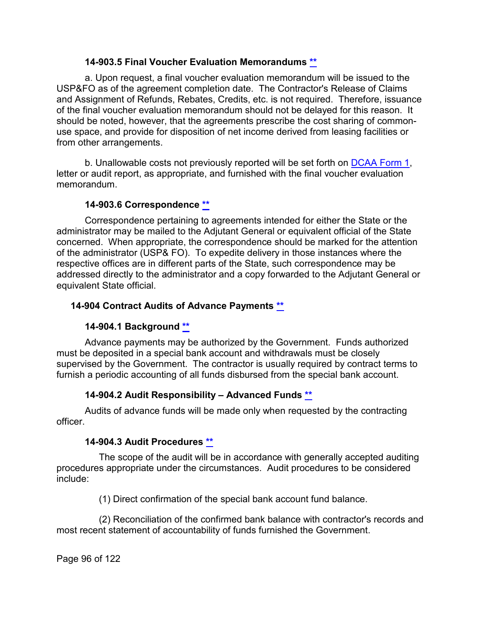### **14-903.5 Final Voucher Evaluation Memorandums [\\*\\*](#page-6-10)**

a. Upon request, a final voucher evaluation memorandum will be issued to the USP&FO as of the agreement completion date. The Contractor's Release of Claims and Assignment of Refunds, Rebates, Credits, etc. is not required. Therefore, issuance of the final voucher evaluation memorandum should not be delayed for this reason. It should be noted, however, that the agreements prescribe the cost sharing of commonuse space, and provide for disposition of net income derived from leasing facilities or from other arrangements.

b. Unallowable costs not previously reported will be set forth on [DCAA Form 1,](https://sharepoint.dcaaintra.mil/headquarters/resources/CM/cmold/CMC/Agency%20Forms/Forms/AllItems.aspx) letter or audit report, as appropriate, and furnished with the final voucher evaluation memorandum.

# **14-903.6 Correspondence [\\*\\*](#page-6-11)**

Correspondence pertaining to agreements intended for either the State or the administrator may be mailed to the Adjutant General or equivalent official of the State concerned. When appropriate, the correspondence should be marked for the attention of the administrator (USP& FO). To expedite delivery in those instances where the respective offices are in different parts of the State, such correspondence may be addressed directly to the administrator and a copy forwarded to the Adjutant General or equivalent State official.

# **14-904 Contract Audits of Advance Payments [\\*\\*](#page-6-12)**

# **14-904.1 Background [\\*\\*](#page-6-13)**

Advance payments may be authorized by the Government. Funds authorized must be deposited in a special bank account and withdrawals must be closely supervised by the Government. The contractor is usually required by contract terms to furnish a periodic accounting of all funds disbursed from the special bank account.

# **14-904.2 Audit Responsibility – Advanced Funds [\\*\\*](#page-6-14)**

Audits of advance funds will be made only when requested by the contracting officer.

# **14-904.3 Audit Procedures [\\*\\*](#page-6-15)**

The scope of the audit will be in accordance with generally accepted auditing procedures appropriate under the circumstances. Audit procedures to be considered include:

(1) Direct confirmation of the special bank account fund balance.

(2) Reconciliation of the confirmed bank balance with contractor's records and most recent statement of accountability of funds furnished the Government.

Page 96 of 122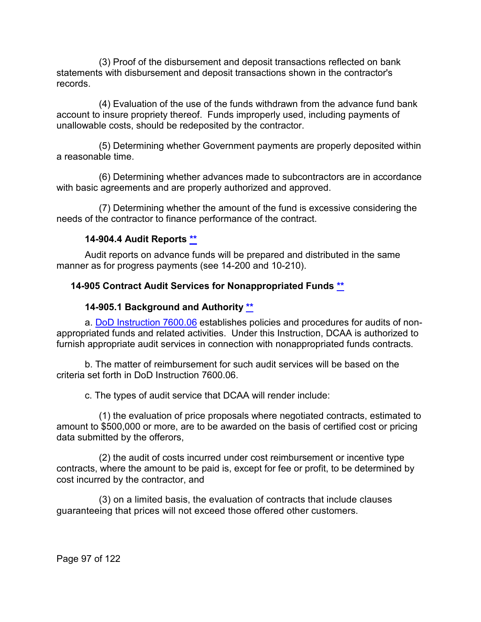(3) Proof of the disbursement and deposit transactions reflected on bank statements with disbursement and deposit transactions shown in the contractor's records.

(4) Evaluation of the use of the funds withdrawn from the advance fund bank account to insure propriety thereof. Funds improperly used, including payments of unallowable costs, should be redeposited by the contractor.

(5) Determining whether Government payments are properly deposited within a reasonable time.

(6) Determining whether advances made to subcontractors are in accordance with basic agreements and are properly authorized and approved.

(7) Determining whether the amount of the fund is excessive considering the needs of the contractor to finance performance of the contract.

# **14-904.4 Audit Reports [\\*\\*](#page-6-16)**

Audit reports on advance funds will be prepared and distributed in the same manner as for progress payments (see 14-200 and 10-210).

#### **14-905 Contract Audit Services for Nonappropriated Funds [\\*\\*](#page-6-17)**

#### **14-905.1 Background and Authority [\\*\\*](#page-6-18)**

a. [DoD Instruction 7600.06](https://www.esd.whs.mil/Portals/54/Documents/DD/issuances/dodi/760006p.pdf) establishes policies and procedures for audits of nonappropriated funds and related activities. Under this Instruction, DCAA is authorized to furnish appropriate audit services in connection with nonappropriated funds contracts.

b. The matter of reimbursement for such audit services will be based on the criteria set forth in DoD Instruction 7600.06.

c. The types of audit service that DCAA will render include:

(1) the evaluation of price proposals where negotiated contracts, estimated to amount to \$500,000 or more, are to be awarded on the basis of certified cost or pricing data submitted by the offerors,

(2) the audit of costs incurred under cost reimbursement or incentive type contracts, where the amount to be paid is, except for fee or profit, to be determined by cost incurred by the contractor, and

(3) on a limited basis, the evaluation of contracts that include clauses guaranteeing that prices will not exceed those offered other customers.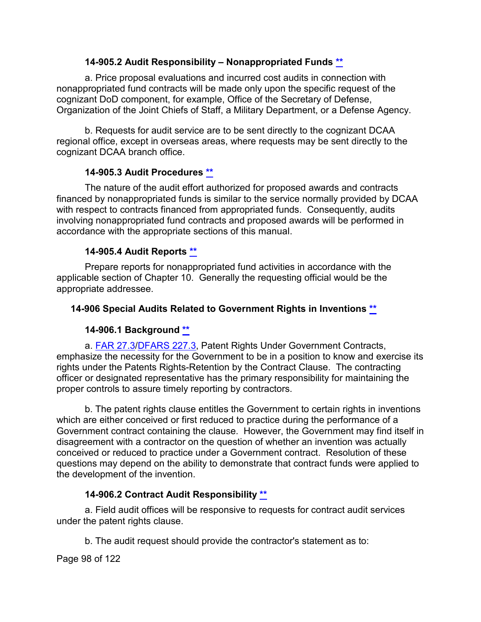### **14-905.2 Audit Responsibility – Nonappropriated Funds [\\*\\*](#page-6-19)**

a. Price proposal evaluations and incurred cost audits in connection with nonappropriated fund contracts will be made only upon the specific request of the cognizant DoD component, for example, Office of the Secretary of Defense, Organization of the Joint Chiefs of Staff, a Military Department, or a Defense Agency.

b. Requests for audit service are to be sent directly to the cognizant DCAA regional office, except in overseas areas, where requests may be sent directly to the cognizant DCAA branch office.

# **14-905.3 Audit Procedures [\\*\\*](#page-6-20)**

The nature of the audit effort authorized for proposed awards and contracts financed by nonappropriated funds is similar to the service normally provided by DCAA with respect to contracts financed from appropriated funds. Consequently, audits involving nonappropriated fund contracts and proposed awards will be performed in accordance with the appropriate sections of this manual.

# **14-905.4 Audit Reports [\\*\\*](#page-6-21)**

Prepare reports for nonappropriated fund activities in accordance with the applicable section of Chapter 10. Generally the requesting official would be the appropriate addressee.

### **14-906 Special Audits Related to Government Rights in Inventions [\\*\\*](#page-6-22)**

# **14-906.1 Background [\\*\\*](#page-6-23)**

a. [FAR 27.3](http://www.ecfr.gov/cgi-bin/text-idx?SID=929941c5971634ab5d298b64f043ed14&mc=true&node=sp48.1.27.27_13&rgn=div6)[/DFARS 227.3,](http://www.ecfr.gov/cgi-bin/text-idx?SID=fdace287be53c2641aabbb6996207a55&mc=true&node=sp48.3.227.227_13&rgn=div6) Patent Rights Under Government Contracts, emphasize the necessity for the Government to be in a position to know and exercise its rights under the Patents Rights-Retention by the Contract Clause. The contracting officer or designated representative has the primary responsibility for maintaining the proper controls to assure timely reporting by contractors.

b. The patent rights clause entitles the Government to certain rights in inventions which are either conceived or first reduced to practice during the performance of a Government contract containing the clause. However, the Government may find itself in disagreement with a contractor on the question of whether an invention was actually conceived or reduced to practice under a Government contract. Resolution of these questions may depend on the ability to demonstrate that contract funds were applied to the development of the invention.

# **14-906.2 Contract Audit Responsibility [\\*\\*](#page-6-24)**

a. Field audit offices will be responsive to requests for contract audit services under the patent rights clause.

b. The audit request should provide the contractor's statement as to:

Page 98 of 122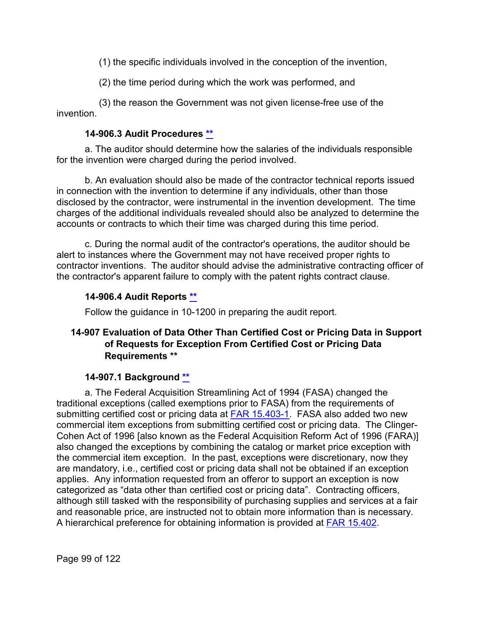(1) the specific individuals involved in the conception of the invention,

(2) the time period during which the work was performed, and

(3) the reason the Government was not given license-free use of the invention.

# **14-906.3 Audit Procedures [\\*\\*](#page-6-25)**

a. The auditor should determine how the salaries of the individuals responsible for the invention were charged during the period involved.

b. An evaluation should also be made of the contractor technical reports issued in connection with the invention to determine if any individuals, other than those disclosed by the contractor, were instrumental in the invention development. The time charges of the additional individuals revealed should also be analyzed to determine the accounts or contracts to which their time was charged during this time period.

c. During the normal audit of the contractor's operations, the auditor should be alert to instances where the Government may not have received proper rights to contractor inventions. The auditor should advise the administrative contracting officer of the contractor's apparent failure to comply with the patent rights contract clause.

# **14-906.4 Audit Reports [\\*\\*](#page-6-26)**

Follow the guidance in 10-1200 in preparing the audit report.

# **14-907 Evaluation of Data Other Than Certified Cost or Pricing Data in Support of Requests for Exception From Certified Cost or Pricing Data Requirements [\\*\\*](#page-7-0)**

# **14-907.1 Background [\\*\\*](#page-7-1)**

a. The Federal Acquisition Streamlining Act of 1994 (FASA) changed the traditional exceptions (called exemptions prior to FASA) from the requirements of submitting certified cost or pricing data at [FAR 15.403-1.](http://www.ecfr.gov/cgi-bin/text-idx?SID=929941c5971634ab5d298b64f043ed14&mc=true&node=se48.1.15_1403_61&rgn=div8) FASA also added two new commercial item exceptions from submitting certified cost or pricing data. The Clinger-Cohen Act of 1996 [also known as the Federal Acquisition Reform Act of 1996 (FARA)] also changed the exceptions by combining the catalog or market price exception with the commercial item exception. In the past, exceptions were discretionary, now they are mandatory, i.e., certified cost or pricing data shall not be obtained if an exception applies. Any information requested from an offeror to support an exception is now categorized as "data other than certified cost or pricing data". Contracting officers, although still tasked with the responsibility of purchasing supplies and services at a fair and reasonable price, are instructed not to obtain more information than is necessary. A hierarchical preference for obtaining information is provided at [FAR 15.402.](http://www.ecfr.gov/cgi-bin/text-idx?SID=929941c5971634ab5d298b64f043ed14&mc=true&node=se48.1.15_1402&rgn=div8)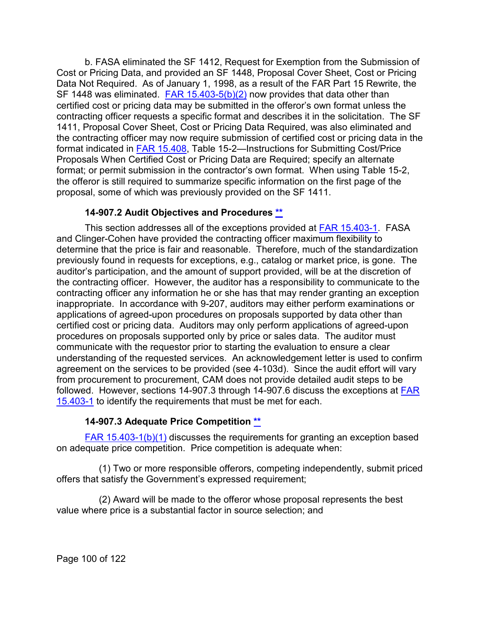b. FASA eliminated the SF 1412, Request for Exemption from the Submission of Cost or Pricing Data, and provided an SF 1448, Proposal Cover Sheet, Cost or Pricing Data Not Required. As of January 1, 1998, as a result of the FAR Part 15 Rewrite, the SF 1448 was eliminated.  $FAR$  15.403-5(b)(2) now provides that data other than certified cost or pricing data may be submitted in the offeror's own format unless the contracting officer requests a specific format and describes it in the solicitation. The SF 1411, Proposal Cover Sheet, Cost or Pricing Data Required, was also eliminated and the contracting officer may now require submission of certified cost or pricing data in the format indicated in [FAR 15.408,](http://www.ecfr.gov/cgi-bin/text-idx?SID=929941c5971634ab5d298b64f043ed14&mc=true&node=se48.1.15_1408&rgn=div8) Table 15-2—Instructions for Submitting Cost/Price Proposals When Certified Cost or Pricing Data are Required; specify an alternate format; or permit submission in the contractor's own format. When using Table 15-2, the offeror is still required to summarize specific information on the first page of the proposal, some of which was previously provided on the SF 1411.

### **14-907.2 Audit Objectives and Procedures [\\*\\*](#page-7-2)**

This section addresses all of the exceptions provided at [FAR 15.403-1.](http://www.ecfr.gov/cgi-bin/text-idx?SID=929941c5971634ab5d298b64f043ed14&mc=true&node=se48.1.15_1403_61&rgn=div8) FASA and Clinger-Cohen have provided the contracting officer maximum flexibility to determine that the price is fair and reasonable. Therefore, much of the standardization previously found in requests for exceptions, e.g., catalog or market price, is gone. The auditor's participation, and the amount of support provided, will be at the discretion of the contracting officer. However, the auditor has a responsibility to communicate to the contracting officer any information he or she has that may render granting an exception inappropriate. In accordance with 9-207, auditors may either perform examinations or applications of agreed-upon procedures on proposals supported by data other than certified cost or pricing data. Auditors may only perform applications of agreed-upon procedures on proposals supported only by price or sales data. The auditor must communicate with the requestor prior to starting the evaluation to ensure a clear understanding of the requested services. An acknowledgement letter is used to confirm agreement on the services to be provided (see 4-103d). Since the audit effort will vary from procurement to procurement, CAM does not provide detailed audit steps to be followed. However, sections 14-907.3 through 14-907.6 discuss the exceptions at [FAR](http://www.ecfr.gov/cgi-bin/text-idx?SID=3b80ab6db2450358d4918a55825539c6&mc=true&node=se48.1.15_1403_61&rgn=div8)  [15.403-1](http://www.ecfr.gov/cgi-bin/text-idx?SID=3b80ab6db2450358d4918a55825539c6&mc=true&node=se48.1.15_1403_61&rgn=div8) to identify the requirements that must be met for each.

# **14-907.3 Adequate Price Competition [\\*\\*](#page-7-3)**

[FAR 15.403-1\(b\)\(1\)](http://www.ecfr.gov/cgi-bin/text-idx?SID=929941c5971634ab5d298b64f043ed14&mc=true&node=se48.1.15_1403_61&rgn=div8) discusses the requirements for granting an exception based on adequate price competition. Price competition is adequate when:

(1) Two or more responsible offerors, competing independently, submit priced offers that satisfy the Government's expressed requirement;

(2) Award will be made to the offeror whose proposal represents the best value where price is a substantial factor in source selection; and

Page 100 of 122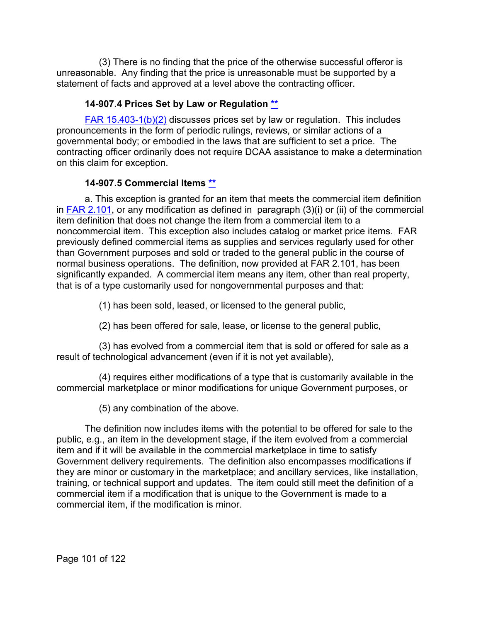(3) There is no finding that the price of the otherwise successful offeror is unreasonable. Any finding that the price is unreasonable must be supported by a statement of facts and approved at a level above the contracting officer.

# **14-907.4 Prices Set by Law or Regulation [\\*\\*](#page-7-4)**

[FAR 15.403-1\(b\)\(2\)](http://www.ecfr.gov/cgi-bin/text-idx?SID=929941c5971634ab5d298b64f043ed14&mc=true&node=se48.1.15_1403_61&rgn=div8) discusses prices set by law or regulation. This includes pronouncements in the form of periodic rulings, reviews, or similar actions of a governmental body; or embodied in the laws that are sufficient to set a price. The contracting officer ordinarily does not require DCAA assistance to make a determination on this claim for exception.

# **14-907.5 Commercial Items [\\*\\*](#page-7-5)**

a. This exception is granted for an item that meets the commercial item definition in [FAR 2.101,](http://www.ecfr.gov/cgi-bin/text-idx?SID=929941c5971634ab5d298b64f043ed14&mc=true&node=se48.1.2_1101&rgn=div8) or any modification as defined in paragraph  $(3)(i)$  or (ii) of the commercial item definition that does not change the item from a commercial item to a noncommercial item. This exception also includes catalog or market price items. FAR previously defined commercial items as supplies and services regularly used for other than Government purposes and sold or traded to the general public in the course of normal business operations. The definition, now provided at FAR 2.101, has been significantly expanded. A commercial item means any item, other than real property, that is of a type customarily used for nongovernmental purposes and that:

(1) has been sold, leased, or licensed to the general public,

(2) has been offered for sale, lease, or license to the general public,

(3) has evolved from a commercial item that is sold or offered for sale as a result of technological advancement (even if it is not yet available),

(4) requires either modifications of a type that is customarily available in the commercial marketplace or minor modifications for unique Government purposes, or

(5) any combination of the above.

The definition now includes items with the potential to be offered for sale to the public, e.g., an item in the development stage, if the item evolved from a commercial item and if it will be available in the commercial marketplace in time to satisfy Government delivery requirements. The definition also encompasses modifications if they are minor or customary in the marketplace; and ancillary services, like installation, training, or technical support and updates. The item could still meet the definition of a commercial item if a modification that is unique to the Government is made to a commercial item, if the modification is minor.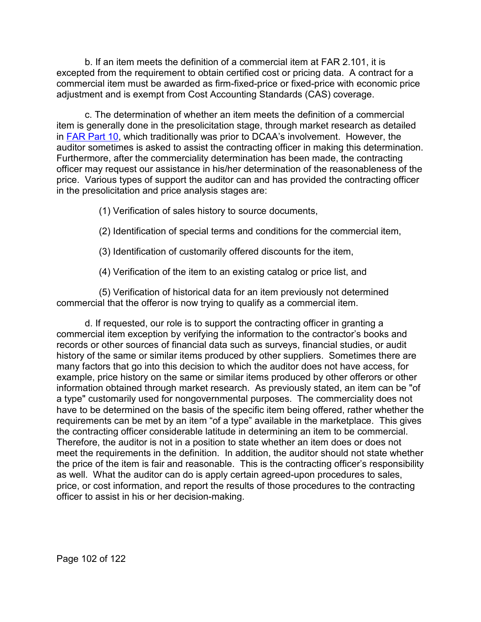b. If an item meets the definition of a commercial item at FAR 2.101, it is excepted from the requirement to obtain certified cost or pricing data. A contract for a commercial item must be awarded as firm-fixed-price or fixed-price with economic price adjustment and is exempt from Cost Accounting Standards (CAS) coverage.

c. The determination of whether an item meets the definition of a commercial item is generally done in the presolicitation stage, through market research as detailed in [FAR Part 10,](http://www.ecfr.gov/cgi-bin/text-idx?SID=929941c5971634ab5d298b64f043ed14&mc=true&node=pt48.1.10&rgn=div5) which traditionally was prior to DCAA's involvement. However, the auditor sometimes is asked to assist the contracting officer in making this determination. Furthermore, after the commerciality determination has been made, the contracting officer may request our assistance in his/her determination of the reasonableness of the price. Various types of support the auditor can and has provided the contracting officer in the presolicitation and price analysis stages are:

- (1) Verification of sales history to source documents,
- (2) Identification of special terms and conditions for the commercial item,
- (3) Identification of customarily offered discounts for the item,
- (4) Verification of the item to an existing catalog or price list, and

(5) Verification of historical data for an item previously not determined commercial that the offeror is now trying to qualify as a commercial item.

d. If requested, our role is to support the contracting officer in granting a commercial item exception by verifying the information to the contractor's books and records or other sources of financial data such as surveys, financial studies, or audit history of the same or similar items produced by other suppliers. Sometimes there are many factors that go into this decision to which the auditor does not have access, for example, price history on the same or similar items produced by other offerors or other information obtained through market research. As previously stated, an item can be "of a type" customarily used for nongovernmental purposes. The commerciality does not have to be determined on the basis of the specific item being offered, rather whether the requirements can be met by an item "of a type" available in the marketplace. This gives the contracting officer considerable latitude in determining an item to be commercial. Therefore, the auditor is not in a position to state whether an item does or does not meet the requirements in the definition. In addition, the auditor should not state whether the price of the item is fair and reasonable. This is the contracting officer's responsibility as well. What the auditor can do is apply certain agreed-upon procedures to sales, price, or cost information, and report the results of those procedures to the contracting officer to assist in his or her decision-making.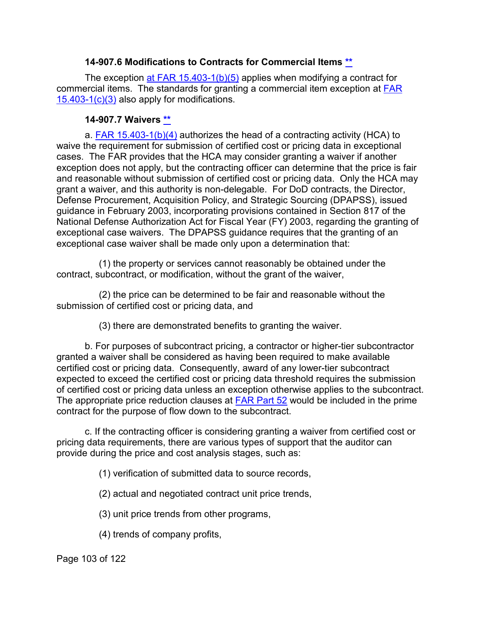### **14-907.6 Modifications to Contracts for Commercial Items [\\*\\*](#page-7-6)**

The exception [at FAR 15.403-1\(b\)\(5\)](http://www.ecfr.gov/cgi-bin/text-idx?SID=034738846a92a1d349c1c0c88449245c&mc=true&node=se48.1.15_1403_61&rgn=div8) applies when modifying a contract for commercial items. The standards for granting a commercial item exception at [FAR](http://www.ecfr.gov/cgi-bin/text-idx?SID=929941c5971634ab5d298b64f043ed14&mc=true&node=se48.1.15_1403_61&rgn=div8)  [15.403-1\(c\)\(3\)](http://www.ecfr.gov/cgi-bin/text-idx?SID=929941c5971634ab5d298b64f043ed14&mc=true&node=se48.1.15_1403_61&rgn=div8) also apply for modifications.

#### **14-907.7 Waivers [\\*\\*](#page-7-7)**

a. [FAR 15.403-1\(b\)\(4\)](http://www.ecfr.gov/cgi-bin/text-idx?SID=929941c5971634ab5d298b64f043ed14&mc=true&node=se48.1.15_1403_61&rgn=div8) authorizes the head of a contracting activity (HCA) to waive the requirement for submission of certified cost or pricing data in exceptional cases. The FAR provides that the HCA may consider granting a waiver if another exception does not apply, but the contracting officer can determine that the price is fair and reasonable without submission of certified cost or pricing data. Only the HCA may grant a waiver, and this authority is non-delegable. For DoD contracts, the Director, Defense Procurement, Acquisition Policy, and Strategic Sourcing (DPAPSS), issued guidance in February 2003, incorporating provisions contained in Section 817 of the National Defense Authorization Act for Fiscal Year (FY) 2003, regarding the granting of exceptional case waivers. The DPAPSS guidance requires that the granting of an exceptional case waiver shall be made only upon a determination that:

(1) the property or services cannot reasonably be obtained under the contract, subcontract, or modification, without the grant of the waiver,

(2) the price can be determined to be fair and reasonable without the submission of certified cost or pricing data, and

(3) there are demonstrated benefits to granting the waiver.

b. For purposes of subcontract pricing, a contractor or higher-tier subcontractor granted a waiver shall be considered as having been required to make available certified cost or pricing data. Consequently, award of any lower-tier subcontract expected to exceed the certified cost or pricing data threshold requires the submission of certified cost or pricing data unless an exception otherwise applies to the subcontract. The appropriate price reduction clauses at [FAR Part 52](http://www.ecfr.gov/cgi-bin/text-idx?SID=0889dbc1c3d5b0d8202a69e724851ae0&mc=true&node=pt48.2.52&rgn=div5) would be included in the prime contract for the purpose of flow down to the subcontract.

c. If the contracting officer is considering granting a waiver from certified cost or pricing data requirements, there are various types of support that the auditor can provide during the price and cost analysis stages, such as:

(1) verification of submitted data to source records,

(2) actual and negotiated contract unit price trends,

(3) unit price trends from other programs,

(4) trends of company profits,

Page 103 of 122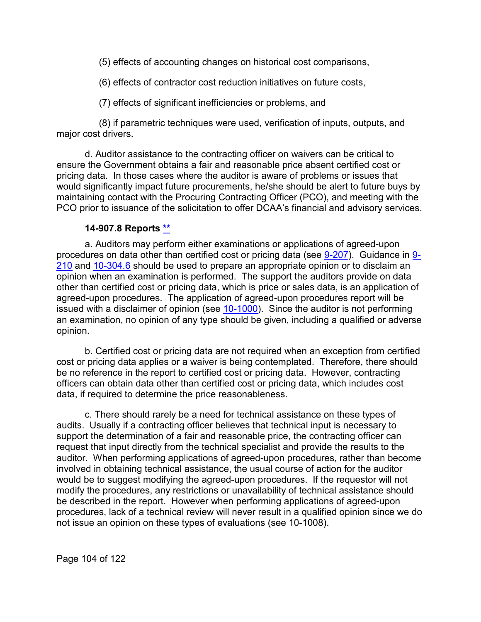(5) effects of accounting changes on historical cost comparisons,

(6) effects of contractor cost reduction initiatives on future costs,

(7) effects of significant inefficiencies or problems, and

(8) if parametric techniques were used, verification of inputs, outputs, and major cost drivers.

d. Auditor assistance to the contracting officer on waivers can be critical to ensure the Government obtains a fair and reasonable price absent certified cost or pricing data. In those cases where the auditor is aware of problems or issues that would significantly impact future procurements, he/she should be alert to future buys by maintaining contact with the Procuring Contracting Officer (PCO), and meeting with the PCO prior to issuance of the solicitation to offer DCAA's financial and advisory services.

#### **14-907.8 Reports [\\*\\*](#page-7-8)**

a. Auditors may perform either examinations or applications of agreed-upon procedures on data other than certified cost or pricing data (see [9-207\)](https://viper.dcaa.mil/guidance/cam/3144/audits-of-cost-estimating-and-pricing-proposals#Sec9207). Guidance in [9-](https://viper.dcaa.mil/guidance/cam/3144/audits-of-cost-estimating-and-pricing-proposals#Sec9210) [210](https://viper.dcaa.mil/guidance/cam/3144/audits-of-cost-estimating-and-pricing-proposals#Sec9210) and [10-304.6](https://viper.dcaa.mil/guidance/cam/3147/preparation-and-distribution-of-audit-reports#Sec103046) should be used to prepare an appropriate opinion or to disclaim an opinion when an examination is performed. The support the auditors provide on data other than certified cost or pricing data, which is price or sales data, is an application of agreed-upon procedures. The application of agreed-upon procedures report will be issued with a disclaimer of opinion (see [10-1000\)](https://viper.dcaa.mil/guidance/cam/3147/preparation-and-distribution-of-audit-reports#Sec). Since the auditor is not performing an examination, no opinion of any type should be given, including a qualified or adverse opinion.

b. Certified cost or pricing data are not required when an exception from certified cost or pricing data applies or a waiver is being contemplated. Therefore, there should be no reference in the report to certified cost or pricing data. However, contracting officers can obtain data other than certified cost or pricing data, which includes cost data, if required to determine the price reasonableness.

c. There should rarely be a need for technical assistance on these types of audits. Usually if a contracting officer believes that technical input is necessary to support the determination of a fair and reasonable price, the contracting officer can request that input directly from the technical specialist and provide the results to the auditor. When performing applications of agreed-upon procedures, rather than become involved in obtaining technical assistance, the usual course of action for the auditor would be to suggest modifying the agreed-upon procedures. If the requestor will not modify the procedures, any restrictions or unavailability of technical assistance should be described in the report. However when performing applications of agreed-upon procedures, lack of a technical review will never result in a qualified opinion since we do not issue an opinion on these types of evaluations (see 10-1008).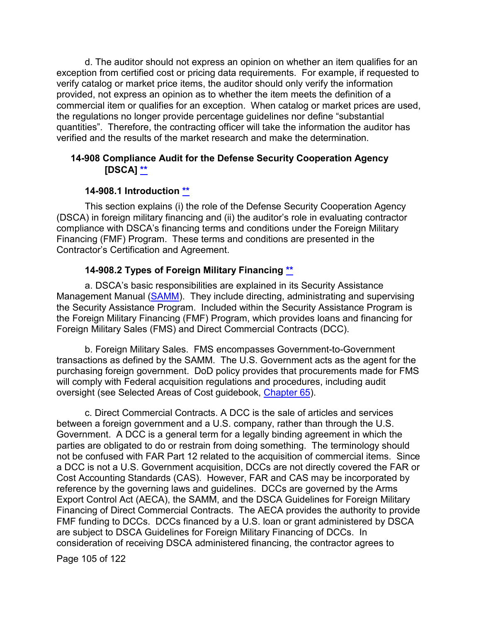d. The auditor should not express an opinion on whether an item qualifies for an exception from certified cost or pricing data requirements. For example, if requested to verify catalog or market price items, the auditor should only verify the information provided, not express an opinion as to whether the item meets the definition of a commercial item or qualifies for an exception. When catalog or market prices are used, the regulations no longer provide percentage guidelines nor define "substantial quantities". Therefore, the contracting officer will take the information the auditor has verified and the results of the market research and make the determination.

# **14-908 Compliance Audit for the Defense Security Cooperation Agency [DSCA] [\\*\\*](#page-7-9)**

### **14-908.1 Introduction [\\*\\*](#page-7-10)**

This section explains (i) the role of the Defense Security Cooperation Agency (DSCA) in foreign military financing and (ii) the auditor's role in evaluating contractor compliance with DSCA's financing terms and conditions under the Foreign Military Financing (FMF) Program. These terms and conditions are presented in the Contractor's Certification and Agreement.

### **14-908.2 Types of Foreign Military Financing [\\*\\*](#page-7-11)**

a. DSCA's basic responsibilities are explained in its Security Assistance Management Manual [\(SAMM\)](https://www.samm.dsca.mil/). They include directing, administrating and supervising the Security Assistance Program. Included within the Security Assistance Program is the Foreign Military Financing (FMF) Program, which provides loans and financing for Foreign Military Sales (FMS) and Direct Commercial Contracts (DCC).

b. Foreign Military Sales. FMS encompasses Government-to-Government transactions as defined by the SAMM. The U.S. Government acts as the agent for the purchasing foreign government. DoD policy provides that procurements made for FMS will comply with Federal acquisition regulations and procedures, including audit oversight (see Selected Areas of Cost guidebook, [Chapter 65\)](https://viper.dcaa.mil/guidance/guidebooks/selected-areas-of-cost/3101/selling-costs).

c. Direct Commercial Contracts. A DCC is the sale of articles and services between a foreign government and a U.S. company, rather than through the U.S. Government. A DCC is a general term for a legally binding agreement in which the parties are obligated to do or restrain from doing something. The terminology should not be confused with FAR Part 12 related to the acquisition of commercial items. Since a DCC is not a U.S. Government acquisition, DCCs are not directly covered the FAR or Cost Accounting Standards (CAS). However, FAR and CAS may be incorporated by reference by the governing laws and guidelines. DCCs are governed by the Arms Export Control Act (AECA), the SAMM, and the DSCA Guidelines for Foreign Military Financing of Direct Commercial Contracts. The AECA provides the authority to provide FMF funding to DCCs. DCCs financed by a U.S. loan or grant administered by DSCA are subject to DSCA Guidelines for Foreign Military Financing of DCCs. In consideration of receiving DSCA administered financing, the contractor agrees to

Page 105 of 122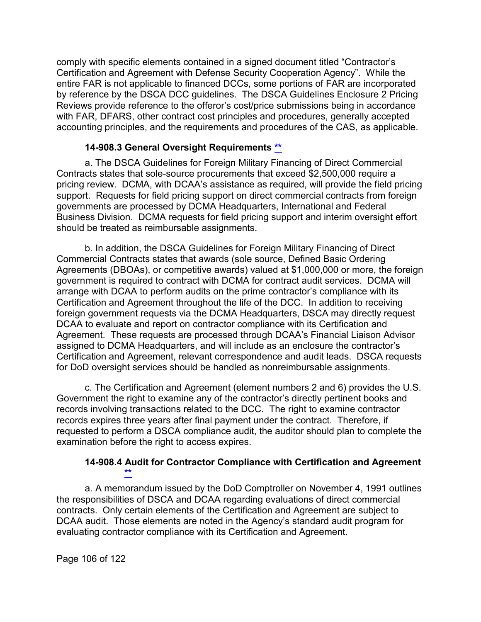comply with specific elements contained in a signed document titled "Contractor's Certification and Agreement with Defense Security Cooperation Agency". While the entire FAR is not applicable to financed DCCs, some portions of FAR are incorporated by reference by the DSCA DCC guidelines. The DSCA Guidelines Enclosure 2 Pricing Reviews provide reference to the offeror's cost/price submissions being in accordance with FAR, DFARS, other contract cost principles and procedures, generally accepted accounting principles, and the requirements and procedures of the CAS, as applicable.

### **14-908.3 General Oversight Requirements [\\*\\*](#page-7-12)**

a. The DSCA Guidelines for Foreign Military Financing of Direct Commercial Contracts states that sole-source procurements that exceed \$2,500,000 require a pricing review. DCMA, with DCAA's assistance as required, will provide the field pricing support. Requests for field pricing support on direct commercial contracts from foreign governments are processed by DCMA Headquarters, International and Federal Business Division. DCMA requests for field pricing support and interim oversight effort should be treated as reimbursable assignments.

b. In addition, the DSCA Guidelines for Foreign Military Financing of Direct Commercial Contracts states that awards (sole source, Defined Basic Ordering Agreements (DBOAs), or competitive awards) valued at \$1,000,000 or more, the foreign government is required to contract with DCMA for contract audit services. DCMA will arrange with DCAA to perform audits on the prime contractor's compliance with its Certification and Agreement throughout the life of the DCC. In addition to receiving foreign government requests via the DCMA Headquarters, DSCA may directly request DCAA to evaluate and report on contractor compliance with its Certification and Agreement. These requests are processed through DCAA's Financial Liaison Advisor assigned to DCMA Headquarters, and will include as an enclosure the contractor's Certification and Agreement, relevant correspondence and audit leads. DSCA requests for DoD oversight services should be handled as nonreimbursable assignments.

c. The Certification and Agreement (element numbers 2 and 6) provides the U.S. Government the right to examine any of the contractor's directly pertinent books and records involving transactions related to the DCC. The right to examine contractor records expires three years after final payment under the contract. Therefore, if requested to perform a DSCA compliance audit, the auditor should plan to complete the examination before the right to access expires.

### **14-908.4 Audit for Contractor Compliance with Certification and Agreement [\\*\\*](#page-7-13)**

a. A memorandum issued by the DoD Comptroller on November 4, 1991 outlines the responsibilities of DSCA and DCAA regarding evaluations of direct commercial contracts. Only certain elements of the Certification and Agreement are subject to DCAA audit. Those elements are noted in the Agency's standard audit program for evaluating contractor compliance with its Certification and Agreement.

Page 106 of 122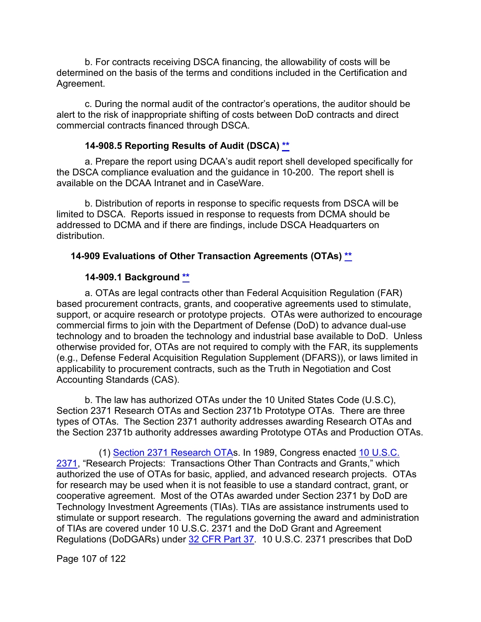b. For contracts receiving DSCA financing, the allowability of costs will be determined on the basis of the terms and conditions included in the Certification and Agreement.

c. During the normal audit of the contractor's operations, the auditor should be alert to the risk of inappropriate shifting of costs between DoD contracts and direct commercial contracts financed through DSCA.

# **14-908.5 Reporting Results of Audit (DSCA) [\\*\\*](#page-7-14)**

a. Prepare the report using DCAA's audit report shell developed specifically for the DSCA compliance evaluation and the guidance in 10-200. The report shell is available on the DCAA Intranet and in CaseWare.

b. Distribution of reports in response to specific requests from DSCA will be limited to DSCA. Reports issued in response to requests from DCMA should be addressed to DCMA and if there are findings, include DSCA Headquarters on distribution.

# **14-909 Evaluations of Other Transaction Agreements (OTAs) [\\*\\*](#page-7-15)**

# **14-909.1 Background [\\*\\*](#page-7-16)**

a. OTAs are legal contracts other than Federal Acquisition Regulation (FAR) based procurement contracts, grants, and cooperative agreements used to stimulate, support, or acquire research or prototype projects. OTAs were authorized to encourage commercial firms to join with the Department of Defense (DoD) to advance dual-use technology and to broaden the technology and industrial base available to DoD. Unless otherwise provided for, OTAs are not required to comply with the FAR, its supplements (e.g., Defense Federal Acquisition Regulation Supplement (DFARS)), or laws limited in applicability to procurement contracts, such as the Truth in Negotiation and Cost Accounting Standards (CAS).

b. The law has authorized OTAs under the 10 United States Code (U.S.C), Section 2371 Research OTAs and Section 2371b Prototype OTAs. There are three types of OTAs. The Section 2371 authority addresses awarding Research OTAs and the Section 2371b authority addresses awarding Prototype OTAs and Production OTAs.

(1) [Section 2371 Research OTA](http://uscode.house.gov/view.xhtml?req=(title:10%20section:2371%20edition:prelim)%20OR%20(granuleid:USC-prelim-title10-section2371)&f=treesort&edition=prelim&num=0&jumpTo=true)s. In 1989, Congress enacted [10 U.S.C.](http://uscode.house.gov/view.xhtml?req=(title:10%20section:2371%20edition:prelim)%20OR%20(granuleid:USC-prelim-title10-section2371)&f=treesort&edition=prelim&num=0&jumpTo=true)  [2371,](http://uscode.house.gov/view.xhtml?req=(title:10%20section:2371%20edition:prelim)%20OR%20(granuleid:USC-prelim-title10-section2371)&f=treesort&edition=prelim&num=0&jumpTo=true) "Research Projects: Transactions Other Than Contracts and Grants," which authorized the use of OTAs for basic, applied, and advanced research projects. OTAs for research may be used when it is not feasible to use a standard contract, grant, or cooperative agreement. Most of the OTAs awarded under Section 2371 by DoD are Technology Investment Agreements (TIAs). TIAs are assistance instruments used to stimulate or support research. The regulations governing the award and administration of TIAs are covered under 10 U.S.C. 2371 and the DoD Grant and Agreement Regulations (DoDGARs) under [32 CFR Part 37.](https://www.govinfo.gov/content/pkg/CFR-2018-title32-vol1/xml/CFR-2018-title32-vol1-part37.xml) 10 U.S.C. 2371 prescribes that DoD

Page 107 of 122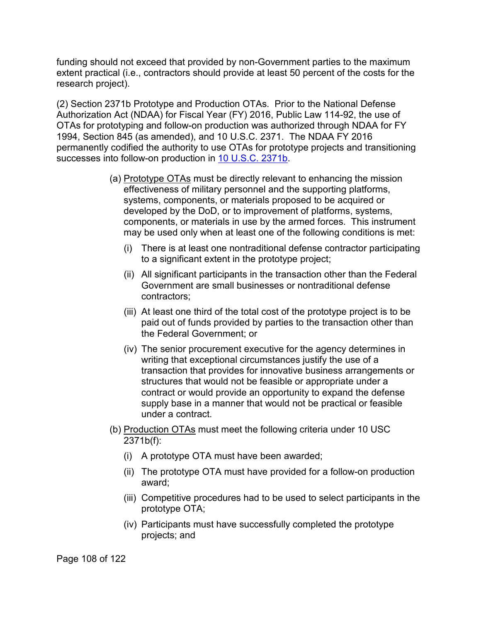funding should not exceed that provided by non-Government parties to the maximum extent practical (i.e., contractors should provide at least 50 percent of the costs for the research project).

(2) Section 2371b Prototype and Production OTAs. Prior to the National Defense Authorization Act (NDAA) for Fiscal Year (FY) 2016, Public Law 114-92, the use of OTAs for prototyping and follow-on production was authorized through NDAA for FY 1994, Section 845 (as amended), and 10 U.S.C. 2371. The NDAA FY 2016 permanently codified the authority to use OTAs for prototype projects and transitioning successes into follow-on production in [10 U.S.C. 2371b.](https://uscode.house.gov/view.xhtml?req=granuleid:USC-prelim-title10-section2371b&num=0&edition=prelim)

- (a) Prototype OTAs must be directly relevant to enhancing the mission effectiveness of military personnel and the supporting platforms, systems, components, or materials proposed to be acquired or developed by the DoD, or to improvement of platforms, systems, components, or materials in use by the armed forces. This instrument may be used only when at least one of the following conditions is met:
	- (i) There is at least one nontraditional defense contractor participating to a significant extent in the prototype project;
	- (ii) All significant participants in the transaction other than the Federal Government are small businesses or nontraditional defense contractors;
	- (iii) At least one third of the total cost of the prototype project is to be paid out of funds provided by parties to the transaction other than the Federal Government; or
	- (iv) The senior procurement executive for the agency determines in writing that exceptional circumstances justify the use of a transaction that provides for innovative business arrangements or structures that would not be feasible or appropriate under a contract or would provide an opportunity to expand the defense supply base in a manner that would not be practical or feasible under a contract.
- (b) Production OTAs must meet the following criteria under 10 USC 2371b(f):
	- (i) A prototype OTA must have been awarded;
	- (ii) The prototype OTA must have provided for a follow-on production award;
	- (iii) Competitive procedures had to be used to select participants in the prototype OTA;
	- (iv) Participants must have successfully completed the prototype projects; and

Page 108 of 122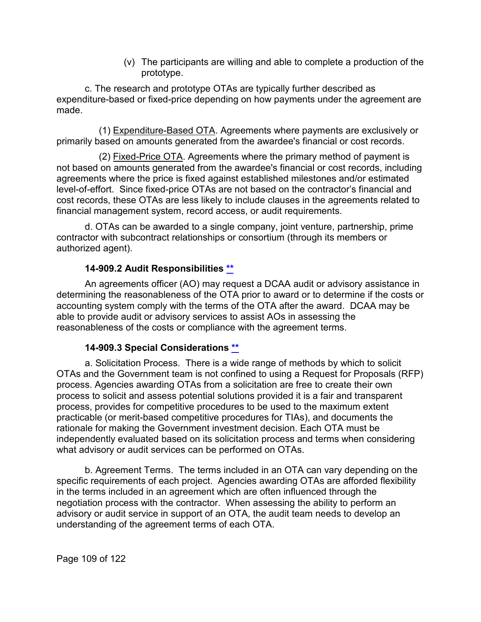(v) The participants are willing and able to complete a production of the prototype.

c. The research and prototype OTAs are typically further described as expenditure-based or fixed-price depending on how payments under the agreement are made.

(1) Expenditure-Based OTA. Agreements where payments are exclusively or primarily based on amounts generated from the awardee's financial or cost records.

(2) Fixed-Price OTA. Agreements where the primary method of payment is not based on amounts generated from the awardee's financial or cost records, including agreements where the price is fixed against established milestones and/or estimated level-of-effort. Since fixed-price OTAs are not based on the contractor's financial and cost records, these OTAs are less likely to include clauses in the agreements related to financial management system, record access, or audit requirements.

d. OTAs can be awarded to a single company, joint venture, partnership, prime contractor with subcontract relationships or consortium (through its members or authorized agent).

#### **14-909.2 Audit Responsibilities [\\*\\*](#page-7-0)**

An agreements officer (AO) may request a DCAA audit or advisory assistance in determining the reasonableness of the OTA prior to award or to determine if the costs or accounting system comply with the terms of the OTA after the award. DCAA may be able to provide audit or advisory services to assist AOs in assessing the reasonableness of the costs or compliance with the agreement terms.

#### **14-909.3 Special Considerations [\\*\\*](#page-7-1)**

a. Solicitation Process. There is a wide range of methods by which to solicit OTAs and the Government team is not confined to using a Request for Proposals (RFP) process. Agencies awarding OTAs from a solicitation are free to create their own process to solicit and assess potential solutions provided it is a fair and transparent process, provides for competitive procedures to be used to the maximum extent practicable (or merit-based competitive procedures for TIAs), and documents the rationale for making the Government investment decision. Each OTA must be independently evaluated based on its solicitation process and terms when considering what advisory or audit services can be performed on OTAs.

b. Agreement Terms. The terms included in an OTA can vary depending on the specific requirements of each project. Agencies awarding OTAs are afforded flexibility in the terms included in an agreement which are often influenced through the negotiation process with the contractor. When assessing the ability to perform an advisory or audit service in support of an OTA, the audit team needs to develop an understanding of the agreement terms of each OTA.

Page 109 of 122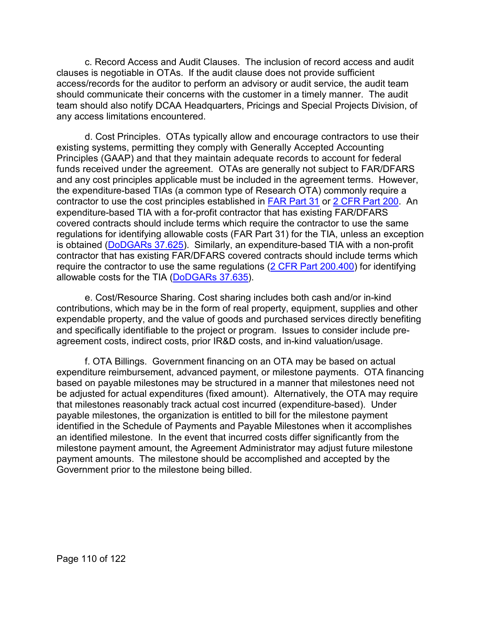c. Record Access and Audit Clauses. The inclusion of record access and audit clauses is negotiable in OTAs. If the audit clause does not provide sufficient access/records for the auditor to perform an advisory or audit service, the audit team should communicate their concerns with the customer in a timely manner. The audit team should also notify DCAA Headquarters, Pricings and Special Projects Division, of any access limitations encountered.

d. Cost Principles. OTAs typically allow and encourage contractors to use their existing systems, permitting they comply with Generally Accepted Accounting Principles (GAAP) and that they maintain adequate records to account for federal funds received under the agreement. OTAs are generally not subject to FAR/DFARS and any cost principles applicable must be included in the agreement terms. However, the expenditure-based TIAs (a common type of Research OTA) commonly require a contractor to use the cost principles established in [FAR Part 31](https://www.acquisition.gov/content/part-31-contract-cost-principles-and-procedures) or [2 CFR Part 200.](https://www.govinfo.gov/content/pkg/CFR-2018-title2-vol1/xml/CFR-2018-title2-vol1-part200-subpartE.xml) An expenditure-based TIA with a for-profit contractor that has existing FAR/DFARS covered contracts should include terms which require the contractor to use the same regulations for identifying allowable costs (FAR Part 31) for the TIA, unless an exception is obtained [\(DoDGARs 37.625\)](https://www.govinfo.gov/content/pkg/CFR-2018-title32-vol1/xml/CFR-2018-title32-vol1-part37.xml#seqnum37.625). Similarly, an expenditure-based TIA with a non-profit contractor that has existing FAR/DFARS covered contracts should include terms which require the contractor to use the same regulations  $(2$  CFR Part  $200.400$ ) for identifying allowable costs for the TIA [\(DoDGARs 37.635\)](https://www.govinfo.gov/content/pkg/CFR-2018-title32-vol1/xml/CFR-2018-title32-vol1-part37.xml#seqnum37.635).

e. Cost/Resource Sharing. Cost sharing includes both cash and/or in-kind contributions, which may be in the form of real property, equipment, supplies and other expendable property, and the value of goods and purchased services directly benefiting and specifically identifiable to the project or program. Issues to consider include preagreement costs, indirect costs, prior IR&D costs, and in-kind valuation/usage.

f. OTA Billings. Government financing on an OTA may be based on actual expenditure reimbursement, advanced payment, or milestone payments. OTA financing based on payable milestones may be structured in a manner that milestones need not be adjusted for actual expenditures (fixed amount). Alternatively, the OTA may require that milestones reasonably track actual cost incurred (expenditure-based). Under payable milestones, the organization is entitled to bill for the milestone payment identified in the Schedule of Payments and Payable Milestones when it accomplishes an identified milestone. In the event that incurred costs differ significantly from the milestone payment amount, the Agreement Administrator may adjust future milestone payment amounts. The milestone should be accomplished and accepted by the Government prior to the milestone being billed.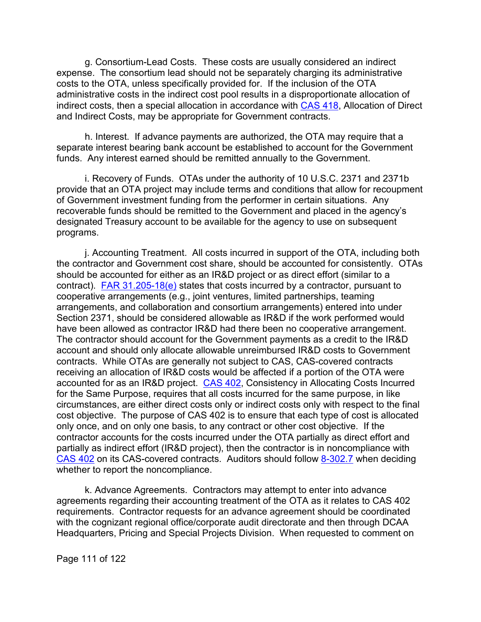g. Consortium-Lead Costs. These costs are usually considered an indirect expense. The consortium lead should not be separately charging its administrative costs to the OTA, unless specifically provided for. If the inclusion of the OTA administrative costs in the indirect cost pool results in a disproportionate allocation of indirect costs, then a special allocation in accordance with [CAS 418,](https://www.govinfo.gov/content/pkg/CFR-2018-title48-vol7/xml/CFR-2018-title48-vol7-sec9904-418-40.xml) Allocation of Direct and Indirect Costs, may be appropriate for Government contracts.

h. Interest. If advance payments are authorized, the OTA may require that a separate interest bearing bank account be established to account for the Government funds. Any interest earned should be remitted annually to the Government.

i. Recovery of Funds. OTAs under the authority of 10 U.S.C. 2371 and 2371b provide that an OTA project may include terms and conditions that allow for recoupment of Government investment funding from the performer in certain situations. Any recoverable funds should be remitted to the Government and placed in the agency's designated Treasury account to be available for the agency to use on subsequent programs.

j. Accounting Treatment. All costs incurred in support of the OTA, including both the contractor and Government cost share, should be accounted for consistently. OTAs should be accounted for either as an IR&D project or as direct effort (similar to a contract). FAR  $31.205-18(e)$  states that costs incurred by a contractor, pursuant to cooperative arrangements (e.g., joint ventures, limited partnerships, teaming arrangements, and collaboration and consortium arrangements) entered into under Section 2371, should be considered allowable as IR&D if the work performed would have been allowed as contractor IR&D had there been no cooperative arrangement. The contractor should account for the Government payments as a credit to the IR&D account and should only allocate allowable unreimbursed IR&D costs to Government contracts. While OTAs are generally not subject to CAS, CAS-covered contracts receiving an allocation of IR&D costs would be affected if a portion of the OTA were accounted for as an IR&D project. [CAS 402,](http://www.ecfr.gov/cgi-bin/text-idx?SID=9c629cd42ba4419be8bf058abaff58be&mc=true&node=se48.7.9904_1402&rgn=div8) Consistency in Allocating Costs Incurred for the Same Purpose, requires that all costs incurred for the same purpose, in like circumstances, are either direct costs only or indirect costs only with respect to the final cost objective. The purpose of CAS 402 is to ensure that each type of cost is allocated only once, and on only one basis, to any contract or other cost objective. If the contractor accounts for the costs incurred under the OTA partially as direct effort and partially as indirect effort (IR&D project), then the contractor is in noncompliance with [CAS 402](https://www.govinfo.gov/content/pkg/CFR-2018-title48-vol7/xml/CFR-2018-title48-vol7-sec9904-402-40.xml) on its CAS-covered contracts. Auditors should follow [8-302.7](https://viper.dcaa.mil/guidance/cam/3141/cost-accounting-standards#Section830271) when deciding whether to report the noncompliance.

k. Advance Agreements. Contractors may attempt to enter into advance agreements regarding their accounting treatment of the OTA as it relates to [CAS 402](https://www.govinfo.gov/content/pkg/CFR-2018-title48-vol7/xml/CFR-2018-title48-vol7-sec9904-402-40.xml) requirements. Contractor requests for an advance agreement should be coordinated with the cognizant regional office/corporate audit directorate and then through DCAA Headquarters, Pricing and Special Projects Division. When requested to comment on

Page 111 of 122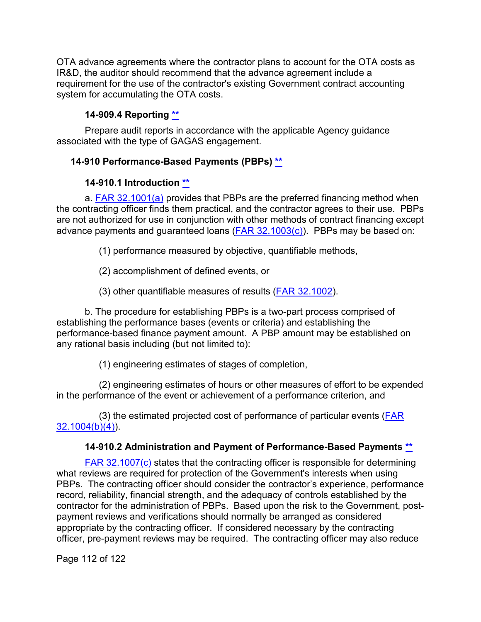OTA advance agreements where the contractor plans to account for the OTA costs as IR&D, the auditor should recommend that the advance agreement include a requirement for the use of the contractor's existing Government contract accounting system for accumulating the OTA costs.

## **14-909.4 Reporting [\\*\\*](#page-7-2)**

Prepare audit reports in accordance with the applicable Agency guidance associated with the type of GAGAS engagement.

## **14-910 Performance-Based Payments (PBPs) [\\*\\*](#page-7-3)**

## **14-910.1 Introduction [\\*\\*](#page-7-4)**

a. **FAR 32.1001(a)** provides that PBPs are the preferred financing method when the contracting officer finds them practical, and the contractor agrees to their use. PBPs are not authorized for use in conjunction with other methods of contract financing except advance payments and guaranteed loans  $(FAR 32.1003(c))$ . PBPs may be based on:

(1) performance measured by objective, quantifiable methods,

(2) accomplishment of defined events, or

(3) other quantifiable measures of results [\(FAR 32.1002\)](http://www.ecfr.gov/cgi-bin/text-idx?SID=b0618253e14481035d0f10f52f992215&mc=true&node=se48.1.32_11002&rgn=div8).

b. The procedure for establishing PBPs is a two-part process comprised of establishing the performance bases (events or criteria) and establishing the performance-based finance payment amount. A PBP amount may be established on any rational basis including (but not limited to):

(1) engineering estimates of stages of completion,

(2) engineering estimates of hours or other measures of effort to be expended in the performance of the event or achievement of a performance criterion, and

(3) the estimated projected cost of performance of particular events [\(FAR](http://www.ecfr.gov/cgi-bin/text-idx?SID=b0618253e14481035d0f10f52f992215&mc=true&node=se48.1.32_11004&rgn=div8)  [32.1004\(b\)\(4\)\)](http://www.ecfr.gov/cgi-bin/text-idx?SID=b0618253e14481035d0f10f52f992215&mc=true&node=se48.1.32_11004&rgn=div8).

# **14-910.2 Administration and Payment of Performance-Based Payments [\\*\\*](#page-7-5)**

[FAR 32.1007\(c\)](http://www.ecfr.gov/cgi-bin/text-idx?SID=53612ec6e5a4a6996e65f0b406d3981b&mc=true&node=se48.1.32_11007&rgn=div8) states that the contracting officer is responsible for determining what reviews are required for protection of the Government's interests when using PBPs. The contracting officer should consider the contractor's experience, performance record, reliability, financial strength, and the adequacy of controls established by the contractor for the administration of PBPs. Based upon the risk to the Government, postpayment reviews and verifications should normally be arranged as considered appropriate by the contracting officer. If considered necessary by the contracting officer, pre-payment reviews may be required. The contracting officer may also reduce

Page 112 of 122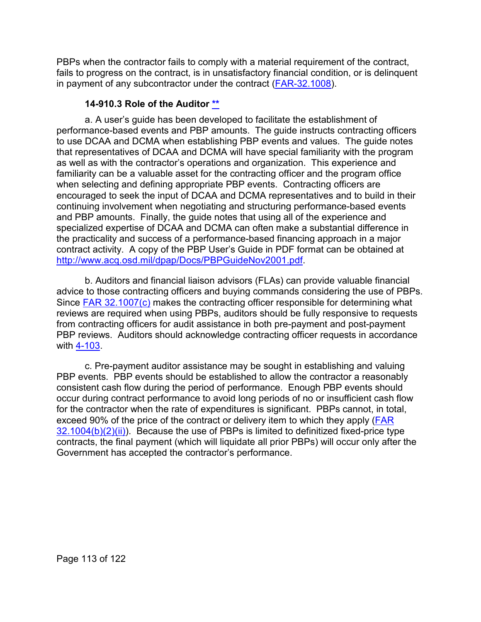PBPs when the contractor fails to comply with a material requirement of the contract, fails to progress on the contract, is in unsatisfactory financial condition, or is delinquent in payment of any subcontractor under the contract [\(FAR-32.1008\)](http://www.ecfr.gov/cgi-bin/text-idx?SID=b0618253e14481035d0f10f52f992215&mc=true&node=se48.1.32_11008&rgn=div8).

### **14-910.3 Role of the Auditor [\\*\\*](#page-7-6)**

a. A user's guide has been developed to facilitate the establishment of performance-based events and PBP amounts. The guide instructs contracting officers to use DCAA and DCMA when establishing PBP events and values. The guide notes that representatives of DCAA and DCMA will have special familiarity with the program as well as with the contractor's operations and organization. This experience and familiarity can be a valuable asset for the contracting officer and the program office when selecting and defining appropriate PBP events. Contracting officers are encouraged to seek the input of DCAA and DCMA representatives and to build in their continuing involvement when negotiating and structuring performance-based events and PBP amounts. Finally, the guide notes that using all of the experience and specialized expertise of DCAA and DCMA can often make a substantial difference in the practicality and success of a performance-based financing approach in a major contract activity. A copy of the PBP User's Guide in PDF format can be obtained at [http://www.acq.osd.mil/dpap/Docs/PBPGuideNov2001.pdf.](http://www.acq.osd.mil/dpap/Docs/PBPGuideNov2001.pdf)

b. Auditors and financial liaison advisors (FLAs) can provide valuable financial advice to those contracting officers and buying commands considering the use of PBPs. Since [FAR 32.1007\(c\)](http://www.ecfr.gov/cgi-bin/text-idx?SID=b0618253e14481035d0f10f52f992215&mc=true&node=se48.1.32_11007&rgn=div8) makes the contracting officer responsible for determining what reviews are required when using PBPs, auditors should be fully responsive to requests from contracting officers for audit assistance in both pre-payment and post-payment PBP reviews. Auditors should acknowledge contracting officer requests in accordance with [4-103.](https://viper.dcaa.mil/guidance/cam/3130/general-audit-requirements#Sec4103)

c. Pre-payment auditor assistance may be sought in establishing and valuing PBP events. PBP events should be established to allow the contractor a reasonably consistent cash flow during the period of performance. Enough PBP events should occur during contract performance to avoid long periods of no or insufficient cash flow for the contractor when the rate of expenditures is significant. PBPs cannot, in total, exceed 90% of the price of the contract or delivery item to which they apply [\(FAR](http://www.ecfr.gov/cgi-bin/text-idx?SID=b0618253e14481035d0f10f52f992215&mc=true&node=se48.1.32_11004&rgn=div8)  [32.1004\(b\)\(2\)\(ii\)\)](http://www.ecfr.gov/cgi-bin/text-idx?SID=b0618253e14481035d0f10f52f992215&mc=true&node=se48.1.32_11004&rgn=div8). Because the use of PBPs is limited to definitized fixed-price type contracts, the final payment (which will liquidate all prior PBPs) will occur only after the Government has accepted the contractor's performance.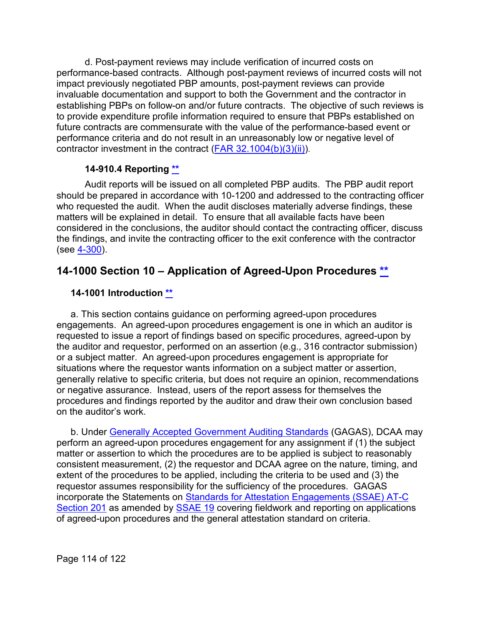d. Post-payment reviews may include verification of incurred costs on performance-based contracts. Although post-payment reviews of incurred costs will not impact previously negotiated PBP amounts, post-payment reviews can provide invaluable documentation and support to both the Government and the contractor in establishing PBPs on follow-on and/or future contracts. The objective of such reviews is to provide expenditure profile information required to ensure that PBPs established on future contracts are commensurate with the value of the performance-based event or performance criteria and do not result in an unreasonably low or negative level of contractor investment in the contract [\(FAR 32.1004\(b\)\(3\)\(ii\)\)](http://www.ecfr.gov/cgi-bin/text-idx?SID=b0618253e14481035d0f10f52f992215&mc=true&node=se48.1.32_11004&rgn=div8).

## **14-910.4 Reporting [\\*\\*](#page-7-7)**

Audit reports will be issued on all completed PBP audits. The PBP audit report should be prepared in accordance with 10-1200 and addressed to the contracting officer who requested the audit. When the audit discloses materially adverse findings, these matters will be explained in detail. To ensure that all available facts have been considered in the conclusions, the auditor should contact the contracting officer, discuss the findings, and invite the contracting officer to the exit conference with the contractor (see [4-300\)](https://viper.dcaa.mil/guidance/cam/3130/general-audit-requirements#Sec4300).

# **14-1000 Section 10 – Application of Agreed-Upon Procedures [\\*\\*](#page-7-8)**

## **14-1001 Introduction [\\*\\*](#page-8-0)**

a. This section contains guidance on performing agreed-upon procedures engagements. An agreed-upon procedures engagement is one in which an auditor is requested to issue a report of findings based on specific procedures, agreed-upon by the auditor and requestor, performed on an assertion (e.g., 316 contractor submission) or a subject matter. An agreed-upon procedures engagement is appropriate for situations where the requestor wants information on a subject matter or assertion, generally relative to specific criteria, but does not require an opinion, recommendations or negative assurance. Instead, users of the report assess for themselves the procedures and findings reported by the auditor and draw their own conclusion based on the auditor's work.

b. Under [Generally Accepted Government Auditing Standards](http://www.gao.gov/yellowbook/overview) (GAGAS), DCAA may perform an agreed-upon procedures engagement for any assignment if (1) the subject matter or assertion to which the procedures are to be applied is subject to reasonably consistent measurement, (2) the requestor and DCAA agree on the nature, timing, and extent of the procedures to be applied, including the criteria to be used and (3) the requestor assumes responsibility for the sufficiency of the procedures. GAGAS incorporate the Statements on [Standards for Attestation Engagements \(SSAE\) AT-C](http://www.aicpa.org/Research/Standards/AuditAttest/DownloadableDocuments/AT-00201.pdf)  [Section 201](http://www.aicpa.org/Research/Standards/AuditAttest/DownloadableDocuments/AT-00201.pdf) as amended by **SSAE 19** covering fieldwork and reporting on applications of agreed-upon procedures and the general attestation standard on criteria.

Page 114 of 122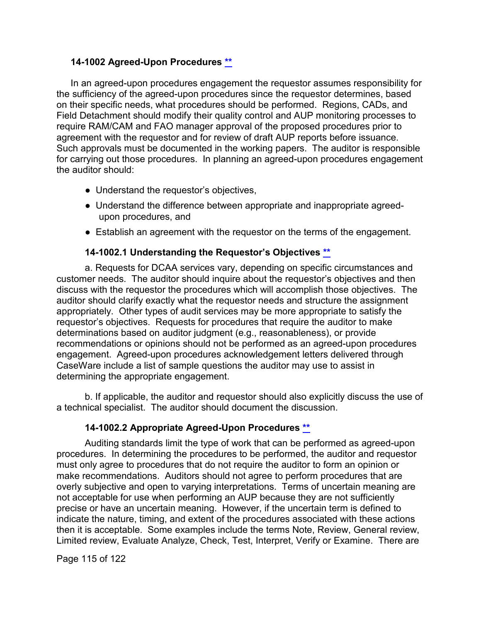#### **14-1002 Agreed-Upon Procedures [\\*\\*](#page-8-1)**

In an agreed-upon procedures engagement the requestor assumes responsibility for the sufficiency of the agreed-upon procedures since the requestor determines, based on their specific needs, what procedures should be performed. Regions, CADs, and Field Detachment should modify their quality control and AUP monitoring processes to require RAM/CAM and FAO manager approval of the proposed procedures prior to agreement with the requestor and for review of draft AUP reports before issuance. Such approvals must be documented in the working papers. The auditor is responsible for carrying out those procedures. In planning an agreed-upon procedures engagement the auditor should:

- Understand the requestor's objectives,
- Understand the difference between appropriate and inappropriate agreedupon procedures, and
- Establish an agreement with the requestor on the terms of the engagement.

#### **14-1002.1 Understanding the Requestor's Objectives [\\*\\*](#page-8-2)**

a. Requests for DCAA services vary, depending on specific circumstances and customer needs. The auditor should inquire about the requestor's objectives and then discuss with the requestor the procedures which will accomplish those objectives. The auditor should clarify exactly what the requestor needs and structure the assignment appropriately. Other types of audit services may be more appropriate to satisfy the requestor's objectives. Requests for procedures that require the auditor to make determinations based on auditor judgment (e.g., reasonableness), or provide recommendations or opinions should not be performed as an agreed-upon procedures engagement. Agreed-upon procedures acknowledgement letters delivered through CaseWare include a list of sample questions the auditor may use to assist in determining the appropriate engagement.

b. If applicable, the auditor and requestor should also explicitly discuss the use of a technical specialist. The auditor should document the discussion.

#### **14-1002.2 Appropriate Agreed-Upon Procedures [\\*\\*](#page-8-3)**

Auditing standards limit the type of work that can be performed as agreed-upon procedures. In determining the procedures to be performed, the auditor and requestor must only agree to procedures that do not require the auditor to form an opinion or make recommendations. Auditors should not agree to perform procedures that are overly subjective and open to varying interpretations. Terms of uncertain meaning are not acceptable for use when performing an AUP because they are not sufficiently precise or have an uncertain meaning. However, if the uncertain term is defined to indicate the nature, timing, and extent of the procedures associated with these actions then it is acceptable. Some examples include the terms Note, Review, General review, Limited review, Evaluate Analyze, Check, Test, Interpret, Verify or Examine. There are

Page 115 of 122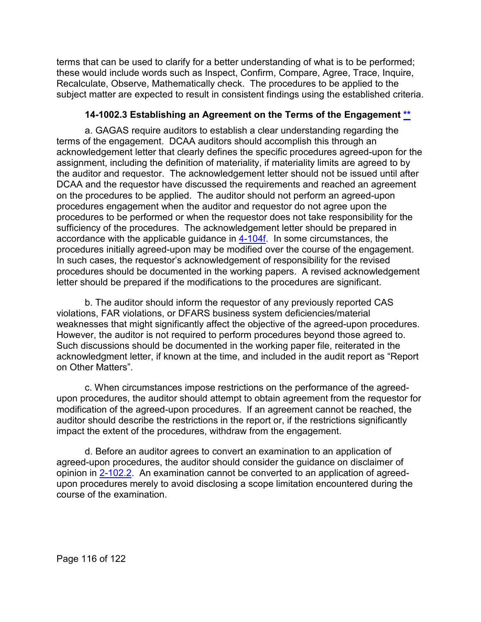terms that can be used to clarify for a better understanding of what is to be performed; these would include words such as Inspect, Confirm, Compare, Agree, Trace, Inquire, Recalculate, Observe, Mathematically check. The procedures to be applied to the subject matter are expected to result in consistent findings using the established criteria.

#### **14-1002.3 Establishing an Agreement on the Terms of the Engagement [\\*\\*](#page-8-4)**

a. GAGAS require auditors to establish a clear understanding regarding the terms of the engagement. DCAA auditors should accomplish this through an acknowledgement letter that clearly defines the specific procedures agreed-upon for the assignment, including the definition of materiality, if materiality limits are agreed to by the auditor and requestor. The acknowledgement letter should not be issued until after DCAA and the requestor have discussed the requirements and reached an agreement on the procedures to be applied. The auditor should not perform an agreed-upon procedures engagement when the auditor and requestor do not agree upon the procedures to be performed or when the requestor does not take responsibility for the sufficiency of the procedures. The acknowledgement letter should be prepared in accordance with the applicable guidance in [4-104f.](https://viper.dcaa.mil/guidance/cam/3130/general-audit-requirements#Sec4104) In some circumstances, the procedures initially agreed-upon may be modified over the course of the engagement. In such cases, the requestor's acknowledgement of responsibility for the revised procedures should be documented in the working papers. A revised acknowledgement letter should be prepared if the modifications to the procedures are significant.

b. The auditor should inform the requestor of any previously reported CAS violations, FAR violations, or DFARS business system deficiencies/material weaknesses that might significantly affect the objective of the agreed-upon procedures. However, the auditor is not required to perform procedures beyond those agreed to. Such discussions should be documented in the working paper file, reiterated in the acknowledgment letter, if known at the time, and included in the audit report as "Report on Other Matters".

c. When circumstances impose restrictions on the performance of the agreedupon procedures, the auditor should attempt to obtain agreement from the requestor for modification of the agreed-upon procedures. If an agreement cannot be reached, the auditor should describe the restrictions in the report or, if the restrictions significantly impact the extent of the procedures, withdraw from the engagement.

d. Before an auditor agrees to convert an examination to an application of agreed-upon procedures, the auditor should consider the guidance on disclaimer of opinion in [2-102.2.](https://viper.dcaa.mil/guidance/cam/3128/auditing-standards#Sec21022) An examination cannot be converted to an application of agreedupon procedures merely to avoid disclosing a scope limitation encountered during the course of the examination.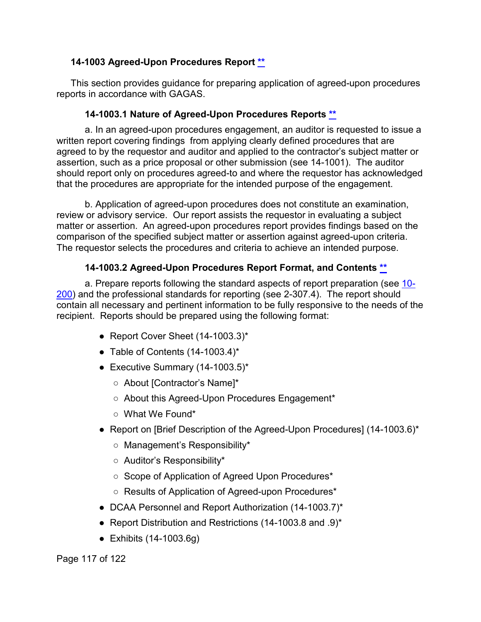#### **14-1003 Agreed-Upon Procedures Report [\\*\\*](#page-8-5)**

This section provides guidance for preparing application of agreed-upon procedures reports in accordance with GAGAS.

#### **14-1003.1 Nature of Agreed-Upon Procedures Reports [\\*\\*](#page-8-6)**

a. In an agreed-upon procedures engagement, an auditor is requested to issue a written report covering findings from applying clearly defined procedures that are agreed to by the requestor and auditor and applied to the contractor's subject matter or assertion, such as a price proposal or other submission (see 14-1001). The auditor should report only on procedures agreed-to and where the requestor has acknowledged that the procedures are appropriate for the intended purpose of the engagement.

b. Application of agreed-upon procedures does not constitute an examination, review or advisory service. Our report assists the requestor in evaluating a subject matter or assertion. An agreed-upon procedures report provides findings based on the comparison of the specified subject matter or assertion against agreed-upon criteria. The requestor selects the procedures and criteria to achieve an intended purpose.

#### **14-1003.2 Agreed-Upon Procedures Report Format, and Contents [\\*\\*](#page-8-7)**

a. Prepare reports following the standard aspects of report preparation (see [10-](https://viper.dcaa.mil/guidance/cam/3147/preparation-and-distribution-of-audit-reports#Sec10200) [200\)](https://viper.dcaa.mil/guidance/cam/3147/preparation-and-distribution-of-audit-reports#Sec10200) and the professional standards for reporting (see 2-307.4). The report should contain all necessary and pertinent information to be fully responsive to the needs of the recipient. Reports should be prepared using the following format:

- Report Cover Sheet (14-1003.3)\*
- Table of Contents  $(14-1003.4)^*$
- Executive Summary  $(14-1003.5)^*$ 
	- About [Contractor's Name]\*
	- About this Agreed-Upon Procedures Engagement\*
	- What We Found\*
- Report on [Brief Description of the Agreed-Upon Procedures] (14-1003.6)\*
	- Management's Responsibility\*
	- Auditor's Responsibility\*
	- Scope of Application of Agreed Upon Procedures\*
	- Results of Application of Agreed-upon Procedures\*
- DCAA Personnel and Report Authorization (14-1003.7)\*
- Report Distribution and Restrictions (14-1003.8 and .9)\*
- Exhibits (14-1003.6g)

Page 117 of 122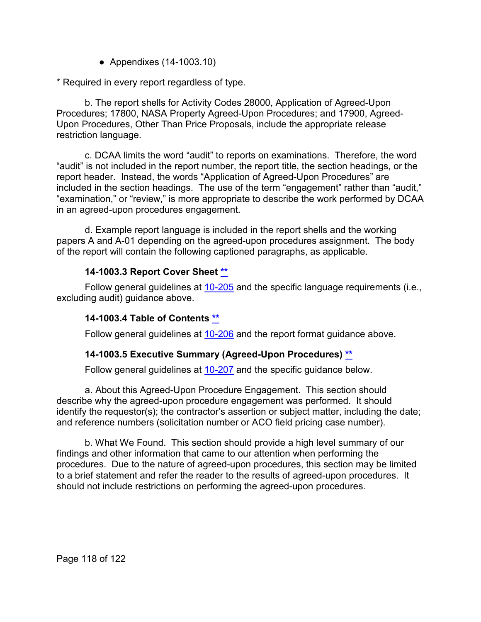● Appendixes (14-1003.10)

\* Required in every report regardless of type.

b. The report shells for Activity Codes 28000, Application of Agreed-Upon Procedures; 17800, NASA Property Agreed-Upon Procedures; and 17900, Agreed-Upon Procedures, Other Than Price Proposals, include the appropriate release restriction language.

c. DCAA limits the word "audit" to reports on examinations. Therefore, the word "audit" is not included in the report number, the report title, the section headings, or the report header. Instead, the words "Application of Agreed-Upon Procedures" are included in the section headings. The use of the term "engagement" rather than "audit," "examination," or "review," is more appropriate to describe the work performed by DCAA in an agreed-upon procedures engagement.

d. Example report language is included in the report shells and the working papers A and A-01 depending on the agreed-upon procedures assignment. The body of the report will contain the following captioned paragraphs, as applicable.

## **14-1003.3 Report Cover Sheet [\\*\\*](#page-8-8)**

Follow general guidelines at [10-205](https://viper.dcaa.mil/guidance/cam/3147/preparation-and-distribution-of-audit-reports#Sec10205) and the specific language requirements (i.e., excluding audit) guidance above.

#### **14-1003.4 Table of Contents [\\*\\*](#page-8-9)**

Follow general guidelines at [10-206](https://viper.dcaa.mil/guidance/cam/3147/preparation-and-distribution-of-audit-reports#Sec10206) and the report format guidance above.

#### **14-1003.5 Executive Summary (Agreed-Upon Procedures) [\\*\\*](#page-8-10)**

Follow general guidelines at [10-207](https://viper.dcaa.mil/guidance/cam/3147/preparation-and-distribution-of-audit-reports#Sec10207) and the specific guidance below.

a. About this Agreed-Upon Procedure Engagement. This section should describe why the agreed-upon procedure engagement was performed. It should identify the requestor(s); the contractor's assertion or subject matter, including the date; and reference numbers (solicitation number or ACO field pricing case number).

b. What We Found. This section should provide a high level summary of our findings and other information that came to our attention when performing the procedures. Due to the nature of agreed-upon procedures, this section may be limited to a brief statement and refer the reader to the results of agreed-upon procedures. It should not include restrictions on performing the agreed-upon procedures.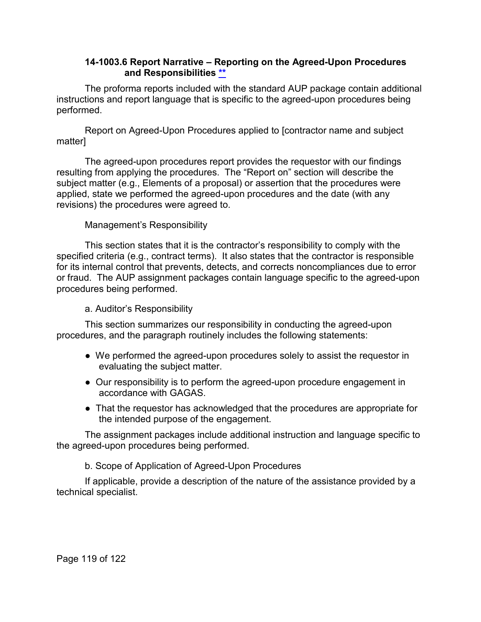#### **14-1003.6 Report Narrative – Reporting on the Agreed-Upon Procedures and Responsibilities [\\*\\*](#page-8-11)**

The proforma reports included with the standard AUP package contain additional instructions and report language that is specific to the agreed-upon procedures being performed.

Report on Agreed-Upon Procedures applied to [contractor name and subject matter]

The agreed-upon procedures report provides the requestor with our findings resulting from applying the procedures. The "Report on" section will describe the subject matter (e.g., Elements of a proposal) or assertion that the procedures were applied, state we performed the agreed-upon procedures and the date (with any revisions) the procedures were agreed to.

#### Management's Responsibility

This section states that it is the contractor's responsibility to comply with the specified criteria (e.g., contract terms). It also states that the contractor is responsible for its internal control that prevents, detects, and corrects noncompliances due to error or fraud. The AUP assignment packages contain language specific to the agreed-upon procedures being performed.

#### a. Auditor's Responsibility

This section summarizes our responsibility in conducting the agreed-upon procedures, and the paragraph routinely includes the following statements:

- We performed the agreed-upon procedures solely to assist the requestor in evaluating the subject matter.
- Our responsibility is to perform the agreed-upon procedure engagement in accordance with GAGAS.
- That the requestor has acknowledged that the procedures are appropriate for the intended purpose of the engagement.

The assignment packages include additional instruction and language specific to the agreed-upon procedures being performed.

b. Scope of Application of Agreed-Upon Procedures

If applicable, provide a description of the nature of the assistance provided by a technical specialist.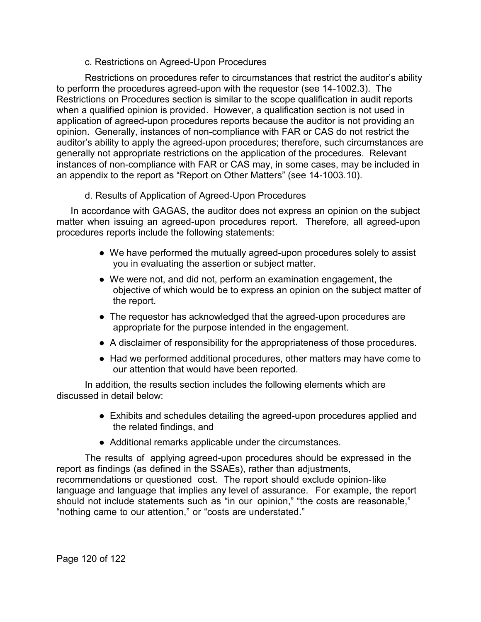c. Restrictions on Agreed-Upon Procedures

Restrictions on procedures refer to circumstances that restrict the auditor's ability to perform the procedures agreed-upon with the requestor (see 14-1002.3). The Restrictions on Procedures section is similar to the scope qualification in audit reports when a qualified opinion is provided. However, a qualification section is not used in application of agreed-upon procedures reports because the auditor is not providing an opinion. Generally, instances of non-compliance with FAR or CAS do not restrict the auditor's ability to apply the agreed-upon procedures; therefore, such circumstances are generally not appropriate restrictions on the application of the procedures. Relevant instances of non-compliance with FAR or CAS may, in some cases, may be included in an appendix to the report as "Report on Other Matters" (see 14-1003.10).

d. Results of Application of Agreed-Upon Procedures

In accordance with GAGAS, the auditor does not express an opinion on the subject matter when issuing an agreed-upon procedures report. Therefore, all agreed-upon procedures reports include the following statements:

- We have performed the mutually agreed-upon procedures solely to assist you in evaluating the assertion or subject matter.
- We were not, and did not, perform an examination engagement, the objective of which would be to express an opinion on the subject matter of the report.
- The requestor has acknowledged that the agreed-upon procedures are appropriate for the purpose intended in the engagement.
- A disclaimer of responsibility for the appropriateness of those procedures.
- Had we performed additional procedures, other matters may have come to our attention that would have been reported.

In addition, the results section includes the following elements which are discussed in detail below:

- Exhibits and schedules detailing the agreed-upon procedures applied and the related findings, and
- Additional remarks applicable under the circumstances.

The results of applying agreed-upon procedures should be expressed in the report as findings (as defined in the SSAEs), rather than adjustments, recommendations or questioned cost. The report should exclude opinion-like language and language that implies any level of assurance. For example, the report should not include statements such as "in our opinion," "the costs are reasonable," "nothing came to our attention," or "costs are understated."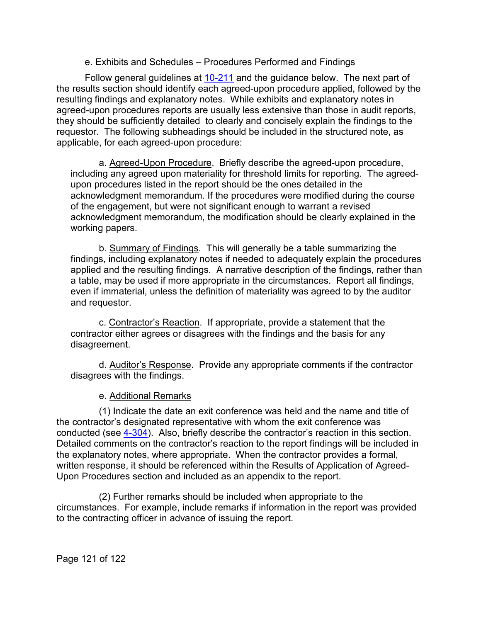e. Exhibits and Schedules – Procedures Performed and Findings

Follow general guidelines at [10-211](https://viper.dcaa.mil/guidance/cam/3147/preparation-and-distribution-of-audit-reports#Sec10211) and the guidance below. The next part of the results section should identify each agreed-upon procedure applied, followed by the resulting findings and explanatory notes. While exhibits and explanatory notes in agreed-upon procedures reports are usually less extensive than those in audit reports, they should be sufficiently detailed to clearly and concisely explain the findings to the requestor. The following subheadings should be included in the structured note, as applicable, for each agreed-upon procedure:

a. Agreed-Upon Procedure. Briefly describe the agreed-upon procedure, including any agreed upon materiality for threshold limits for reporting. The agreedupon procedures listed in the report should be the ones detailed in the acknowledgment memorandum. If the procedures were modified during the course of the engagement, but were not significant enough to warrant a revised acknowledgment memorandum, the modification should be clearly explained in the working papers.

b. Summary of Findings. This will generally be a table summarizing the findings, including explanatory notes if needed to adequately explain the procedures applied and the resulting findings. A narrative description of the findings, rather than a table, may be used if more appropriate in the circumstances. Report all findings, even if immaterial, unless the definition of materiality was agreed to by the auditor and requestor.

c. Contractor's Reaction. If appropriate, provide a statement that the contractor either agrees or disagrees with the findings and the basis for any disagreement.

d. Auditor's Response. Provide any appropriate comments if the contractor disagrees with the findings.

e. Additional Remarks

(1) Indicate the date an exit conference was held and the name and title of the contractor's designated representative with whom the exit conference was conducted (see [4-304\)](https://viper.dcaa.mil/guidance/cam/3130/general-audit-requirements#Sec4304). Also, briefly describe the contractor's reaction in this section. Detailed comments on the contractor's reaction to the report findings will be included in the explanatory notes, where appropriate. When the contractor provides a formal, written response, it should be referenced within the Results of Application of Agreed-Upon Procedures section and included as an appendix to the report.

(2) Further remarks should be included when appropriate to the circumstances. For example, include remarks if information in the report was provided to the contracting officer in advance of issuing the report.